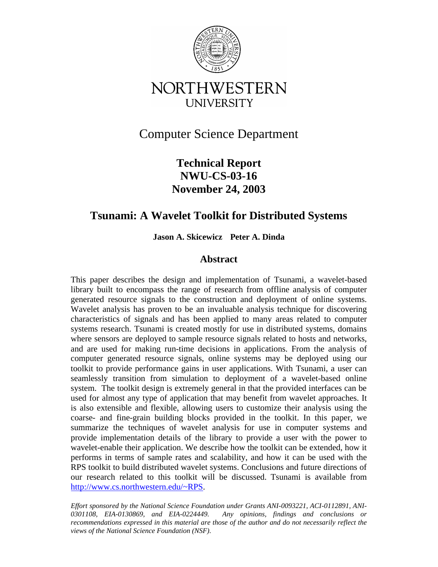

# Computer Science Department

## **Technical Report NWU-CS-03-16 November 24, 2003**

## **Tsunami: A Wavelet Toolkit for Distributed Systems**

**Jason A. Skicewicz Peter A. Dinda**

### **Abstract**

This paper describes the design and implementation of Tsunami, a wavelet-based library built to encompass the range of research from offline analysis of computer generated resource signals to the construction and deployment of online systems. Wavelet analysis has proven to be an invaluable analysis technique for discovering characteristics of signals and has been applied to many areas related to computer systems research. Tsunami is created mostly for use in distributed systems, domains where sensors are deployed to sample resource signals related to hosts and networks, and are used for making run-time decisions in applications. From the analysis of computer generated resource signals, online systems may be deployed using our toolkit to provide performance gains in user applications. With Tsunami, a user can seamlessly transition from simulation to deployment of a wavelet-based online system. The toolkit design is extremely general in that the provided interfaces can be used for almost any type of application that may benefit from wavelet approaches. It is also extensible and flexible, allowing users to customize their analysis using the coarse- and fine-grain building blocks provided in the toolkit. In this paper, we summarize the techniques of wavelet analysis for use in computer systems and provide implementation details of the library to provide a user with the power to wavelet-enable their application. We describe how the toolkit can be extended, how it performs in terms of sample rates and scalability, and how it can be used with the RPS toolkit to build distributed wavelet systems. Conclusions and future directions of our research related to this toolkit will be discussed. Tsunami is available from http://www.cs.northwestern.edu/~RPS.

*Effort sponsored by the National Science Foundation under Grants ANI-0093221, ACI-0112891, ANI-0301108, EIA-0130869, and EIA-0224449. Any opinions, findings and conclusions or recommendations expressed in this material are those of the author and do not necessarily reflect the views of the National Science Foundation (NSF).*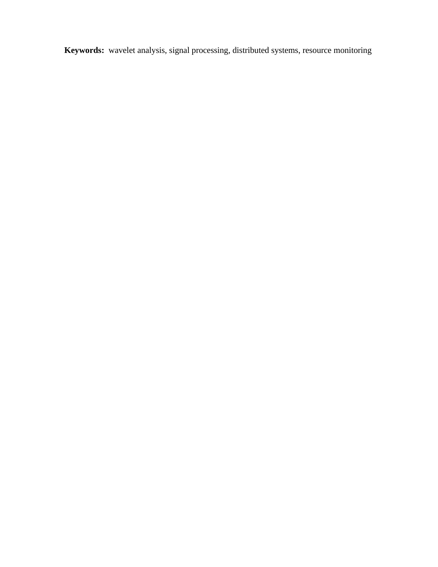**Keywords:** wavelet analysis, signal processing, distributed systems, resource monitoring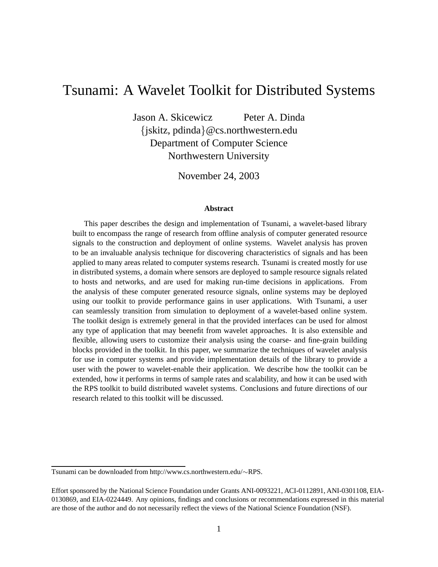# Tsunami: A Wavelet Toolkit for Distributed Systems

Jason A. Skicewicz Peter A. Dinda {jskitz, pdinda}@cs.northwestern.edu Department of Computer Science Northwestern University

November 24, 2003

#### **Abstract**

This paper describes the design and implementation of Tsunami, a wavelet-based library built to encompass the range of research from offline analysis of computer generated resource signals to the construction and deployment of online systems. Wavelet analysis has proven to be an invaluable analysis technique for discovering characteristics of signals and has been applied to many areas related to computer systems research. Tsunami is created mostly for use in distributed systems, a domain where sensors are deployed to sample resource signals related to hosts and networks, and are used for making run-time decisions in applications. From the analysis of these computer generated resource signals, online systems may be deployed using our toolkit to provide performance gains in user applications. With Tsunami, a user can seamlessly transition from simulation to deployment of a wavelet-based online system. The toolkit design is extremely general in that the provided interfaces can be used for almost any type of application that may beenefit from wavelet approaches. It is also extensible and flexible, allowing users to customize their analysis using the coarse- and fine-grain building blocks provided in the toolkit. In this paper, we summarize the techniques of wavelet analysis for use in computer systems and provide implementation details of the library to provide a user with the power to wavelet-enable their application. We describe how the toolkit can be extended, how it performs in terms of sample rates and scalability, and how it can be used with the RPS toolkit to build distributed wavelet systems. Conclusions and future directions of our research related to this toolkit will be discussed.

Tsunami can be downloaded from http://www.cs.northwestern.edu/∼RPS.

Effort sponsored by the National Science Foundation under Grants ANI-0093221, ACI-0112891, ANI-0301108, EIA-0130869, and EIA-0224449. Any opinions, findings and conclusions or recommendations expressed in this material are those of the author and do not necessarily reflect the views of the National Science Foundation (NSF).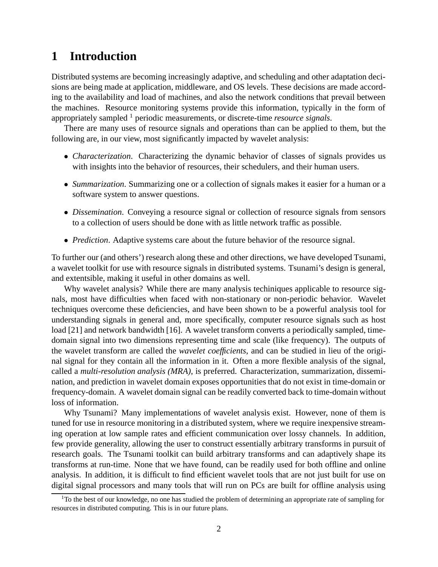## **1 Introduction**

Distributed systems are becoming increasingly adaptive, and scheduling and other adaptation decisions are being made at application, middleware, and OS levels. These decisions are made according to the availability and load of machines, and also the network conditions that prevail between the machines. Resource monitoring systems provide this information, typically in the form of appropriately sampled <sup>1</sup> periodic measurements, or discrete-time *resource signals*.

There are many uses of resource signals and operations than can be applied to them, but the following are, in our view, most significantly impacted by wavelet analysis:

- *Characterization*. Characterizing the dynamic behavior of classes of signals provides us with insights into the behavior of resources, their schedulers, and their human users.
- *Summarization*. Summarizing one or a collection of signals makes it easier for a human or a software system to answer questions.
- *Dissemination*. Conveying a resource signal or collection of resource signals from sensors to a collection of users should be done with as little network traffic as possible.
- *Prediction*. Adaptive systems care about the future behavior of the resource signal.

To further our (and others') research along these and other directions, we have developed Tsunami, a wavelet toolkit for use with resource signals in distributed systems. Tsunami's design is general, and extentsible, making it useful in other domains as well.

Why wavelet analysis? While there are many analysis techiniques applicable to resource signals, most have difficulties when faced with non-stationary or non-periodic behavior. Wavelet techniques overcome these deficiencies, and have been shown to be a powerful analysis tool for understanding signals in general and, more specifically, computer resource signals such as host load [21] and network bandwidth [16]. A wavelet transform converts a periodically sampled, timedomain signal into two dimensions representing time and scale (like frequency). The outputs of the wavelet transform are called the *wavelet coefficients*, and can be studied in lieu of the original signal for they contain all the information in it. Often a more flexible analysis of the signal, called a *multi-resolution analysis (MRA)*, is preferred. Characterization, summarization, dissemination, and prediction in wavelet domain exposes opportunities that do not exist in time-domain or frequency-domain. A wavelet domain signal can be readily converted back to time-domain without loss of information.

Why Tsunami? Many implementations of wavelet analysis exist. However, none of them is tuned for use in resource monitoring in a distributed system, where we require inexpensive streaming operation at low sample rates and efficient communication over lossy channels. In addition, few provide generality, allowing the user to construct essentially arbitrary transforms in pursuit of research goals. The Tsunami toolkit can build arbitrary transforms and can adaptively shape its transforms at run-time. None that we have found, can be readily used for both offline and online analysis. In addition, it is difficult to find efficient wavelet tools that are not just built for use on digital signal processors and many tools that will run on PCs are built for offline analysis using

 $1$ To the best of our knowledge, no one has studied the problem of determining an appropriate rate of sampling for resources in distributed computing. This is in our future plans.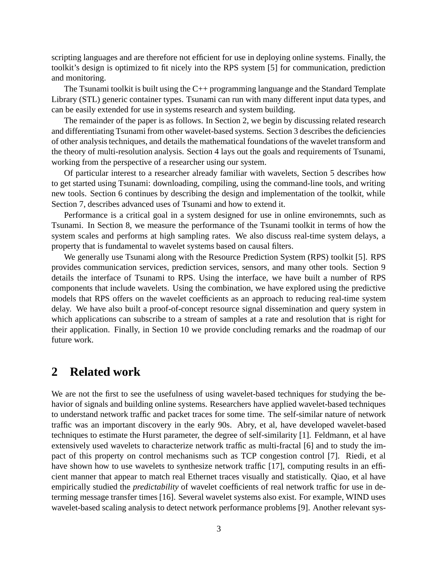scripting languages and are therefore not efficient for use in deploying online systems. Finally, the toolkit's design is optimized to fit nicely into the RPS system [5] for communication, prediction and monitoring.

The Tsunami toolkit is built using the C++ programming languange and the Standard Template Library (STL) generic container types. Tsunami can run with many different input data types, and can be easily extended for use in systems research and system building.

The remainder of the paper is as follows. In Section 2, we begin by discussing related research and differentiating Tsunami from other wavelet-based systems. Section 3 describes the deficiencies of other analysis techniques, and details the mathematical foundations of the wavelet transform and the theory of multi-resolution analysis. Section 4 lays out the goals and requirements of Tsunami, working from the perspective of a researcher using our system.

Of particular interest to a researcher already familiar with wavelets, Section 5 describes how to get started using Tsunami: downloading, compiling, using the command-line tools, and writing new tools. Section 6 continues by describing the design and implementation of the toolkit, while Section 7, describes advanced uses of Tsunami and how to extend it.

Performance is a critical goal in a system designed for use in online environemnts, such as Tsunami. In Section 8, we measure the performance of the Tsunami toolkit in terms of how the system scales and performs at high sampling rates. We also discuss real-time system delays, a property that is fundamental to wavelet systems based on causal filters.

We generally use Tsunami along with the Resource Prediction System (RPS) toolkit [5]. RPS provides communication services, prediction services, sensors, and many other tools. Section 9 details the interface of Tsunami to RPS. Using the interface, we have built a number of RPS components that include wavelets. Using the combination, we have explored using the predictive models that RPS offers on the wavelet coefficients as an approach to reducing real-time system delay. We have also built a proof-of-concept resource signal dissemination and query system in which applications can subscribe to a stream of samples at a rate and resolution that is right for their application. Finally, in Section 10 we provide concluding remarks and the roadmap of our future work.

### **2 Related work**

We are not the first to see the usefulness of using wavelet-based techniques for studying the behavior of signals and building online systems. Researchers have applied wavelet-based techniques to understand network traffic and packet traces for some time. The self-similar nature of network traffic was an important discovery in the early 90s. Abry, et al, have developed wavelet-based techniques to estimate the Hurst parameter, the degree of self-similarity [1]. Feldmann, et al have extensively used wavelets to characterize network traffic as multi-fractal [6] and to study the impact of this property on control mechanisms such as TCP congestion control [7]. Riedi, et al have shown how to use wavelets to synthesize network traffic [17], computing results in an efficient manner that appear to match real Ethernet traces visually and statistically. Qiao, et al have empirically studied the *predictability* of wavelet coefficients of real network traffic for use in determing message transfer times [16]. Several wavelet systems also exist. For example, WIND uses wavelet-based scaling analysis to detect network performance problems [9]. Another relevant sys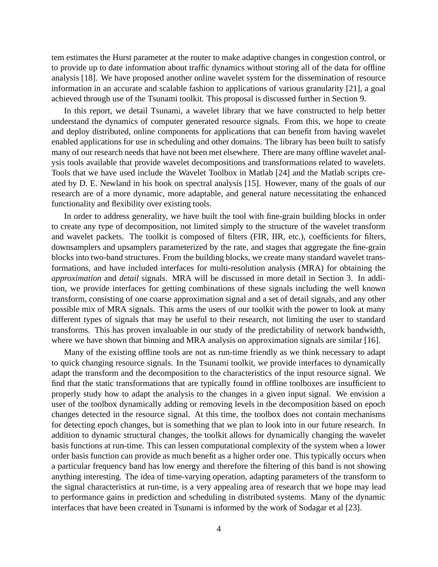tem estimates the Hurst parameter at the router to make adaptive changes in congestion control, or to provide up to date information about traffic dynamics without storing all of the data for offline analysis [18]. We have proposed another online wavelet system for the dissemination of resource information in an accurate and scalable fashion to applications of various granularity [21], a goal achieved through use of the Tsunami toolkit. This proposal is discussed further in Section 9.

In this report, we detail Tsunami, a wavelet library that we have constructed to help better understand the dynamics of computer generated resource signals. From this, we hope to create and deploy distributed, online components for applications that can benefit from having wavelet enabled applications for use in scheduling and other domains. The library has been built to satisfy many of our research needs that have not been met elsewhere. There are many offline wavelet analysis tools available that provide wavelet decompositions and transformations related to wavelets. Tools that we have used include the Wavelet Toolbox in Matlab [24] and the Matlab scripts created by D. E. Newland in his book on spectral analysis [15]. However, many of the goals of our research are of a more dynamic, more adaptable, and general nature necessitating the enhanced functionality and flexibility over existing tools.

In order to address generality, we have built the tool with fine-grain building blocks in order to create any type of decomposition, not limited simply to the structure of the wavelet transform and wavelet packets. The toolkit is composed of filters (FIR, IIR, etc.), coefficients for filters, downsamplers and upsamplers parameterized by the rate, and stages that aggregate the fine-grain blocks into two-band structures. From the building blocks, we create many standard wavelet transformations, and have included interfaces for multi-resolution analysis (MRA) for obtaining the *approximation* and *detail* signals. MRA will be discussed in more detail in Section 3. In addition, we provide interfaces for getting combinations of these signals including the well known transform, consisting of one coarse approximation signal and a set of detail signals, and any other possible mix of MRA signals. This arms the users of our toolkit with the power to look at many different types of signals that may be useful to their research, not limiting the user to standard transforms. This has proven invaluable in our study of the predictability of network bandwidth, where we have shown that binning and MRA analysis on approximation signals are similar [16].

Many of the existing offline tools are not as run-time friendly as we think necessary to adapt to quick changing resource signals. In the Tsunami toolkit, we provide interfaces to dynamically adapt the transform and the decomposition to the characteristics of the input resource signal. We find that the static transformations that are typically found in offline toolboxes are insufficient to properly study how to adapt the analysis to the changes in a given input signal. We envision a user of the toolbox dynamically adding or removing levels in the decomposition based on epoch changes detected in the resource signal. At this time, the toolbox does not contain mechanisms for detecting epoch changes, but is something that we plan to look into in our future research. In addition to dynamic structural changes, the toolkit allows for dynamically changing the wavelet basis functions at run-time. This can lessen computational complexity of the system when a lower order basis function can provide as much benefit as a higher order one. This typically occurs when a particular frequency band has low energy and therefore the filtering of this band is not showing anything interesting. The idea of time-varying operation, adapting parameters of the transform to the signal characteristics at run-time, is a very appealing area of research that we hope may lead to performance gains in prediction and scheduling in distributed systems. Many of the dynamic interfaces that have been created in Tsunami is informed by the work of Sodagar et al [23].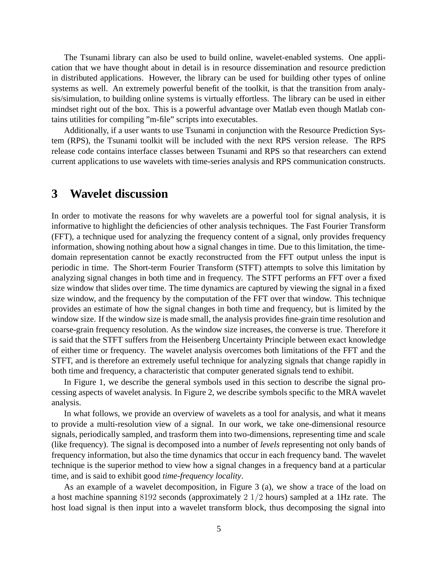The Tsunami library can also be used to build online, wavelet-enabled systems. One application that we have thought about in detail is in resource dissemination and resource prediction in distributed applications. However, the library can be used for building other types of online systems as well. An extremely powerful benefit of the toolkit, is that the transition from analysis/simulation, to building online systems is virtually effortless. The library can be used in either mindset right out of the box. This is a powerful advantage over Matlab even though Matlab contains utilities for compiling "m-file" scripts into executables.

Additionally, if a user wants to use Tsunami in conjunction with the Resource Prediction System (RPS), the Tsunami toolkit will be included with the next RPS version release. The RPS release code contains interface classes between Tsunami and RPS so that researchers can extend current applications to use wavelets with time-series analysis and RPS communication constructs.

### **3 Wavelet discussion**

In order to motivate the reasons for why wavelets are a powerful tool for signal analysis, it is informative to highlight the deficiencies of other analysis techniques. The Fast Fourier Transform (FFT), a technique used for analyzing the frequency content of a signal, only provides frequency information, showing nothing about how a signal changes in time. Due to this limitation, the timedomain representation cannot be exactly reconstructed from the FFT output unless the input is periodic in time. The Short-term Fourier Transform (STFT) attempts to solve this limitation by analyzing signal changes in both time and in frequency. The STFT performs an FFT over a fixed size window that slides over time. The time dynamics are captured by viewing the signal in a fixed size window, and the frequency by the computation of the FFT over that window. This technique provides an estimate of how the signal changes in both time and frequency, but is limited by the window size. If the window size is made small, the analysis provides fine-grain time resolution and coarse-grain frequency resolution. As the window size increases, the converse is true. Therefore it is said that the STFT suffers from the Heisenberg Uncertainty Principle between exact knowledge of either time or frequency. The wavelet analysis overcomes both limitations of the FFT and the STFT, and is therefore an extremely useful technique for analyzing signals that change rapidly in both time and frequency, a characteristic that computer generated signals tend to exhibit.

In Figure 1, we describe the general symbols used in this section to describe the signal processing aspects of wavelet analysis. In Figure 2, we describe symbols specific to the MRA wavelet analysis.

In what follows, we provide an overview of wavelets as a tool for analysis, and what it means to provide a multi-resolution view of a signal. In our work, we take one-dimensional resource signals, periodically sampled, and trasform them into two-dimensions, representing time and scale (like frequency). The signal is decomposed into a number of *levels* representing not only bands of frequency information, but also the time dynamics that occur in each frequency band. The wavelet technique is the superior method to view how a signal changes in a frequency band at a particular time, and is said to exhibit good *time-frequency locality*.

As an example of a wavelet decomposition, in Figure 3 (a), we show a trace of the load on a host machine spanning 8192 seconds (approximately 2 1/2 hours) sampled at a 1Hz rate. The host load signal is then input into a wavelet transform block, thus decomposing the signal into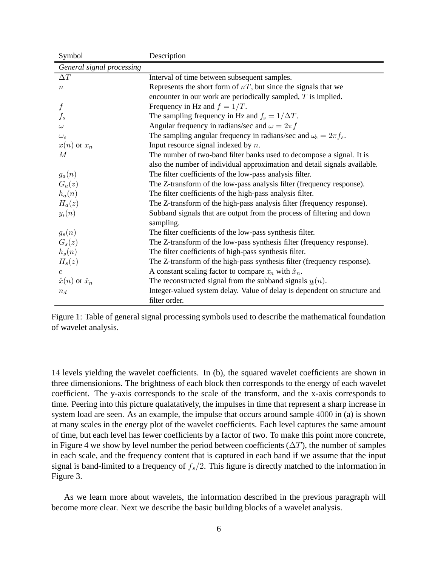| Symbol                      | Description                                                               |
|-----------------------------|---------------------------------------------------------------------------|
| General signal processing   |                                                                           |
| $\Delta T$                  | Interval of time between subsequent samples.                              |
| $\boldsymbol{n}$            | Represents the short form of $nT$ , but since the signals that we         |
|                             | encounter in our work are periodically sampled, $T$ is implied.           |
| $\boldsymbol{f}$            | Frequency in Hz and $f = 1/T$ .                                           |
| $f_s$                       | The sampling frequency in Hz and $f_s = 1/\Delta T$ .                     |
| $\omega$                    | Angular frequency in radians/sec and $\omega = 2\pi f$                    |
| $\omega_s$                  | The sampling angular frequency in radians/sec and $\omega_s = 2\pi f_s$ . |
| $x(n)$ or $x_n$             | Input resource signal indexed by $n$ .                                    |
| M                           | The number of two-band filter banks used to decompose a signal. It is     |
|                             | also the number of individual approximation and detail signals available. |
| $g_a(n)$                    | The filter coefficients of the low-pass analysis filter.                  |
| $G_a(z)$                    | The Z-transform of the low-pass analysis filter (frequency response).     |
| $h_a(n)$                    | The filter coefficients of the high-pass analysis filter.                 |
| $H_a(z)$                    | The Z-transform of the high-pass analysis filter (frequency response).    |
| $y_i(n)$                    | Subband signals that are output from the process of filtering and down    |
|                             | sampling.                                                                 |
| $g_s(n)$                    | The filter coefficients of the low-pass synthesis filter.                 |
| $G_s(z)$                    | The Z-transform of the low-pass synthesis filter (frequency response).    |
| $h_s(n)$                    | The filter coefficients of high-pass synthesis filter.                    |
| $H_s(z)$                    | The Z-transform of the high-pass synthesis filter (frequency response).   |
| $\mathcal{C}$               | A constant scaling factor to compare $x_n$ with $\hat{x}_n$ .             |
| $\hat{x}(n)$ or $\hat{x}_n$ | The reconstructed signal from the subband signals $yi(n)$ .               |
| $n_d$                       | Integer-valued system delay. Value of delay is dependent on structure and |
|                             | filter order.                                                             |

Figure 1: Table of general signal processing symbols used to describe the mathematical foundation of wavelet analysis.

14 levels yielding the wavelet coefficients. In (b), the squared wavelet coefficients are shown in three dimensionions. The brightness of each block then corresponds to the energy of each wavelet coefficient. The y-axis corresponds to the scale of the transform, and the x-axis corresponds to time. Peering into this picture qualatatively, the impulses in time that represent a sharp increase in system load are seen. As an example, the impulse that occurs around sample 4000 in (a) is shown at many scales in the energy plot of the wavelet coefficients. Each level captures the same amount of time, but each level has fewer coefficients by a factor of two. To make this point more concrete, in Figure 4 we show by level number the period between coefficients  $(\Delta T)$ , the number of samples in each scale, and the frequency content that is captured in each band if we assume that the input signal is band-limited to a frequency of f*s*/2. This figure is directly matched to the information in Figure 3.

As we learn more about wavelets, the information described in the previous paragraph will become more clear. Next we describe the basic building blocks of a wavelet analysis.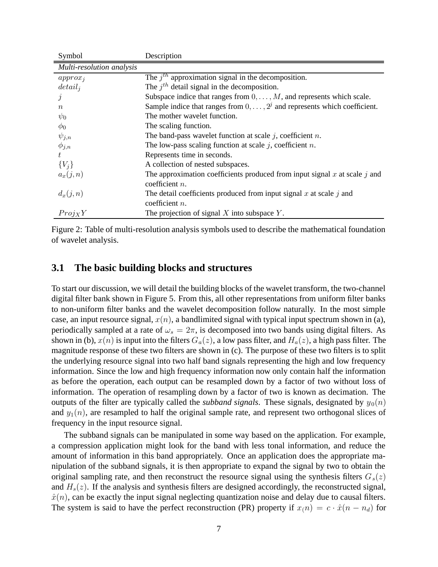| Symbol                    | Description                                                                       |
|---------------------------|-----------------------------------------------------------------------------------|
| Multi-resolution analysis |                                                                                   |
| $approx_i$                | The $jth$ approximation signal in the decomposition.                              |
| $detail_i$                | The $i^{th}$ detail signal in the decomposition.                                  |
|                           | Subspace indice that ranges from $0, \ldots, M$ , and represents which scale.     |
| $n_{\rm c}$               | Sample indice that ranges from $0, \ldots, 2^j$ and represents which coefficient. |
| $\psi_0$                  | The mother wavelet function.                                                      |
| $\phi_0$                  | The scaling function.                                                             |
| $\psi_{j,n}$              | The band-pass wavelet function at scale $j$ , coefficient $n$ .                   |
| $\phi_{j,n}$              | The low-pass scaling function at scale $j$ , coefficient $n$ .                    |
| t.                        | Represents time in seconds.                                                       |
| ${V_i}$                   | A collection of nested subspaces.                                                 |
| $a_x(j,n)$                | The approximation coefficients produced from input signal $x$ at scale $j$ and    |
|                           | coefficient $n$ .                                                                 |
| $d_x(j,n)$                | The detail coefficients produced from input signal $x$ at scale $j$ and           |
|                           | coefficient $n$ .                                                                 |
| $Proj_XY$                 | The projection of signal $X$ into subspace $Y$ .                                  |

Figure 2: Table of multi-resolution analysis symbols used to describe the mathematical foundation of wavelet analysis.

### **3.1 The basic building blocks and structures**

To start our discussion, we will detail the building blocks of the wavelet transform, the two-channel digital filter bank shown in Figure 5. From this, all other representations from uniform filter banks to non-uniform filter banks and the wavelet decomposition follow naturally. In the most simple case, an input resource signal,  $x(n)$ , a bandlimited signal with typical input spectrum shown in (a), periodically sampled at a rate of  $\omega_s = 2\pi$ , is decomposed into two bands using digital filters. As shown in (b),  $x(n)$  is input into the filters  $G_a(z)$ , a low pass filter, and  $H_a(z)$ , a high pass filter. The magnitude response of these two filters are shown in (c). The purpose of these two filters is to split the underlying resource signal into two half band signals representing the high and low frequency information. Since the low and high frequency information now only contain half the information as before the operation, each output can be resampled down by a factor of two without loss of information. The operation of resampling down by a factor of two is known as decimation. The outputs of the filter are typically called the *subband signals*. These signals, designated by  $y_0(n)$ and  $y_1(n)$ , are resampled to half the original sample rate, and represent two orthogonal slices of frequency in the input resource signal.

The subband signals can be manipulated in some way based on the application. For example, a compression application might look for the band with less tonal information, and reduce the amount of information in this band appropriately. Once an application does the appropriate manipulation of the subband signals, it is then appropriate to expand the signal by two to obtain the original sampling rate, and then reconstruct the resource signal using the synthesis filters  $G_s(z)$ and  $H_s(z)$ . If the analysis and synthesis filters are designed accordingly, the reconstructed signal,  $\hat{x}(n)$ , can be exactly the input signal neglecting quantization noise and delay due to causal filters. The system is said to have the perfect reconstruction (PR) property if  $x(n) = c \cdot \hat{x}(n - n_d)$  for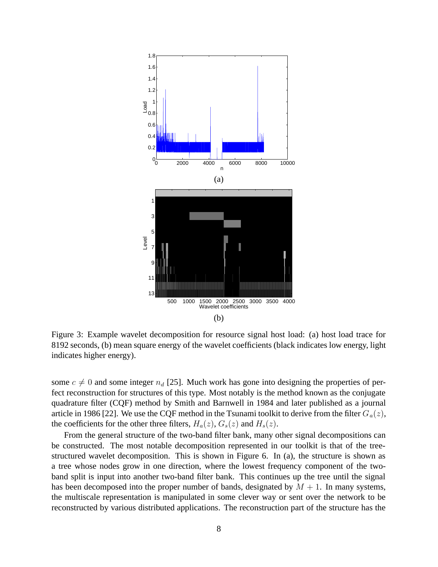

Figure 3: Example wavelet decomposition for resource signal host load: (a) host load trace for 8192 seconds, (b) mean square energy of the wavelet coefficients (black indicates low energy, light indicates higher energy).

some  $c \neq 0$  and some integer  $n_d$  [25]. Much work has gone into designing the properties of perfect reconstruction for structures of this type. Most notably is the method known as the conjugate quadrature filter (CQF) method by Smith and Barnwell in 1984 and later published as a journal article in 1986 [22]. We use the CQF method in the Tsunami toolkit to derive from the filter  $G_a(z)$ , the coefficients for the other three filters,  $H_a(z)$ ,  $G_s(z)$  and  $H_s(z)$ .

From the general structure of the two-band filter bank, many other signal decompositions can be constructed. The most notable decomposition represented in our toolkit is that of the treestructured wavelet decomposition. This is shown in Figure 6. In (a), the structure is shown as a tree whose nodes grow in one direction, where the lowest frequency component of the twoband split is input into another two-band filter bank. This continues up the tree until the signal has been decomposed into the proper number of bands, designated by  $M + 1$ . In many systems, the multiscale representation is manipulated in some clever way or sent over the network to be reconstructed by various distributed applications. The reconstruction part of the structure has the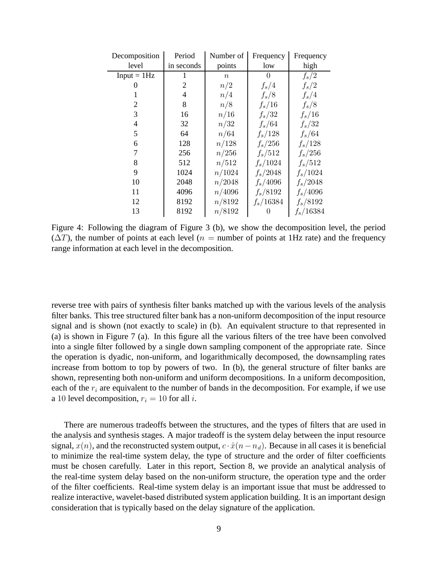| Decomposition | Period     | Number of | Frequency    | Frequency   |  |
|---------------|------------|-----------|--------------|-------------|--|
| level         | in seconds | points    | low          | high        |  |
| $Input = 1Hz$ |            | $\, n$    | $\mathbf{0}$ | $f_s/2$     |  |
| 0             | 2          | n/2       | $f_s/4$      | $f_s/2$     |  |
| 1             | 4          | n/4       | $f_s/8$      | $f_s/4$     |  |
| 2             | 8          | n/8       | $f_s/16$     | $f_s/8$     |  |
| 3             | 16         | n/16      | $f_s/32$     | $f_s/16$    |  |
| 4             | 32         | n/32      | $f_s/64$     | $f_s/32$    |  |
| 5             | 64         | n/64      | $f_s/128$    | $f_s/64$    |  |
| 6             | 128        | n/128     | $f_s/256$    | $f_s/128$   |  |
| 7             | 256        | n/256     | $f_s/512$    | $f_s/256$   |  |
| 8             | 512        | n/512     | $f_s/1024$   | $f_s/512$   |  |
| 9             | 1024       | n/1024    | $f_s/2048$   | $f_s/1024$  |  |
| 10            | 2048       | n/2048    | $f_s/4096$   | $f_s/2048$  |  |
| 11            | 4096       | n/4096    | $f_s/8192$   | $f_s/4096$  |  |
| 12            | 8192       | n/8192    | $f_s/16384$  | $f_s/8192$  |  |
| 13            | 8192       | n/8192    | 0            | $f_s/16384$ |  |

Figure 4: Following the diagram of Figure 3 (b), we show the decomposition level, the period  $(\Delta T)$ , the number of points at each level ( $n =$  number of points at 1Hz rate) and the frequency range information at each level in the decomposition.

reverse tree with pairs of synthesis filter banks matched up with the various levels of the analysis filter banks. This tree structured filter bank has a non-uniform decomposition of the input resource signal and is shown (not exactly to scale) in (b). An equivalent structure to that represented in (a) is shown in Figure 7 (a). In this figure all the various filters of the tree have been convolved into a single filter followed by a single down sampling component of the appropriate rate. Since the operation is dyadic, non-uniform, and logarithmically decomposed, the downsampling rates increase from bottom to top by powers of two. In (b), the general structure of filter banks are shown, representing both non-uniform and uniform decompositions. In a uniform decomposition, each of the r*<sup>i</sup>* are equivalent to the number of bands in the decomposition. For example, if we use a 10 level decomposition,  $r_i = 10$  for all *i*.

There are numerous tradeoffs between the structures, and the types of filters that are used in the analysis and synthesis stages. A major tradeoff is the system delay between the input resource signal,  $x(n)$ , and the reconstructed system output,  $c \cdot \hat{x}(n-n_d)$ . Because in all cases it is beneficial to minimize the real-time system delay, the type of structure and the order of filter coefficients must be chosen carefully. Later in this report, Section 8, we provide an analytical analysis of the real-time system delay based on the non-uniform structure, the operation type and the order of the filter coefficients. Real-time system delay is an important issue that must be addressed to realize interactive, wavelet-based distributed system application building. It is an important design consideration that is typically based on the delay signature of the application.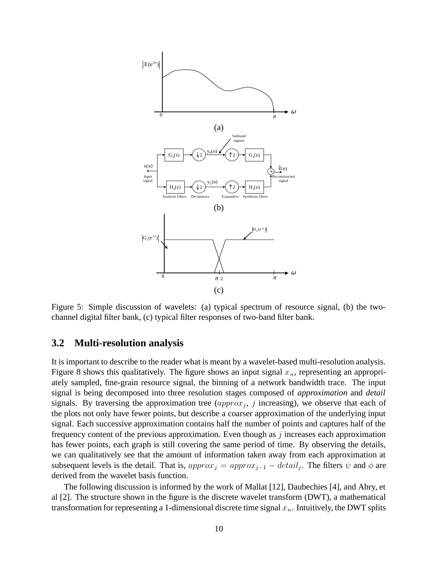

Figure 5: Simple discussion of wavelets: (a) typical spectrum of resource signal, (b) the twochannel digital filter bank, (c) typical filter responses of two-band filter bank.

#### **3.2 Multi-resolution analysis**

It is important to describe to the reader what is meant by a wavelet-based multi-resolution analysis. Figure 8 shows this qualitatively. The figure shows an input signal  $x_n$ , representing an appropriately sampled, fine-grain resource signal, the binning of a network bandwidth trace. The input signal is being decomposed into three resolution stages composed of *approximation* and *detail* signals. By traversing the approximation tree  $\left(approx_j, j \right)$  increasing), we observe that each of the plots not only have fewer points, but describe a coarser approximation of the underlying input signal. Each successive approximation contains half the number of points and captures half of the frequency content of the previous approximation. Even though as  $j$  increases each approximation has fewer points, each graph is still covering the same period of time. By observing the details, we can qualitatively see that the amount of information taken away from each approximation at subsequent levels is the detail. That is,  $approx_j = approx_{j-1} - detail_j$ . The filters  $\psi$  and  $\phi$  are derived from the wavelet basis function.

The following discussion is informed by the work of Mallat [12], Daubechies [4], and Abry, et al [2]. The structure shown in the figure is the discrete wavelet transform (DWT), a mathematical transformation for representing a 1-dimensional discrete time signal  $x_n$ . Intuitively, the DWT splits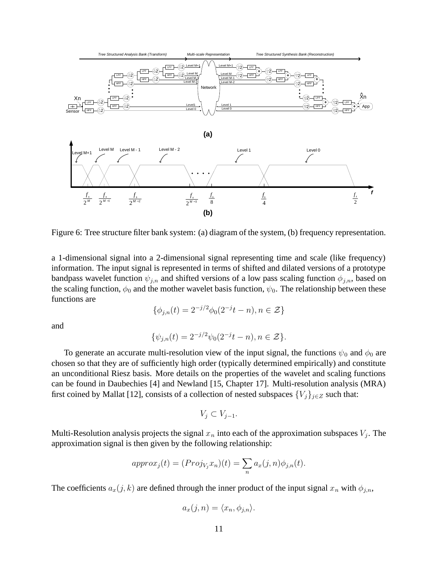

Figure 6: Tree structure filter bank system: (a) diagram of the system, (b) frequency representation.

a 1-dimensional signal into a 2-dimensional signal representing time and scale (like frequency) information. The input signal is represented in terms of shifted and dilated versions of a prototype bandpass wavelet function  $\psi_{j,n}$  and shifted versions of a low pass scaling function  $\phi_{j,n}$ , based on the scaling function,  $\phi_0$  and the mother wavelet basis function,  $\psi_0$ . The relationship between these functions are

$$
\{\phi_{j,n}(t) = 2^{-j/2}\phi_0(2^{-j}t - n), n \in \mathcal{Z}\}
$$

and

$$
\{\psi_{j,n}(t) = 2^{-j/2}\psi_0(2^{-j}t - n), n \in \mathcal{Z}\}.
$$

To generate an accurate multi-resolution view of the input signal, the functions  $\psi_0$  and  $\phi_0$  are chosen so that they are of sufficiently high order (typically determined empirically) and constitute an unconditional Riesz basis. More details on the properties of the wavelet and scaling functions can be found in Daubechies [4] and Newland [15, Chapter 17]. Multi-resolution analysis (MRA) first coined by Mallat [12], consists of a collection of nested subspaces  $\{V_j\}_{j\in\mathbb{Z}}$  such that:

$$
V_j \subset V_{j-1}.
$$

Multi-Resolution analysis projects the signal  $x_n$  into each of the approximation subspaces  $V_i$ . The approximation signal is then given by the following relationship:

$$
approx_j(t) = (Proj_{V_j} x_n)(t) = \sum_n a_x(j, n)\phi_{j,n}(t).
$$

The coefficients  $a_x(j, k)$  are defined through the inner product of the input signal  $x_n$  with  $\phi_{j,n}$ ,

$$
a_x(j, n) = \langle x_n, \phi_{j,n} \rangle.
$$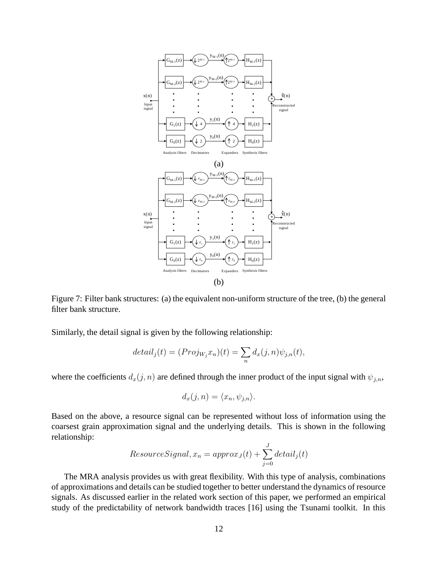

Figure 7: Filter bank structures: (a) the equivalent non-uniform structure of the tree, (b) the general filter bank structure.

Similarly, the detail signal is given by the following relationship:

$$
detail_j(t) = (Proj_{W_j}x_n)(t) = \sum_n d_x(j,n)\psi_{j,n}(t),
$$

where the coefficients  $d_x(j, n)$  are defined through the inner product of the input signal with  $\psi_{j,n}$ ,

$$
d_x(j, n) = \langle x_n, \psi_{j,n} \rangle.
$$

Based on the above, a resource signal can be represented without loss of information using the coarsest grain approximation signal and the underlying details. This is shown in the following relationship:

$$
ResourceSignal, x_n = approx_J(t) + \sum_{j=0}^{J} detail_j(t)
$$

The MRA analysis provides us with great flexibility. With this type of analysis, combinations of approximations and details can be studied together to better understand the dynamics of resource signals. As discussed earlier in the related work section of this paper, we performed an empirical study of the predictability of network bandwidth traces [16] using the Tsunami toolkit. In this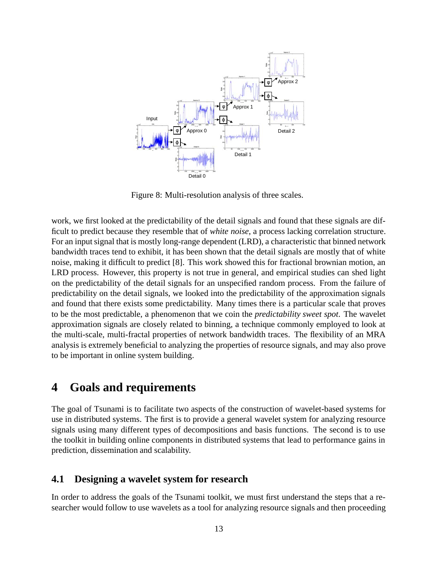

Figure 8: Multi-resolution analysis of three scales.

work, we first looked at the predictability of the detail signals and found that these signals are difficult to predict because they resemble that of *white noise*, a process lacking correlation structure. For an input signal that is mostly long-range dependent (LRD), a characteristic that binned network bandwidth traces tend to exhibit, it has been shown that the detail signals are mostly that of white noise, making it difficult to predict [8]. This work showed this for fractional brownian motion, an LRD process. However, this property is not true in general, and empirical studies can shed light on the predictability of the detail signals for an unspecified random process. From the failure of predictability on the detail signals, we looked into the predictability of the approximation signals and found that there exists some predictability. Many times there is a particular scale that proves to be the most predictable, a phenomenon that we coin the *predictability sweet spot*. The wavelet approximation signals are closely related to binning, a technique commonly employed to look at the multi-scale, multi-fractal properties of network bandwidth traces. The flexibility of an MRA analysis is extremely beneficial to analyzing the properties of resource signals, and may also prove to be important in online system building.

## **4 Goals and requirements**

The goal of Tsunami is to facilitate two aspects of the construction of wavelet-based systems for use in distributed systems. The first is to provide a general wavelet system for analyzing resource signals using many different types of decompositions and basis functions. The second is to use the toolkit in building online components in distributed systems that lead to performance gains in prediction, dissemination and scalability.

#### **4.1 Designing a wavelet system for research**

In order to address the goals of the Tsunami toolkit, we must first understand the steps that a researcher would follow to use wavelets as a tool for analyzing resource signals and then proceeding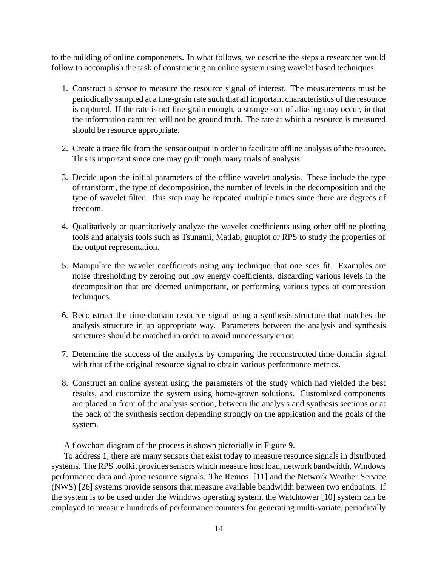to the building of online componenets. In what follows, we describe the steps a researcher would follow to accomplish the task of constructing an online system using wavelet based techniques.

- 1. Construct a sensor to measure the resource signal of interest. The measurements must be periodically sampled at a fine-grain rate such that all important characteristics of the resource is captured. If the rate is not fine-grain enough, a strange sort of aliasing may occur, in that the information captured will not be ground truth. The rate at which a resource is measured should be resource appropriate.
- 2. Create a trace file from the sensor output in order to facilitate offline analysis of the resource. This is important since one may go through many trials of analysis.
- 3. Decide upon the initial parameters of the offline wavelet analysis. These include the type of transform, the type of decomposition, the number of levels in the decomposition and the type of wavelet filter. This step may be repeated multiple times since there are degrees of freedom.
- 4. Qualitatively or quantitatively analyze the wavelet coefficients using other offline plotting tools and analysis tools such as Tsunami, Matlab, gnuplot or RPS to study the properties of the output representation.
- 5. Manipulate the wavelet coefficients using any technique that one sees fit. Examples are noise thresholding by zeroing out low energy coefficients, discarding various levels in the decomposition that are deemed unimportant, or performing various types of compression techniques.
- 6. Reconstruct the time-domain resource signal using a synthesis structure that matches the analysis structure in an appropriate way. Parameters between the analysis and synthesis structures should be matched in order to avoid unnecessary error.
- 7. Determine the success of the analysis by comparing the reconstructed time-domain signal with that of the original resource signal to obtain various performance metrics.
- 8. Construct an online system using the parameters of the study which had yielded the best results, and customize the system using home-grown solutions. Customized components are placed in front of the analysis section, between the analysis and synthesis sections or at the back of the synthesis section depending strongly on the application and the goals of the system.

A flowchart diagram of the process is shown pictorially in Figure 9.

To address 1, there are many sensors that exist today to measure resource signals in distributed systems. The RPS toolkit provides sensors which measure host load, network bandwidth, Windows performance data and /proc resource signals. The Remos [11] and the Network Weather Service (NWS) [26] systems provide sensors that measure available bandwidth between two endpoints. If the system is to be used under the Windows operating system, the Watchtower [10] system can be employed to measure hundreds of performance counters for generating multi-variate, periodically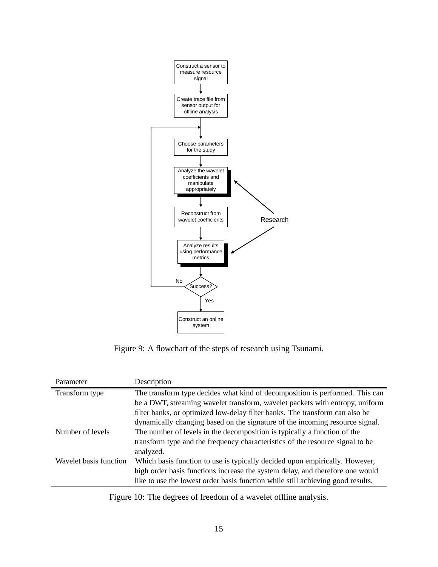

Figure 9: A flowchart of the steps of research using Tsunami.

| Parameter              | Description                                                                     |
|------------------------|---------------------------------------------------------------------------------|
| Transform type         | The transform type decides what kind of decomposition is performed. This can    |
|                        | be a DWT, streaming wavelet transform, wavelet packets with entropy, uniform    |
|                        | filter banks, or optimized low-delay filter banks. The transform can also be    |
|                        | dynamically changing based on the signature of the incoming resource signal.    |
| Number of levels       | The number of levels in the decomposition is typically a function of the        |
|                        | transform type and the frequency characteristics of the resource signal to be   |
|                        | analyzed.                                                                       |
| Wavelet basis function | Which basis function to use is typically decided upon empirically. However,     |
|                        | high order basis functions increase the system delay, and therefore one would   |
|                        | like to use the lowest order basis function while still achieving good results. |
|                        |                                                                                 |

Figure 10: The degrees of freedom of a wavelet offline analysis.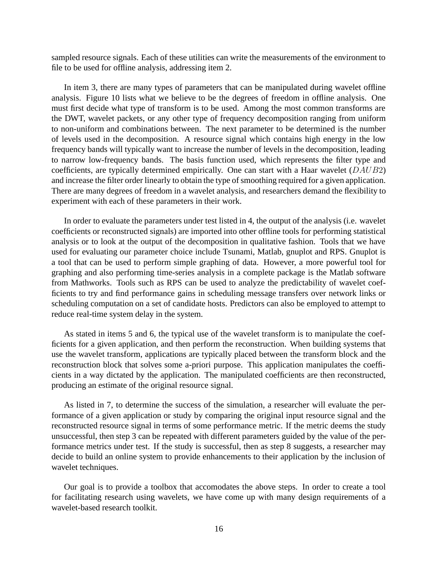sampled resource signals. Each of these utilities can write the measurements of the environment to file to be used for offline analysis, addressing item 2.

In item 3, there are many types of parameters that can be manipulated during wavelet offline analysis. Figure 10 lists what we believe to be the degrees of freedom in offline analysis. One must first decide what type of transform is to be used. Among the most common transforms are the DWT, wavelet packets, or any other type of frequency decomposition ranging from uniform to non-uniform and combinations between. The next parameter to be determined is the number of levels used in the decomposition. A resource signal which contains high energy in the low frequency bands will typically want to increase the number of levels in the decomposition, leading to narrow low-frequency bands. The basis function used, which represents the filter type and coefficients, are typically determined empirically. One can start with a Haar wavelet (DAUB2) and increase the filter order linearly to obtain the type of smoothing required for a given application. There are many degrees of freedom in a wavelet analysis, and researchers demand the flexibility to experiment with each of these parameters in their work.

In order to evaluate the parameters under test listed in 4, the output of the analysis (i.e. wavelet coefficients or reconstructed signals) are imported into other offline tools for performing statistical analysis or to look at the output of the decomposition in qualitative fashion. Tools that we have used for evaluating our parameter choice include Tsunami, Matlab, gnuplot and RPS. Gnuplot is a tool that can be used to perform simple graphing of data. However, a more powerful tool for graphing and also performing time-series analysis in a complete package is the Matlab software from Mathworks. Tools such as RPS can be used to analyze the predictability of wavelet coefficients to try and find performance gains in scheduling message transfers over network links or scheduling computation on a set of candidate hosts. Predictors can also be employed to attempt to reduce real-time system delay in the system.

As stated in items 5 and 6, the typical use of the wavelet transform is to manipulate the coefficients for a given application, and then perform the reconstruction. When building systems that use the wavelet transform, applications are typically placed between the transform block and the reconstruction block that solves some a-priori purpose. This application manipulates the coefficients in a way dictated by the application. The manipulated coefficients are then reconstructed, producing an estimate of the original resource signal.

As listed in 7, to determine the success of the simulation, a researcher will evaluate the performance of a given application or study by comparing the original input resource signal and the reconstructed resource signal in terms of some performance metric. If the metric deems the study unsuccessful, then step 3 can be repeated with different parameters guided by the value of the performance metrics under test. If the study is successful, then as step 8 suggests, a researcher may decide to build an online system to provide enhancements to their application by the inclusion of wavelet techniques.

Our goal is to provide a toolbox that accomodates the above steps. In order to create a tool for facilitating research using wavelets, we have come up with many design requirements of a wavelet-based research toolkit.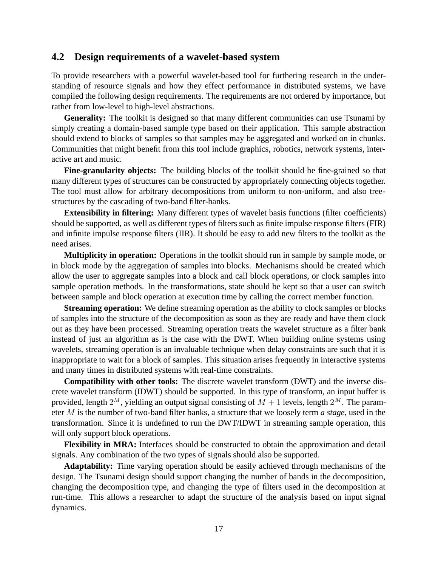#### **4.2 Design requirements of a wavelet-based system**

To provide researchers with a powerful wavelet-based tool for furthering research in the understanding of resource signals and how they effect performance in distributed systems, we have compiled the following design requirements. The requirements are not ordered by importance, but rather from low-level to high-level abstractions.

Generality: The toolkit is designed so that many different communities can use Tsunami by simply creating a domain-based sample type based on their application. This sample abstraction should extend to blocks of samples so that samples may be aggregated and worked on in chunks. Communities that might benefit from this tool include graphics, robotics, network systems, interactive art and music.

**Fine-granularity objects:** The building blocks of the toolkit should be fine-grained so that many different types of structures can be constructed by appropriately connecting objects together. The tool must allow for arbitrary decompositions from uniform to non-uniform, and also treestructures by the cascading of two-band filter-banks.

**Extensibility in filtering:** Many different types of wavelet basis functions (filter coefficients) should be supported, as well as different types of filters such as finite impulse response filters (FIR) and infinite impulse response filters (IIR). It should be easy to add new filters to the toolkit as the need arises.

**Multiplicity in operation:** Operations in the toolkit should run in sample by sample mode, or in block mode by the aggregation of samples into blocks. Mechanisms should be created which allow the user to aggregate samples into a block and call block operations, or clock samples into sample operation methods. In the transformations, state should be kept so that a user can switch between sample and block operation at execution time by calling the correct member function.

**Streaming operation:** We define streaming operation as the ability to clock samples or blocks of samples into the structure of the decomposition as soon as they are ready and have them clock out as they have been processed. Streaming operation treats the wavelet structure as a filter bank instead of just an algorithm as is the case with the DWT. When building online systems using wavelets, streaming operation is an invaluable technique when delay constraints are such that it is inappropriate to wait for a block of samples. This situation arises frequently in interactive systems and many times in distributed systems with real-time constraints.

**Compatibility with other tools:** The discrete wavelet transform (DWT) and the inverse discrete wavelet transform (IDWT) should be supported. In this type of transform, an input buffer is provided, length  $2^M$ , yielding an output signal consisting of  $M + 1$  levels, length  $2^M$ . The parameter M is the number of two-band filter banks, a structure that we loosely term *a stage*, used in the transformation. Since it is undefined to run the DWT/IDWT in streaming sample operation, this will only support block operations.

**Flexibility in MRA:** Interfaces should be constructed to obtain the approximation and detail signals. Any combination of the two types of signals should also be supported.

**Adaptability:** Time varying operation should be easily achieved through mechanisms of the design. The Tsunami design should support changing the number of bands in the decomposition, changing the decomposition type, and changing the type of filters used in the decomposition at run-time. This allows a researcher to adapt the structure of the analysis based on input signal dynamics.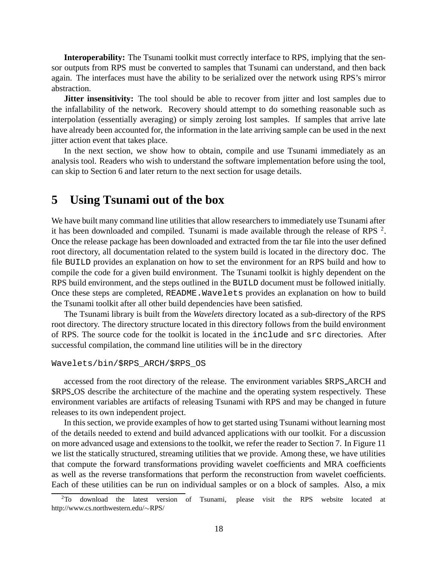**Interoperability:** The Tsunami toolkit must correctly interface to RPS, implying that the sensor outputs from RPS must be converted to samples that Tsunami can understand, and then back again. The interfaces must have the ability to be serialized over the network using RPS's mirror abstraction.

**Jitter insensitivity:** The tool should be able to recover from jitter and lost samples due to the infallability of the network. Recovery should attempt to do something reasonable such as interpolation (essentially averaging) or simply zeroing lost samples. If samples that arrive late have already been accounted for, the information in the late arriving sample can be used in the next jitter action event that takes place.

In the next section, we show how to obtain, compile and use Tsunami immediately as an analysis tool. Readers who wish to understand the software implementation before using the tool, can skip to Section 6 and later return to the next section for usage details.

### **5 Using Tsunami out of the box**

We have built many command line utilities that allow researchers to immediately use Tsunami after it has been downloaded and compiled. Tsunami is made available through the release of RPS<sup>2</sup>. Once the release package has been downloaded and extracted from the tar file into the user defined root directory, all documentation related to the system build is located in the directory doc. The file BUILD provides an explanation on how to set the environment for an RPS build and how to compile the code for a given build environment. The Tsunami toolkit is highly dependent on the RPS build environment, and the steps outlined in the BUILD document must be followed initially. Once these steps are completed, README. Wavelets provides an explanation on how to build the Tsunami toolkit after all other build dependencies have been satisfied.

The Tsunami library is built from the *Wavelets* directory located as a sub-directory of the RPS root directory. The directory structure located in this directory follows from the build environment of RPS. The source code for the toolkit is located in the include and src directories. After successful compilation, the command line utilities will be in the directory

```
Wavelets/bin/$RPS_ARCH/$RPS_OS
```
accessed from the root directory of the release. The environment variables \$RPS ARCH and \$RPS OS describe the architecture of the machine and the operating system respectively. These environment variables are artifacts of releasing Tsunami with RPS and may be changed in future releases to its own independent project.

In this section, we provide examples of how to get started using Tsunami without learning most of the details needed to extend and build advanced applications with our toolkit. For a discussion on more advanced usage and extensions to the toolkit, we refer the reader to Section 7. In Figure 11 we list the statically structured, streaming utilities that we provide. Among these, we have utilities that compute the forward transformations providing wavelet coefficients and MRA coefficients as well as the reverse transformations that perform the reconstruction from wavelet coefficients. Each of these utilities can be run on individual samples or on a block of samples. Also, a mix

<sup>&</sup>lt;sup>2</sup>To download the latest version of Tsunami, please visit the RPS website located at http://www.cs.northwestern.edu/∼RPS/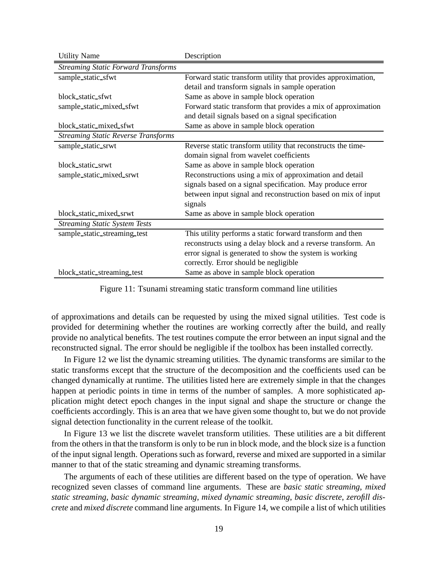| <b>Utility Name</b>                        | Description                                                   |
|--------------------------------------------|---------------------------------------------------------------|
| <b>Streaming Static Forward Transforms</b> |                                                               |
| sample_static_sfwt                         | Forward static transform utility that provides approximation, |
|                                            | detail and transform signals in sample operation              |
| block_static_sfwt                          | Same as above in sample block operation                       |
| sample_static_mixed_sfwt                   | Forward static transform that provides a mix of approximation |
|                                            | and detail signals based on a signal specification            |
| block static mixed sfwt                    | Same as above in sample block operation                       |
| <b>Streaming Static Reverse Transforms</b> |                                                               |
| sample_static_srwt                         | Reverse static transform utility that reconstructs the time-  |
|                                            | domain signal from wavelet coefficients                       |
| block_static_srwt                          | Same as above in sample block operation                       |
| sample_static_mixed_srwt                   | Reconstructions using a mix of approximation and detail       |
|                                            | signals based on a signal specification. May produce error    |
|                                            | between input signal and reconstruction based on mix of input |
|                                            | signals                                                       |
| block_static_mixed_srwt                    | Same as above in sample block operation                       |
| <b>Streaming Static System Tests</b>       |                                                               |
| sample_static_streaming_test               | This utility performs a static forward transform and then     |
|                                            | reconstructs using a delay block and a reverse transform. An  |
|                                            | error signal is generated to show the system is working       |
|                                            | correctly. Error should be negligible                         |
| block_static_streaming_test                | Same as above in sample block operation                       |

Figure 11: Tsunami streaming static transform command line utilities

of approximations and details can be requested by using the mixed signal utilities. Test code is provided for determining whether the routines are working correctly after the build, and really provide no analytical benefits. The test routines compute the error between an input signal and the reconstructed signal. The error should be negligible if the toolbox has been installed correctly.

In Figure 12 we list the dynamic streaming utilities. The dynamic transforms are similar to the static transforms except that the structure of the decomposition and the coefficients used can be changed dynamically at runtime. The utilities listed here are extremely simple in that the changes happen at periodic points in time in terms of the number of samples. A more sophisticated application might detect epoch changes in the input signal and shape the structure or change the coefficients accordingly. This is an area that we have given some thought to, but we do not provide signal detection functionality in the current release of the toolkit.

In Figure 13 we list the discrete wavelet transform utilities. These utilities are a bit different from the others in that the transform is only to be run in block mode, and the block size is a function of the input signal length. Operations such as forward, reverse and mixed are supported in a similar manner to that of the static streaming and dynamic streaming transforms.

The arguments of each of these utilities are different based on the type of operation. We have recognized seven classes of command line arguments. These are *basic static streaming*, *mixed static streaming*, *basic dynamic streaming*, *mixed dynamic streaming*, *basic discrete*, *zerofill discrete* and *mixed discrete* command line arguments. In Figure 14, we compile a list of which utilities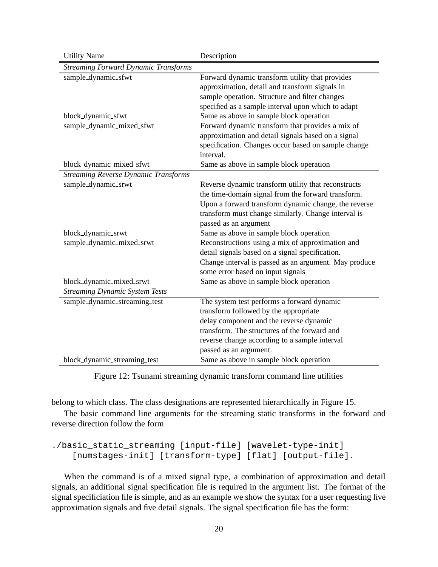| <b>Utility Name</b>                         | Description                                           |
|---------------------------------------------|-------------------------------------------------------|
| Streaming Forward Dynamic Transforms        |                                                       |
| sample_dynamic_sfwt                         | Forward dynamic transform utility that provides       |
|                                             | approximation, detail and transform signals in        |
|                                             | sample operation. Structure and filter changes        |
|                                             | specified as a sample interval upon which to adapt    |
| block_dynamic_sfwt                          | Same as above in sample block operation               |
| sample_dynamic_mixed_sfwt                   | Forward dynamic transform that provides a mix of      |
|                                             | approximation and detail signals based on a signal    |
|                                             | specification. Changes occur based on sample change   |
|                                             | interval.                                             |
| block_dynamic_mixed_sfwt                    | Same as above in sample block operation               |
| <b>Streaming Reverse Dynamic Transforms</b> |                                                       |
| sample_dynamic_srwt                         | Reverse dynamic transform utility that reconstructs   |
|                                             | the time-domain signal from the forward transform.    |
|                                             | Upon a forward transform dynamic change, the reverse  |
|                                             | transform must change similarly. Change interval is   |
|                                             | passed as an argument                                 |
| block_dynamic_srwt                          | Same as above in sample block operation               |
| sample_dynamic_mixed_srwt                   | Reconstructions using a mix of approximation and      |
|                                             | detail signals based on a signal specification.       |
|                                             | Change interval is passed as an argument. May produce |
|                                             | some error based on input signals                     |
| block_dynamic_mixed_srwt                    | Same as above in sample block operation               |
| <b>Streaming Dynamic System Tests</b>       |                                                       |
| sample_dynamic_streaming_test               | The system test performs a forward dynamic            |
|                                             | transform followed by the appropriate                 |
|                                             | delay component and the reverse dynamic               |
|                                             | transform. The structures of the forward and          |
|                                             | reverse change according to a sample interval         |
|                                             | passed as an argument.                                |
| block_dynamic_streaming_test                | Same as above in sample block operation               |

Figure 12: Tsunami streaming dynamic transform command line utilities

belong to which class. The class designations are represented hierarchically in Figure 15.

The basic command line arguments for the streaming static transforms in the forward and reverse direction follow the form

```
./basic_static_streaming [input-file] [wavelet-type-init]
   [numstages-init] [transform-type] [flat] [output-file].
```
When the command is of a mixed signal type, a combination of approximation and detail signals, an additional signal specification file is required in the argument list. The format of the signal specificiation file is simple, and as an example we show the syntax for a user requesting five approximation signals and five detail signals. The signal specification file has the form: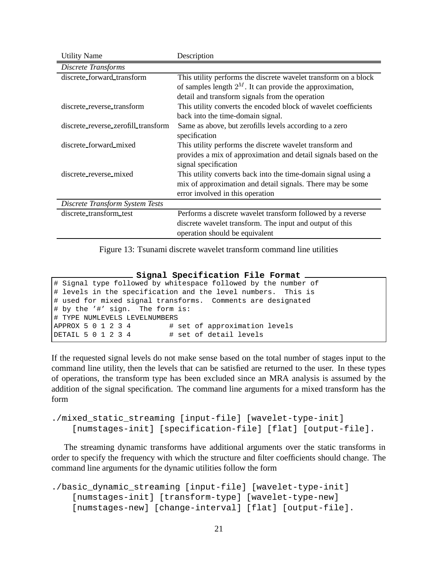| <b>Utility Name</b>                 | Description                                                     |
|-------------------------------------|-----------------------------------------------------------------|
| Discrete Transforms                 |                                                                 |
| discrete_forward_transform          | This utility performs the discrete wavelet transform on a block |
|                                     | of samples length $2^M$ . It can provide the approximation,     |
|                                     | detail and transform signals from the operation                 |
| discrete_reverse_transform          | This utility converts the encoded block of wavelet coefficients |
|                                     | back into the time-domain signal.                               |
| discrete_reverse_zerofill_transform | Same as above, but zerofills levels according to a zero         |
|                                     | specification                                                   |
| discrete_forward_mixed              | This utility performs the discrete wavelet transform and        |
|                                     | provides a mix of approximation and detail signals based on the |
|                                     | signal specification                                            |
| discrete reverse mixed              | This utility converts back into the time-domain signal using a  |
|                                     | mix of approximation and detail signals. There may be some      |
|                                     | error involved in this operation                                |
| Discrete Transform System Tests     |                                                                 |
| discrete_transform_test             | Performs a discrete wavelet transform followed by a reverse     |
|                                     | discrete wavelet transform. The input and output of this        |
|                                     | operation should be equivalent                                  |

Figure 13: Tsunami discrete wavelet transform command line utilities

**Signal Specification File Format**

```
# Signal type followed by whitespace followed by the number of
# levels in the specification and the level numbers. This is
# used for mixed signal transforms. Comments are designated
# by the '#' sign. The form is:
# TYPE NUMLEVELS LEVELNUMBERS
APPROX 5 0 1 2 3 4 # set of approximation levels
DETAIL 5 0 1 2 3 4 # set of detail levels
```
If the requested signal levels do not make sense based on the total number of stages input to the command line utility, then the levels that can be satisfied are returned to the user. In these types of operations, the transform type has been excluded since an MRA analysis is assumed by the addition of the signal specification. The command line arguments for a mixed transform has the form

```
./mixed_static_streaming [input-file] [wavelet-type-init]
    [numstages-init] [specification-file] [flat] [output-file].
```
The streaming dynamic transforms have additional arguments over the static transforms in order to specify the frequency with which the structure and filter coefficients should change. The command line arguments for the dynamic utilities follow the form

```
./basic_dynamic_streaming [input-file] [wavelet-type-init]
    [numstages-init] [transform-type] [wavelet-type-new]
    [numstages-new] [change-interval] [flat] [output-file].
```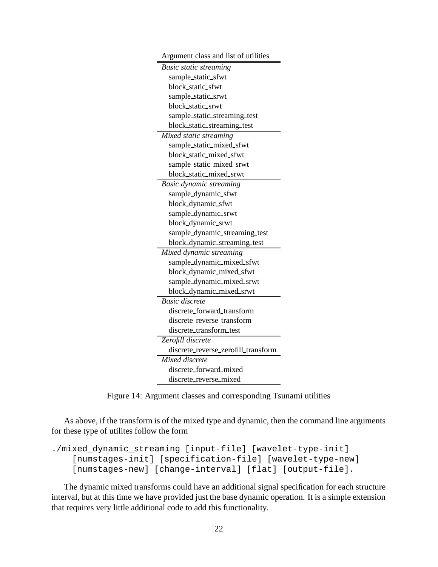| Argument class and list of utilities |
|--------------------------------------|
| <b>Basic static streaming</b>        |
| sample_static_sfwt                   |
| block_static_sfwt                    |
| sample_static_srwt                   |
| block_static_srwt                    |
| sample_static_streaming_test         |
| block_static_streaming_test          |
| Mixed static streaming               |
| sample_static_mixed_sfwt             |
| block_static_mixed_sfwt              |
| sample_static_mixed_srwt             |
| block_static_mixed_srwt              |
| <b>Basic dynamic streaming</b>       |
| sample_dynamic_sfwt                  |
| block_dynamic_sfwt                   |
| sample_dynamic_srwt                  |
| block_dynamic_srwt                   |
| sample_dynamic_streaming_test        |
| block_dynamic_streaming_test         |
| Mixed dynamic streaming              |
| sample_dynamic_mixed_sfwt            |
| block_dynamic_mixed_sfwt             |
| sample_dynamic_mixed_srwt            |
| block_dynamic_mixed_srwt             |
| <b>Basic discrete</b>                |
| discrete_forward_transform           |
| discrete_reverse_transform           |
| discrete_transform_test              |
| Zerofill discrete                    |
| discrete_reverse_zerofill_transform  |
| Mixed discrete                       |
| discrete_forward_mixed               |
| discrete_reverse_mixed               |

Figure 14: Argument classes and corresponding Tsunami utilities

As above, if the transform is of the mixed type and dynamic, then the command line arguments for these type of utilites follow the form

```
./mixed_dynamic_streaming [input-file] [wavelet-type-init]
   [numstages-init] [specification-file] [wavelet-type-new]
    [numstages-new] [change-interval] [flat] [output-file].
```
The dynamic mixed transforms could have an additional signal specification for each structure interval, but at this time we have provided just the base dynamic operation. It is a simple extension that requires very little additional code to add this functionality.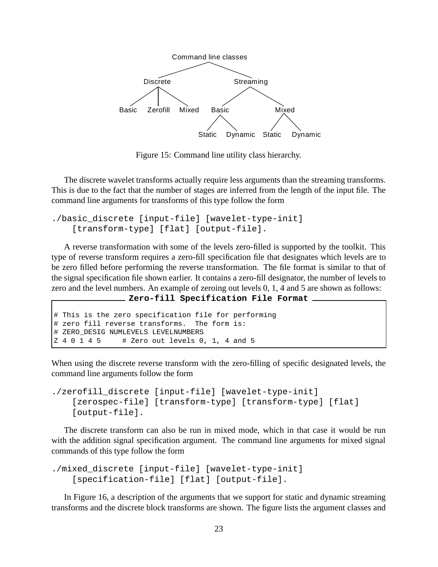

Figure 15: Command line utility class hierarchy.

The discrete wavelet transforms actually require less arguments than the streaming transforms. This is due to the fact that the number of stages are inferred from the length of the input file. The command line arguments for transforms of this type follow the form

```
./basic_discrete [input-file] [wavelet-type-init]
    [transform-type] [flat] [output-file].
```
A reverse transformation with some of the levels zero-filled is supported by the toolkit. This type of reverse transform requires a zero-fill specification file that designates which levels are to be zero filled before performing the reverse transformation. The file format is similar to that of the signal specification file shown earlier. It contains a zero-fill designator, the number of levels to zero and the level numbers. An example of zeroing out levels 0, 1, 4 and 5 are shown as follows:

```
Zero-fill Specification File Format
```

```
# This is the zero specification file for performing
# zero fill reverse transforms. The form is:
# ZERO_DESIG NUMLEVELS LEVELNUMBERS
Z 4 0 1 4 5 # Zero out levels 0, 1, 4 and 5
```
When using the discrete reverse transform with the zero-filling of specific designated levels, the command line arguments follow the form

```
./zerofill_discrete [input-file] [wavelet-type-init]
    [zerospec-file] [transform-type] [transform-type] [flat]
    [output-file].
```
The discrete transform can also be run in mixed mode, which in that case it would be run with the addition signal specification argument. The command line arguments for mixed signal commands of this type follow the form

```
./mixed_discrete [input-file] [wavelet-type-init]
    [specification-file] [flat] [output-file].
```
In Figure 16, a description of the arguments that we support for static and dynamic streaming transforms and the discrete block transforms are shown. The figure lists the argument classes and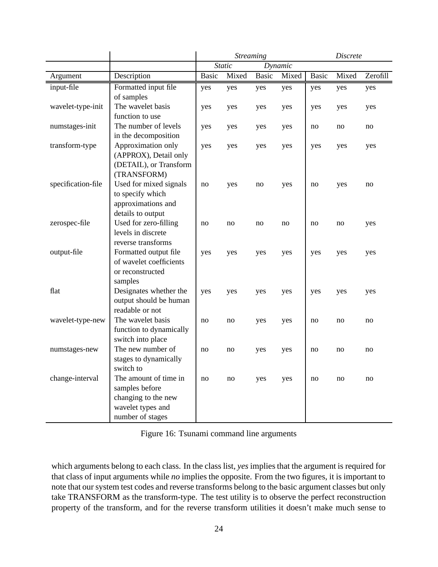|                    |                                              | <b>Streaming</b> |       |         |       | <b>Discrete</b> |       |          |
|--------------------|----------------------------------------------|------------------|-------|---------|-------|-----------------|-------|----------|
|                    |                                              | <b>Static</b>    |       | Dynamic |       |                 |       |          |
| Argument           | Description                                  | <b>Basic</b>     | Mixed | Basic   | Mixed | <b>Basic</b>    | Mixed | Zerofill |
| input-file         | Formatted input file                         | yes              | yes   | yes     | yes   | yes             | yes   | yes      |
|                    | of samples                                   |                  |       |         |       |                 |       |          |
| wavelet-type-init  | The wavelet basis                            | yes              | yes   | yes     | yes   | yes             | yes   | yes      |
|                    | function to use                              |                  |       |         |       |                 |       |          |
| numstages-init     | The number of levels                         | yes              | yes   | yes     | yes   | no              | no    | no       |
|                    | in the decomposition                         |                  |       |         |       |                 |       |          |
| transform-type     | Approximation only                           | yes              | yes   | yes     | yes   | yes             | yes   | yes      |
|                    | (APPROX), Detail only                        |                  |       |         |       |                 |       |          |
|                    | (DETAIL), or Transform                       |                  |       |         |       |                 |       |          |
|                    | (TRANSFORM)                                  |                  |       |         |       |                 |       |          |
| specification-file | Used for mixed signals                       | no               | yes   | no      | yes   | no              | yes   | no       |
|                    | to specify which                             |                  |       |         |       |                 |       |          |
|                    | approximations and                           |                  |       |         |       |                 |       |          |
|                    | details to output                            |                  |       |         |       |                 |       |          |
| zerospec-file      | Used for zero-filling                        | no               | no    | no      | no    | no              | no    | yes      |
|                    | levels in discrete                           |                  |       |         |       |                 |       |          |
|                    | reverse transforms                           |                  |       |         |       |                 |       |          |
| output-file        | Formatted output file                        | yes              | yes   | yes     | yes   | yes             | yes   | yes      |
|                    | of wavelet coefficients                      |                  |       |         |       |                 |       |          |
|                    | or reconstructed                             |                  |       |         |       |                 |       |          |
|                    | samples                                      |                  |       |         |       |                 |       |          |
| flat               | Designates whether the                       | yes              | yes   | yes     | yes   | yes             | yes   | yes      |
|                    | output should be human                       |                  |       |         |       |                 |       |          |
|                    | readable or not<br>The wavelet basis         |                  |       |         |       |                 |       |          |
| wavelet-type-new   |                                              | no               | no    | yes     | yes   | no              | no    | no       |
|                    | function to dynamically<br>switch into place |                  |       |         |       |                 |       |          |
|                    | The new number of                            | no               |       |         |       | no              | no    | no       |
| numstages-new      | stages to dynamically                        |                  | no    | yes     | yes   |                 |       |          |
|                    | switch to                                    |                  |       |         |       |                 |       |          |
| change-interval    | The amount of time in                        | no               | no    | yes     | yes   | no              | no    | no       |
|                    | samples before                               |                  |       |         |       |                 |       |          |
|                    | changing to the new                          |                  |       |         |       |                 |       |          |
|                    | wavelet types and                            |                  |       |         |       |                 |       |          |
|                    | number of stages                             |                  |       |         |       |                 |       |          |
|                    |                                              |                  |       |         |       |                 |       |          |

Figure 16: Tsunami command line arguments

which arguments belong to each class. In the class list, *yes* implies that the argument is required for that class of input arguments while *no* implies the opposite. From the two figures, it is important to note that our system test codes and reverse transforms belong to the basic argument classes but only take TRANSFORM as the transform-type. The test utility is to observe the perfect reconstruction property of the transform, and for the reverse transform utilities it doesn't make much sense to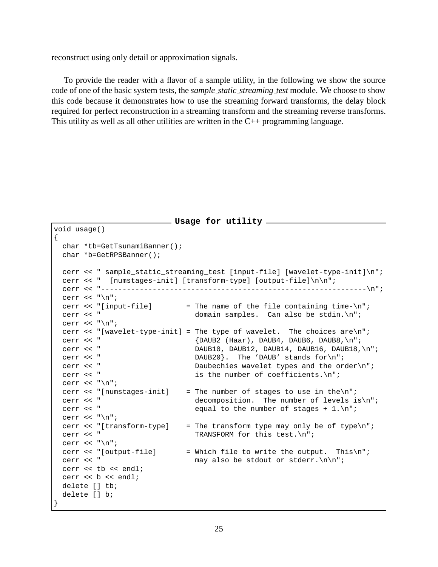reconstruct using only detail or approximation signals.

To provide the reader with a flavor of a sample utility, in the following we show the source code of one of the basic system tests, the *sample static streaming test* module. We choose to show this code because it demonstrates how to use the streaming forward transforms, the delay block required for perfect reconstruction in a streaming transform and the streaming reverse transforms. This utility as well as all other utilities are written in the C++ programming language.

```
Usage for utility
void usage()
{
 char *tb=GetTsunamiBanner();
 char *b=GetRPSBanner();
 cerr << " sample_static_streaming_test [input-file] [wavelet-type-init]\n";
 cerr << " [numstages-init] [transform-type] [output-file]\n\n";
 cerr << "--------------------------------------------------------------\n";
 cerr \langle \cdot \rangle";
 cerr << "[input-file] = The name of the file containing time-\n\pi;
 cerr << " domain samples. Can also be stdin.\n";
 cerr \langle \cdot \cdot \cdot \cdot \ranglen";
 cerr << "[wavelet-type-init] = The type of wavelet. The choices are\n";
 cerr << " {DAUB2 (Haar), DAUB4, DAUB6, DAUB8, \n";
 cerr << " DAUB10, DAUB12, DAUB14, DAUB16, DAUB18, \n";
 cerr << " DAUB20}. The 'DAUB' stands for\n";
 cerr << " Daubechies wavelet types and the order\n";
 cerr << " is the number of coefficients.\n";
 cerr \langle \cdot \cdot \cdot \cdot \cdot \ranglecerr << "[numstages-init] = The number of stages to use in the\ln";
 cerr << " decomposition. The number of levels is\n";
 cerr << " equal to the number of stages + 1.\n";
 cerr \langle \cdot \cdot \cdot \cdot \cdot \ranglen";
 cerr << "[transform-type] = The transform type may only be of type\{n^*;cerr << " TRANSFORM for this test.\n";
 cerr \langle \cdot \rangle";
 cerr << "[output-file] = Which file to write the output. This\n";
 cerr << " may also be stdout or stderr.\n\n";
 cerr << tb << endl;
 cerr << b << endl;
 delete [] tb;
 delete [] b;
}
```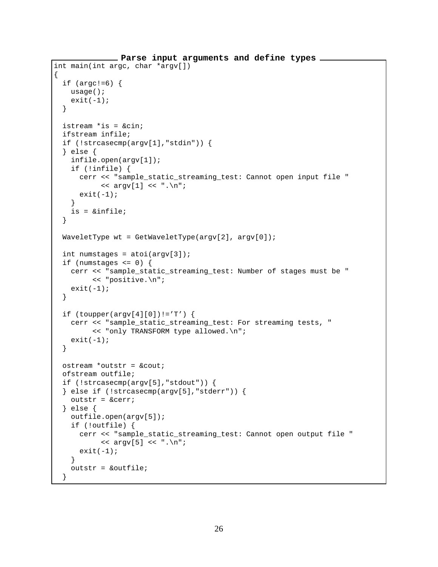```
Parse input arguments and define types
int main(int argc, char *argv[])
{
 if (\arg c != 6) {
   usage();
   exit(-1);}
 istream *is = &cin;
 ifstream infile;
 if (!strcasecmp(argv[1],"stdin")) {
  } else {
   infile.open(argv[1]);
   if (!infile) {
     cerr << "sample_static_streaming_test: Cannot open input file "
           << argv[1] << ".\n\n\frac{1}{1}exit(-1);}
   is = &infile;
  }
 WaveletType wt = GetWaveletType(argv[2], argv[0]);
 int numstages = atoi(argv[3]);
 if (numstages \leq 0) {
   cerr << "sample_static_streaming_test: Number of stages must be "
         << "positive.\n";
   exit(-1);}
 if (toupper(argv[4][0]):='T') {
   cerr << "sample_static_streaming_test: For streaming tests, "
         << "only TRANSFORM type allowed.\n";
   exit(-1);}
 ostream *outstr = &cout;
 ofstream outfile;
 if (!strcasecmp(argv[5],"stdout")) {
 } else if (!strcasecmp(argv[5],"stderr")) {
   outstr = &cerr;
  } else {
   outfile.open(argv[5]);
   if (!outfile) {
      cerr << "sample_static_streaming_test: Cannot open output file "
           << argv[5] << ".\n\nu";exit(-1);}
   outstr = &outfile;
  }
```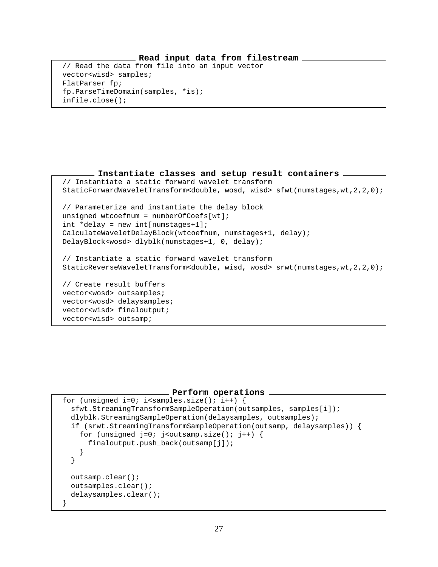#### **Read input data from filestream**

// Read the data from file into an input vector vector<wisd> samples; FlatParser fp; fp.ParseTimeDomain(samples, \*is); infile.close();

**Instantiate classes and setup result containers** // Instantiate a static forward wavelet transform StaticForwardWaveletTransform<double, wosd, wisd> sfwt(numstages,wt,2,2,0); // Parameterize and instantiate the delay block unsigned wtcoefnum = numberOfCoefs[wt]; int \*delay = new int[numstages+1]; CalculateWaveletDelayBlock(wtcoefnum, numstages+1, delay); DelayBlock<wosd> dlyblk(numstages+1, 0, delay); // Instantiate a static forward wavelet transform StaticReverseWaveletTransform<double, wisd, wosd> srwt(numstages,wt,2,2,0); // Create result buffers vector<wosd> outsamples; vector<wosd> delaysamples; vector<wisd> finaloutput; vector<wisd> outsamp;

#### **Perform operations**

```
for (unsigned i=0; i<samples.size(); i++) {
 sfwt.StreamingTransformSampleOperation(outsamples, samples[i]);
 dlyblk.StreamingSampleOperation(delaysamples, outsamples);
  if (srwt.StreamingTransformSampleOperation(outsamp, delaysamples)) {
    for (unsigned j=0; j<outsamp.size(); j++) {
      finaloutput.push_back(outsamp[j]);
    }
  }
  outsamp.clear();
 outsamples.clear();
 delaysamples.clear();
}
```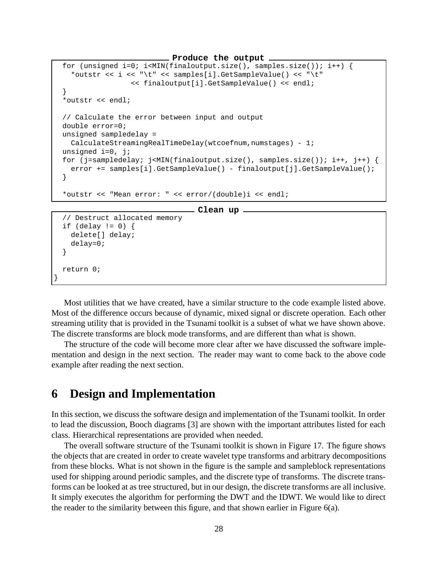**Produce the output**

```
for (unsigned i=0; i<MIN(finaloutput.size(), samples.size()); i++) {
  *outstr << i << "\t" << samples[i].GetSampleValue() << "\t"
                << finaloutput[i].GetSampleValue() << endl;
}
*outstr << endl;
// Calculate the error between input and output
double error=0;
unsigned sampledelay =
 CalculateStreamingRealTimeDelay(wtcoefnum,numstages) - 1;
unsigned i=0, j;
for (j=sampledelay; j<MIN(finaloutput.size(), samples.size()); i++, j++) {
  error += samples[i].GetSampleValue() - finaloutput[j].GetSampleValue();
}
*outstr << "Mean error: " << error/(double)i << endl;
                               Clean up
// Destruct allocated memory
if (delay != 0) {
 delete[] delay;
 delay=0;
```

```
}
  return 0;
}
```
Most utilities that we have created, have a similar structure to the code example listed above. Most of the difference occurs because of dynamic, mixed signal or discrete operation. Each other streaming utility that is provided in the Tsunami toolkit is a subset of what we have shown above. The discrete transforms are block mode transforms, and are different than what is shown.

The structure of the code will become more clear after we have discussed the software implementation and design in the next section. The reader may want to come back to the above code example after reading the next section.

### **6 Design and Implementation**

In this section, we discuss the software design and implementation of the Tsunami toolkit. In order to lead the discussion, Booch diagrams [3] are shown with the important attributes listed for each class. Hierarchical representations are provided when needed.

The overall software structure of the Tsunami toolkit is shown in Figure 17. The figure shows the objects that are created in order to create wavelet type transforms and arbitrary decompositions from these blocks. What is not shown in the figure is the sample and sampleblock representations used for shipping around periodic samples, and the discrete type of transforms. The discrete transforms can be looked at as tree structured, but in our design, the discrete transforms are all inclusive. It simply executes the algorithm for performing the DWT and the IDWT. We would like to direct the reader to the similarity between this figure, and that shown earlier in Figure 6(a).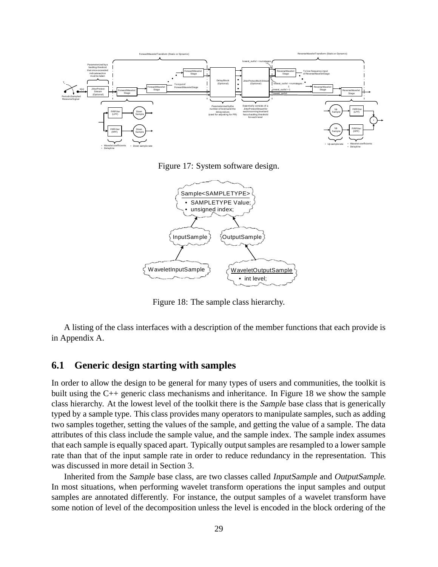

Figure 17: System software design.



Figure 18: The sample class hierarchy.

A listing of the class interfaces with a description of the member functions that each provide is in Appendix A.

#### **6.1 Generic design starting with samples**

In order to allow the design to be general for many types of users and communities, the toolkit is built using the C++ generic class mechanisms and inheritance. In Figure 18 we show the sample class hierarchy. At the lowest level of the toolkit there is the Sample base class that is generically typed by a sample type. This class provides many operators to manipulate samples, such as adding two samples together, setting the values of the sample, and getting the value of a sample. The data attributes of this class include the sample value, and the sample index. The sample index assumes that each sample is equally spaced apart. Typically output samples are resampled to a lower sample rate than that of the input sample rate in order to reduce redundancy in the representation. This was discussed in more detail in Section 3.

Inherited from the Sample base class, are two classes called InputSample and OutputSample. In most situations, when performing wavelet transform operations the input samples and output samples are annotated differently. For instance, the output samples of a wavelet transform have some notion of level of the decomposition unless the level is encoded in the block ordering of the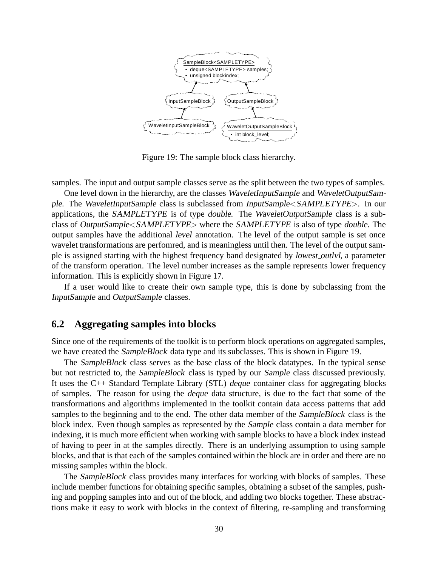

Figure 19: The sample block class hierarchy.

samples. The input and output sample classes serve as the split between the two types of samples.

One level down in the hierarchy, are the classes WaveletInputSample and WaveletOutputSample. The WaveletInputSample class is subclassed from InputSample<SAMPLETYPE>. In our applications, the SAMPLETYPE is of type double. The WaveletOutputSample class is a subclass of OutputSample<SAMPLETYPE> where the SAMPLETYPE is also of type double. The output samples have the additional level annotation. The level of the output sample is set once wavelet transformations are perfomred, and is meaningless until then. The level of the output sample is assigned starting with the highest frequency band designated by lowest outlvl, a parameter of the transform operation. The level number increases as the sample represents lower frequency information. This is explicitly shown in Figure 17.

If a user would like to create their own sample type, this is done by subclassing from the InputSample and OutputSample classes.

#### **6.2 Aggregating samples into blocks**

Since one of the requirements of the toolkit is to perform block operations on aggregated samples, we have created the SampleBlock data type and its subclasses. This is shown in Figure 19.

The SampleBlock class serves as the base class of the block datatypes. In the typical sense but not restricted to, the SampleBlock class is typed by our Sample class discussed previously. It uses the C++ Standard Template Library (STL) deque container class for aggregating blocks of samples. The reason for using the deque data structure, is due to the fact that some of the transformations and algorithms implemented in the toolkit contain data access patterns that add samples to the beginning and to the end. The other data member of the SampleBlock class is the block index. Even though samples as represented by the Sample class contain a data member for indexing, it is much more efficient when working with sample blocks to have a block index instead of having to peer in at the samples directly. There is an underlying assumption to using sample blocks, and that is that each of the samples contained within the block are in order and there are no missing samples within the block.

The SampleBlock class provides many interfaces for working with blocks of samples. These include member functions for obtaining specific samples, obtaining a subset of the samples, pushing and popping samples into and out of the block, and adding two blocks together. These abstractions make it easy to work with blocks in the context of filtering, re-sampling and transforming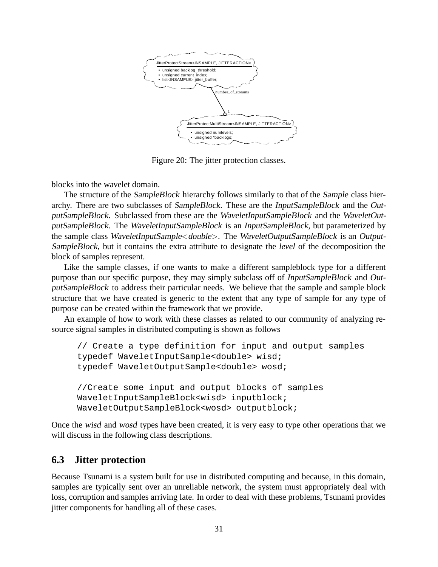

Figure 20: The jitter protection classes.

blocks into the wavelet domain.

The structure of the *SampleBlock* hierarchy follows similarly to that of the *Sample* class hierarchy. There are two subclasses of SampleBlock. These are the InputSampleBlock and the OutputSampleBlock. Subclassed from these are the WaveletInputSampleBlock and the WaveletOutputSampleBlock. The WaveletInputSampleBlock is an InputSampleBlock, but parameterized by the sample class WaveletInputSample<double>. The WaveletOutputSampleBlock is an Output-SampleBlock, but it contains the extra attribute to designate the *level* of the decomposition the block of samples represent.

Like the sample classes, if one wants to make a different sampleblock type for a different purpose than our specific purpose, they may simply subclass off of InputSampleBlock and OutputSampleBlock to address their particular needs. We believe that the sample and sample block structure that we have created is generic to the extent that any type of sample for any type of purpose can be created within the framework that we provide.

An example of how to work with these classes as related to our community of analyzing resource signal samples in distributed computing is shown as follows

```
// Create a type definition for input and output samples
typedef WaveletInputSample<double> wisd;
typedef WaveletOutputSample<double> wosd;
//Create some input and output blocks of samples
WaveletInputSampleBlock<wisd> inputblock;
WaveletOutputSampleBlock<wosd> outputblock;
```
Once the wisd and wosd types have been created, it is very easy to type other operations that we will discuss in the following class descriptions.

### **6.3 Jitter protection**

Because Tsunami is a system built for use in distributed computing and because, in this domain, samples are typically sent over an unreliable network, the system must appropriately deal with loss, corruption and samples arriving late. In order to deal with these problems, Tsunami provides jitter components for handling all of these cases.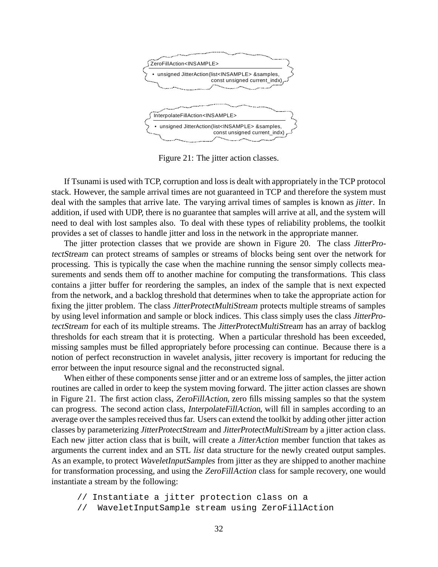

Figure 21: The jitter action classes.

If Tsunami is used with TCP, corruption and loss is dealt with appropriately in the TCP protocol stack. However, the sample arrival times are not guaranteed in TCP and therefore the system must deal with the samples that arrive late. The varying arrival times of samples is known as *jitter*. In addition, if used with UDP, there is no guarantee that samples will arrive at all, and the system will need to deal with lost samples also. To deal with these types of reliability problems, the toolkit provides a set of classes to handle jitter and loss in the network in the appropriate manner.

The jitter protection classes that we provide are shown in Figure 20. The class JitterProtectStream can protect streams of samples or streams of blocks being sent over the network for processing. This is typically the case when the machine running the sensor simply collects measurements and sends them off to another machine for computing the transformations. This class contains a jitter buffer for reordering the samples, an index of the sample that is next expected from the network, and a backlog threshold that determines when to take the appropriate action for fixing the jitter problem. The class *JitterProtectMultiStream* protects multiple streams of samples by using level information and sample or block indices. This class simply uses the class JitterProtectStream for each of its multiple streams. The JitterProtectMultiStream has an array of backlog thresholds for each stream that it is protecting. When a particular threshold has been exceeded, missing samples must be filled appropriately before processing can continue. Because there is a notion of perfect reconstruction in wavelet analysis, jitter recovery is important for reducing the error between the input resource signal and the reconstructed signal.

When either of these components sense jitter and or an extreme loss of samples, the jitter action routines are called in order to keep the system moving forward. The jitter action classes are shown in Figure 21. The first action class, ZeroFillAction, zero fills missing samples so that the system can progress. The second action class, InterpolateFillAction, will fill in samples according to an average over the samples received thus far. Users can extend the toolkit by adding other jitter action classes by parameterizing JitterProtectStream and JitterProtectMultiStream by a jitter action class. Each new jitter action class that is built, will create a JitterAction member function that takes as arguments the current index and an STL list data structure for the newly created output samples. As an example, to protect WaveletInputSamples from jitter as they are shipped to another machine for transformation processing, and using the ZeroFillAction class for sample recovery, one would instantiate a stream by the following:

- // Instantiate a jitter protection class on a
- // WaveletInputSample stream using ZeroFillAction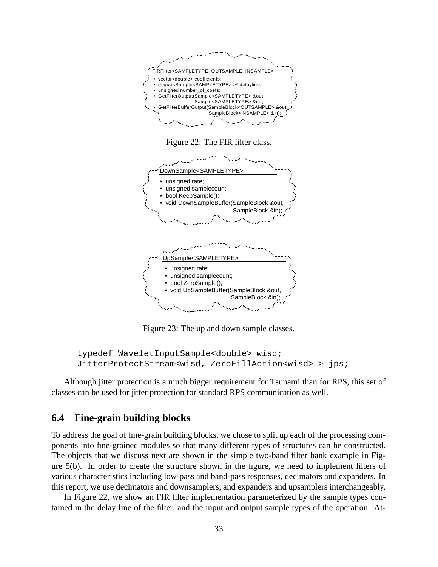

Figure 22: The FIR filter class.



Figure 23: The up and down sample classes.

```
typedef WaveletInputSample<double> wisd;
JitterProtectStream<wisd, ZeroFillAction<wisd> > jps;
```
Although jitter protection is a much bigger requirement for Tsunami than for RPS, this set of classes can be used for jitter protection for standard RPS communication as well.

### **6.4 Fine-grain building blocks**

To address the goal of fine-grain building blocks, we chose to split up each of the processing components into fine-grained modules so that many different types of structures can be constructed. The objects that we discuss next are shown in the simple two-band filter bank example in Figure 5(b). In order to create the structure shown in the figure, we need to implement filters of various characteristics including low-pass and band-pass responses, decimators and expanders. In this report, we use decimators and downsamplers, and expanders and upsamplers interchangeably.

In Figure 22, we show an FIR filter implementation parameterized by the sample types contained in the delay line of the filter, and the input and output sample types of the operation. At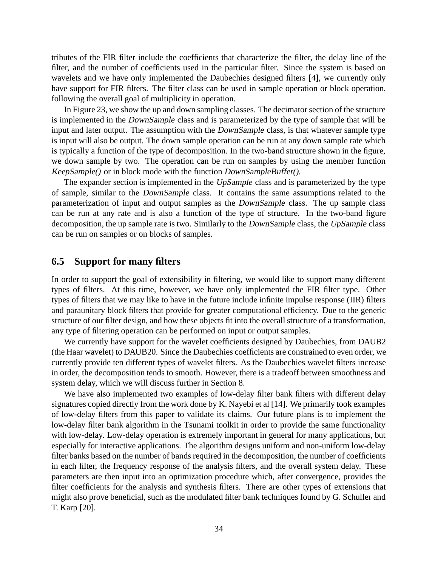tributes of the FIR filter include the coefficients that characterize the filter, the delay line of the filter, and the number of coefficients used in the particular filter. Since the system is based on wavelets and we have only implemented the Daubechies designed filters [4], we currently only have support for FIR filters. The filter class can be used in sample operation or block operation, following the overall goal of multiplicity in operation.

In Figure 23, we show the up and down sampling classes. The decimator section of the structure is implemented in the DownSample class and is parameterized by the type of sample that will be input and later output. The assumption with the DownSample class, is that whatever sample type is input will also be output. The down sample operation can be run at any down sample rate which is typically a function of the type of decomposition. In the two-band structure shown in the figure, we down sample by two. The operation can be run on samples by using the member function KeepSample() or in block mode with the function DownSampleBuffer().

The expander section is implemented in the UpSample class and is parameterized by the type of sample, similar to the DownSample class. It contains the same assumptions related to the parameterization of input and output samples as the DownSample class. The up sample class can be run at any rate and is also a function of the type of structure. In the two-band figure decomposition, the up sample rate is two. Similarly to the *DownSample* class, the *UpSample* class can be run on samples or on blocks of samples.

#### **6.5 Support for many filters**

In order to support the goal of extensibility in filtering, we would like to support many different types of filters. At this time, however, we have only implemented the FIR filter type. Other types of filters that we may like to have in the future include infinite impulse response (IIR) filters and paraunitary block filters that provide for greater computational efficiency. Due to the generic structure of our filter design, and how these objects fit into the overall structure of a transformation, any type of filtering operation can be performed on input or output samples.

We currently have support for the wavelet coefficients designed by Daubechies, from DAUB2 (the Haar wavelet) to DAUB20. Since the Daubechies coefficients are constrained to even order, we currently provide ten different types of wavelet filters. As the Daubechies wavelet filters increase in order, the decomposition tends to smooth. However, there is a tradeoff between smoothness and system delay, which we will discuss further in Section 8.

We have also implemented two examples of low-delay filter bank filters with different delay signatures copied directly from the work done by K. Nayebi et al [14]. We primarily took examples of low-delay filters from this paper to validate its claims. Our future plans is to implement the low-delay filter bank algorithm in the Tsunami toolkit in order to provide the same functionality with low-delay. Low-delay operation is extremely important in general for many applications, but especially for interactive applications. The algorithm designs uniform and non-uniform low-delay filter banks based on the number of bands required in the decomposition, the number of coefficients in each filter, the frequency response of the analysis filters, and the overall system delay. These parameters are then input into an optimization procedure which, after convergence, provides the filter coefficients for the analysis and synthesis filters. There are other types of extensions that might also prove beneficial, such as the modulated filter bank techniques found by G. Schuller and T. Karp [20].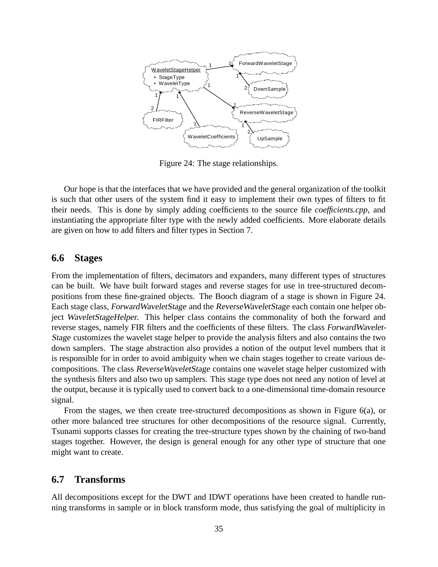

Figure 24: The stage relationships.

Our hope is that the interfaces that we have provided and the general organization of the toolkit is such that other users of the system find it easy to implement their own types of filters to fit their needs. This is done by simply adding coefficients to the source file *coefficients.cpp*, and instantiating the appropriate filter type with the newly added coefficients. More elaborate details are given on how to add filters and filter types in Section 7.

### **6.6 Stages**

From the implementation of filters, decimators and expanders, many different types of structures can be built. We have built forward stages and reverse stages for use in tree-structured decompositions from these fine-grained objects. The Booch diagram of a stage is shown in Figure 24. Each stage class, ForwardWaveletStage and the ReverseWaveletStage each contain one helper object WaveletStageHelper. This helper class contains the commonality of both the forward and reverse stages, namely FIR filters and the coefficients of these filters. The class ForwardWavelet-Stage customizes the wavelet stage helper to provide the analysis filters and also contains the two down samplers. The stage abstraction also provides a notion of the output level numbers that it is responsible for in order to avoid ambiguity when we chain stages together to create various decompositions. The class ReverseWaveletStage contains one wavelet stage helper customized with the synthesis filters and also two up samplers. This stage type does not need any notion of level at the output, because it is typically used to convert back to a one-dimensional time-domain resource signal.

From the stages, we then create tree-structured decompositions as shown in Figure 6(a), or other more balanced tree structures for other decompositions of the resource signal. Currently, Tsunami supports classes for creating the tree-structure types shown by the chaining of two-band stages together. However, the design is general enough for any other type of structure that one might want to create.

## **6.7 Transforms**

All decompositions except for the DWT and IDWT operations have been created to handle running transforms in sample or in block transform mode, thus satisfying the goal of multiplicity in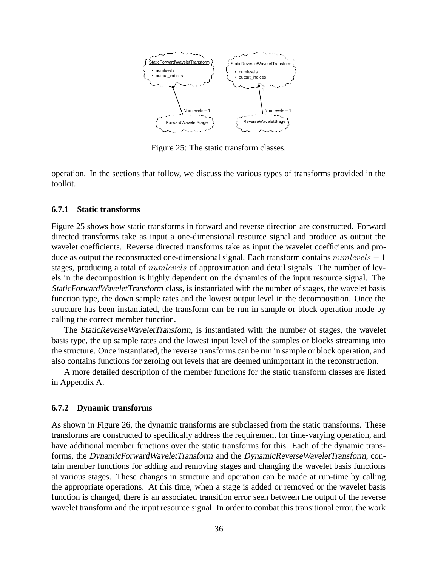

Figure 25: The static transform classes.

operation. In the sections that follow, we discuss the various types of transforms provided in the toolkit.

### **6.7.1 Static transforms**

Figure 25 shows how static transforms in forward and reverse direction are constructed. Forward directed transforms take as input a one-dimensional resource signal and produce as output the wavelet coefficients. Reverse directed transforms take as input the wavelet coefficients and produce as output the reconstructed one-dimensional signal. Each transform contains  $numbers - 1$ stages, producing a total of *numlevels* of approximation and detail signals. The number of levels in the decomposition is highly dependent on the dynamics of the input resource signal. The StaticForwardWaveletTransform class, is instantiated with the number of stages, the wavelet basis function type, the down sample rates and the lowest output level in the decomposition. Once the structure has been instantiated, the transform can be run in sample or block operation mode by calling the correct member function.

The StaticReverseWaveletTransform, is instantiated with the number of stages, the wavelet basis type, the up sample rates and the lowest input level of the samples or blocks streaming into the structure. Once instantiated, the reverse transforms can be run in sample or block operation, and also contains functions for zeroing out levels that are deemed unimportant in the reconstruction.

A more detailed description of the member functions for the static transform classes are listed in Appendix A.

#### **6.7.2 Dynamic transforms**

As shown in Figure 26, the dynamic transforms are subclassed from the static transforms. These transforms are constructed to specifically address the requirement for time-varying operation, and have additional member functions over the static transforms for this. Each of the dynamic transforms, the DynamicForwardWaveletTransform and the DynamicReverseWaveletTransform, contain member functions for adding and removing stages and changing the wavelet basis functions at various stages. These changes in structure and operation can be made at run-time by calling the appropriate operations. At this time, when a stage is added or removed or the wavelet basis function is changed, there is an associated transition error seen between the output of the reverse wavelet transform and the input resource signal. In order to combat this transitional error, the work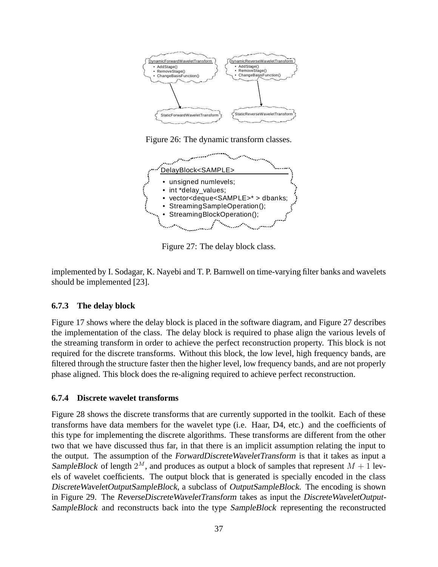

Figure 26: The dynamic transform classes.



Figure 27: The delay block class.

implemented by I. Sodagar, K. Nayebi and T. P. Barnwell on time-varying filter banks and wavelets should be implemented [23].

## **6.7.3 The delay block**

Figure 17 shows where the delay block is placed in the software diagram, and Figure 27 describes the implementation of the class. The delay block is required to phase align the various levels of the streaming transform in order to achieve the perfect reconstruction property. This block is not required for the discrete transforms. Without this block, the low level, high frequency bands, are filtered through the structure faster then the higher level, low frequency bands, and are not properly phase aligned. This block does the re-aligning required to achieve perfect reconstruction.

### **6.7.4 Discrete wavelet transforms**

Figure 28 shows the discrete transforms that are currently supported in the toolkit. Each of these transforms have data members for the wavelet type (i.e. Haar, D4, etc.) and the coefficients of this type for implementing the discrete algorithms. These transforms are different from the other two that we have discussed thus far, in that there is an implicit assumption relating the input to the output. The assumption of the ForwardDiscreteWaveletTransform is that it takes as input a SampleBlock of length  $2^M$ , and produces as output a block of samples that represent  $M + 1$  levels of wavelet coefficients. The output block that is generated is specially encoded in the class DiscreteWaveletOutputSampleBlock, a subclass of OutputSampleBlock. The encoding is shown in Figure 29. The ReverseDiscreteWaveletTransform takes as input the DiscreteWaveletOutput-SampleBlock and reconstructs back into the type SampleBlock representing the reconstructed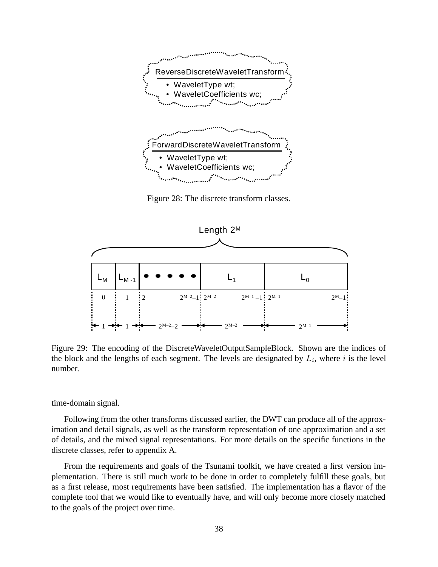

Figure 28: The discrete transform classes.



Figure 29: The encoding of the DiscreteWaveletOutputSampleBlock. Shown are the indices of the block and the lengths of each segment. The levels are designated by  $L_i$ , where i is the level number.

time-domain signal.

Following from the other transforms discussed earlier, the DWT can produce all of the approximation and detail signals, as well as the transform representation of one approximation and a set of details, and the mixed signal representations. For more details on the specific functions in the discrete classes, refer to appendix A.

From the requirements and goals of the Tsunami toolkit, we have created a first version implementation. There is still much work to be done in order to completely fulfill these goals, but as a first release, most requirements have been satisfied. The implementation has a flavor of the complete tool that we would like to eventually have, and will only become more closely matched to the goals of the project over time.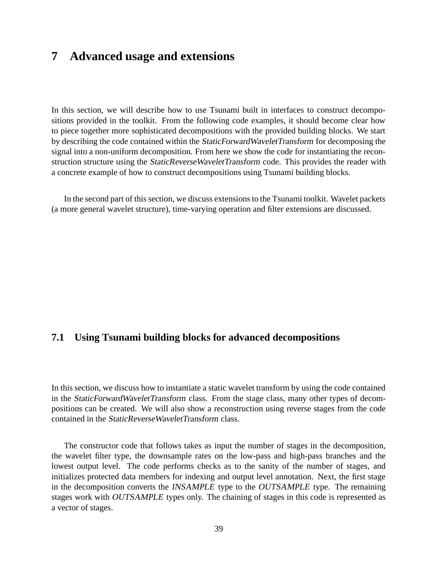# **7 Advanced usage and extensions**

In this section, we will describe how to use Tsunami built in interfaces to construct decompositions provided in the toolkit. From the following code examples, it should become clear how to piece together more sophisticated decompositions with the provided building blocks. We start by describing the code contained within the StaticForwardWaveletTransform for decomposing the signal into a non-uniform decomposition. From here we show the code for instantiating the reconstruction structure using the StaticReverseWaveletTransform code. This provides the reader with a concrete example of how to construct decompositions using Tsunami building blocks.

In the second part of this section, we discuss extensions to the Tsunami toolkit. Wavelet packets (a more general wavelet structure), time-varying operation and filter extensions are discussed.

## **7.1 Using Tsunami building blocks for advanced decompositions**

In this section, we discuss how to instantiate a static wavelet transform by using the code contained in the StaticForwardWaveletTransform class. From the stage class, many other types of decompositions can be created. We will also show a reconstruction using reverse stages from the code contained in the StaticReverseWaveletTransform class.

The constructor code that follows takes as input the number of stages in the decomposition, the wavelet filter type, the downsample rates on the low-pass and high-pass branches and the lowest output level. The code performs checks as to the sanity of the number of stages, and initializes protected data members for indexing and output level annotation. Next, the first stage in the decomposition converts the INSAMPLE type to the OUTSAMPLE type. The remaining stages work with OUTSAMPLE types only. The chaining of stages in this code is represented as a vector of stages.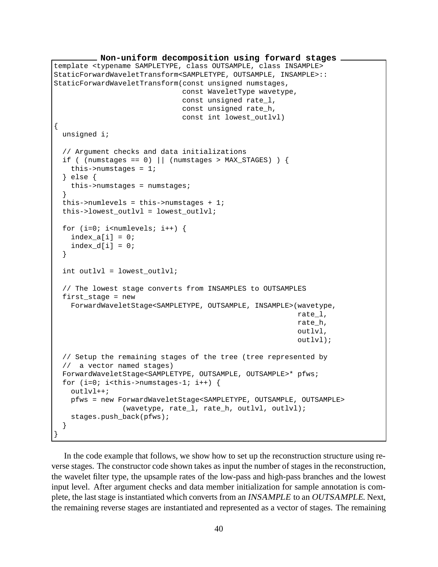```
Non-uniform decomposition using forward stages
template <typename SAMPLETYPE, class OUTSAMPLE, class INSAMPLE>
StaticForwardWaveletTransform<SAMPLETYPE, OUTSAMPLE, INSAMPLE>::
StaticForwardWaveletTransform(const unsigned numstages,
                              const WaveletType wavetype,
                              const unsigned rate_l,
                              const unsigned rate_h,
                              const int lowest_outlvl)
{
 unsigned i;
  // Argument checks and data initializations
 if ( (numstages == 0) || (numstages > MAX_STAGES) ) {
   this->numstages = 1;
  } else {
   this->numstages = numstages;
  }
 this->numlevels = this->numstages + 1;
 this->lowest outlvl = lowest outlvl;
 for (i=0; i<sub>numlevels</sub>; i++) {
   index a[i] = 0;index d[i] = 0;
  }
  int outlvl = lowest_outlvl;
  // The lowest stage converts from INSAMPLES to OUTSAMPLES
 first_stage = new
   ForwardWaveletStage<SAMPLETYPE, OUTSAMPLE, INSAMPLE>(wavetype,
                                                          rate_l,
                                                          rate_h,
                                                          outlvl,
                                                          outlvl);
  // Setup the remaining stages of the tree (tree represented by
  // a vector named stages)
 ForwardWaveletStage<SAMPLETYPE, OUTSAMPLE, OUTSAMPLE>* pfws;
 for (i=0; i<this->numstages-1; i++) {
   outlvl++;
   pfws = new ForwardWaveletStage<SAMPLETYPE, OUTSAMPLE, OUTSAMPLE>
                (wavetype, rate_l, rate_h, outlvl, outlvl);
   stages.push_back(pfws);
  }
}
```
In the code example that follows, we show how to set up the reconstruction structure using reverse stages. The constructor code shown takes as input the number of stages in the reconstruction, the wavelet filter type, the upsample rates of the low-pass and high-pass branches and the lowest input level. After argument checks and data member initialization for sample annotation is complete, the last stage is instantiated which converts from an INSAMPLE to an OUTSAMPLE. Next, the remaining reverse stages are instantiated and represented as a vector of stages. The remaining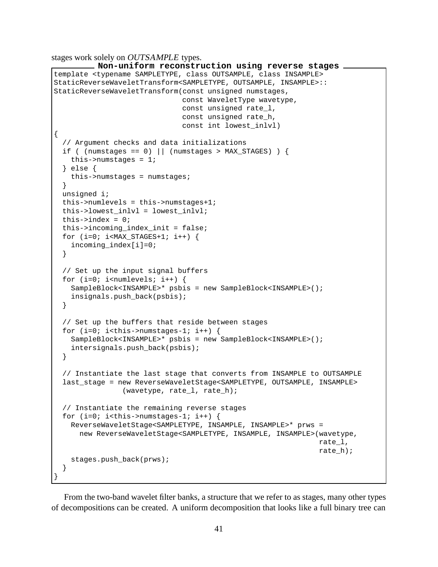stages work solely on OUTSAMPLE types.

```
Non-uniform reconstruction using reverse stages
template <typename SAMPLETYPE, class OUTSAMPLE, class INSAMPLE>
StaticReverseWaveletTransform<SAMPLETYPE, OUTSAMPLE, INSAMPLE>::
StaticReverseWaveletTransform(const unsigned numstages,
                              const WaveletType wavetype,
                              const unsigned rate_l,
                              const unsigned rate_h,
                              const int lowest_inlvl)
{
  // Argument checks and data initializations
 if ( (numstages == 0) || (numstages > MAX_STAGES) ) {
   this->numstages = 1;
  } else {
   this->numstages = numstages;
  }
 unsigned i;
 this->numlevels = this->numstages+1;
 this->lowest_inlvl = lowest_inlvl;
 this->index = 0;
 this->incoming_index_init = false;
 for (i=0; i< MAX_STAGES+1; i++) {
   incoming_index[i]=0;
  }
 // Set up the input signal buffers
 for (i=0; i<sub>numberels</sub>; i++)SampleBlock<INSAMPLE>* psbis = new SampleBlock<INSAMPLE>();
   insignals.push_back(psbis);
  }
  // Set up the buffers that reside between stages
 for (i=0; i<this->numstages-1; i++) {
   SampleBlock<INSAMPLE>* psbis = new SampleBlock<INSAMPLE>();
   intersignals.push back(psbis);
  }
  // Instantiate the last stage that converts from INSAMPLE to OUTSAMPLE
  last_stage = new ReverseWaveletStage<SAMPLETYPE, OUTSAMPLE, INSAMPLE>
                (wavetype, rate l, rate h);
  // Instantiate the remaining reverse stages
 for (i=0; i<this->numstages-1; i++) {
   ReverseWaveletStage<SAMPLETYPE, INSAMPLE, INSAMPLE>* prws =
      new ReverseWaveletStage<SAMPLETYPE, INSAMPLE, INSAMPLE>(wavetype,
                                                               rate_l,
                                                               rate_h);
   stages.push_back(prws);
  }
}
```
From the two-band wavelet filter banks, a structure that we refer to as stages, many other types of decompositions can be created. A uniform decomposition that looks like a full binary tree can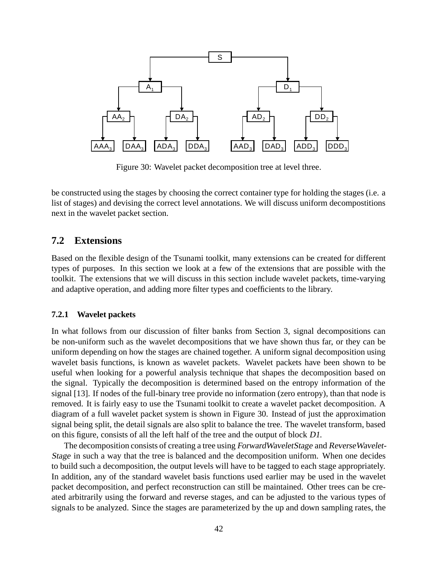

Figure 30: Wavelet packet decomposition tree at level three.

be constructed using the stages by choosing the correct container type for holding the stages (i.e. a list of stages) and devising the correct level annotations. We will discuss uniform decompostitions next in the wavelet packet section.

### **7.2 Extensions**

Based on the flexible design of the Tsunami toolkit, many extensions can be created for different types of purposes. In this section we look at a few of the extensions that are possible with the toolkit. The extensions that we will discuss in this section include wavelet packets, time-varying and adaptive operation, and adding more filter types and coefficients to the library.

### **7.2.1 Wavelet packets**

In what follows from our discussion of filter banks from Section 3, signal decompositions can be non-uniform such as the wavelet decompositions that we have shown thus far, or they can be uniform depending on how the stages are chained together. A uniform signal decomposition using wavelet basis functions, is known as wavelet packets. Wavelet packets have been shown to be useful when looking for a powerful analysis technique that shapes the decomposition based on the signal. Typically the decomposition is determined based on the entropy information of the signal [13]. If nodes of the full-binary tree provide no information (zero entropy), than that node is removed. It is fairly easy to use the Tsunami toolkit to create a wavelet packet decomposition. A diagram of a full wavelet packet system is shown in Figure 30. Instead of just the approximation signal being split, the detail signals are also split to balance the tree. The wavelet transform, based on this figure, consists of all the left half of the tree and the output of block D1.

The decomposition consists of creating a tree using ForwardWaveletStage and ReverseWavelet-Stage in such a way that the tree is balanced and the decomposition uniform. When one decides to build such a decomposition, the output levels will have to be tagged to each stage appropriately. In addition, any of the standard wavelet basis functions used earlier may be used in the wavelet packet decomposition, and perfect reconstruction can still be maintained. Other trees can be created arbitrarily using the forward and reverse stages, and can be adjusted to the various types of signals to be analyzed. Since the stages are parameterized by the up and down sampling rates, the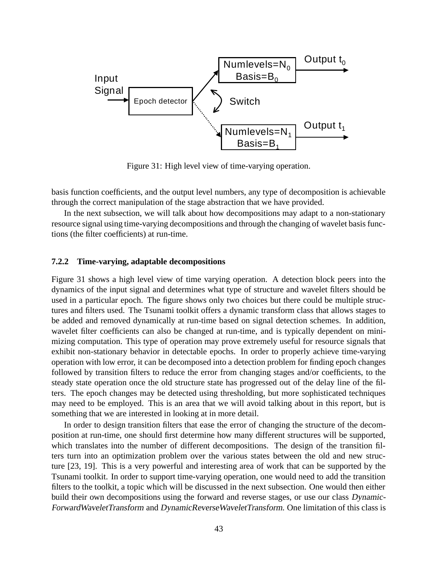

Figure 31: High level view of time-varying operation.

basis function coefficients, and the output level numbers, any type of decomposition is achievable through the correct manipulation of the stage abstraction that we have provided.

In the next subsection, we will talk about how decompositions may adapt to a non-stationary resource signal using time-varying decompositions and through the changing of wavelet basis functions (the filter coefficients) at run-time.

### **7.2.2 Time-varying, adaptable decompositions**

Figure 31 shows a high level view of time varying operation. A detection block peers into the dynamics of the input signal and determines what type of structure and wavelet filters should be used in a particular epoch. The figure shows only two choices but there could be multiple structures and filters used. The Tsunami toolkit offers a dynamic transform class that allows stages to be added and removed dynamically at run-time based on signal detection schemes. In addition, wavelet filter coefficients can also be changed at run-time, and is typically dependent on minimizing computation. This type of operation may prove extremely useful for resource signals that exhibit non-stationary behavior in detectable epochs. In order to properly achieve time-varying operation with low error, it can be decomposed into a detection problem for finding epoch changes followed by transition filters to reduce the error from changing stages and/or coefficients, to the steady state operation once the old structure state has progressed out of the delay line of the filters. The epoch changes may be detected using thresholding, but more sophisticated techniques may need to be employed. This is an area that we will avoid talking about in this report, but is something that we are interested in looking at in more detail.

In order to design transition filters that ease the error of changing the structure of the decomposition at run-time, one should first determine how many different structures will be supported, which translates into the number of different decompositions. The design of the transition filters turn into an optimization problem over the various states between the old and new structure [23, 19]. This is a very powerful and interesting area of work that can be supported by the Tsunami toolkit. In order to support time-varying operation, one would need to add the transition filters to the toolkit, a topic which will be discussed in the next subsection. One would then either build their own decompositions using the forward and reverse stages, or use our class Dynamic-ForwardWaveletTransform and DynamicReverseWaveletTransform. One limitation of this class is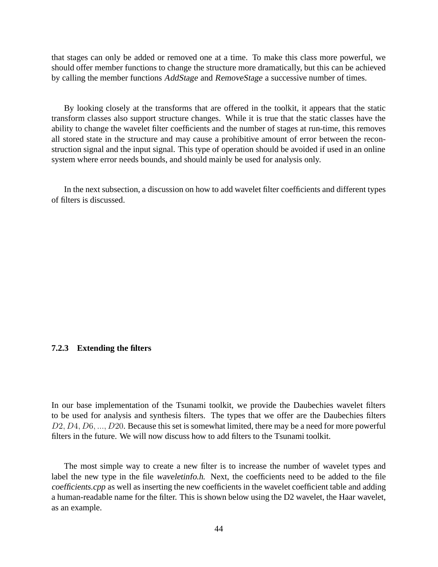that stages can only be added or removed one at a time. To make this class more powerful, we should offer member functions to change the structure more dramatically, but this can be achieved by calling the member functions AddStage and RemoveStage a successive number of times.

By looking closely at the transforms that are offered in the toolkit, it appears that the static transform classes also support structure changes. While it is true that the static classes have the ability to change the wavelet filter coefficients and the number of stages at run-time, this removes all stored state in the structure and may cause a prohibitive amount of error between the reconstruction signal and the input signal. This type of operation should be avoided if used in an online system where error needs bounds, and should mainly be used for analysis only.

In the next subsection, a discussion on how to add wavelet filter coefficients and different types of filters is discussed.

### **7.2.3 Extending the filters**

In our base implementation of the Tsunami toolkit, we provide the Daubechies wavelet filters to be used for analysis and synthesis filters. The types that we offer are the Daubechies filters D2, D4, D6, ..., D20. Because this set is somewhat limited, there may be a need for more powerful filters in the future. We will now discuss how to add filters to the Tsunami toolkit.

The most simple way to create a new filter is to increase the number of wavelet types and label the new type in the file waveletinfo.h. Next, the coefficients need to be added to the file coefficients.cpp as well as inserting the new coefficients in the wavelet coefficient table and adding a human-readable name for the filter. This is shown below using the D2 wavelet, the Haar wavelet, as an example.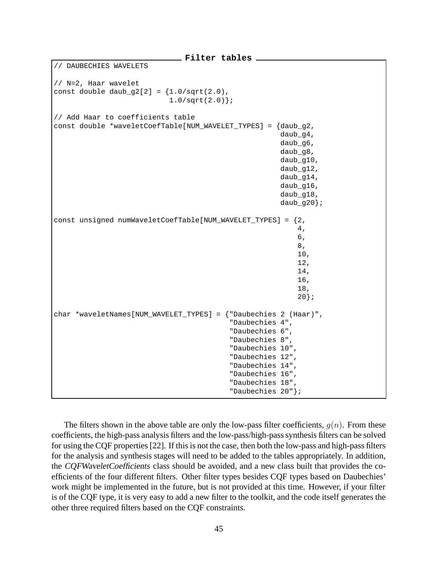```
Filter tables
   DAUBECHIES WAVELETS
// N=2, Haar wavelet
const double daub q2[2] = {1.0/sqrt(2.0)},
                            1.0/\text{sqrt}(2.0);
// Add Haar to coefficients table
const double *waveletCoefTable[NUM_WAVELET_TYPES] = {daub_g2,
                                                       daub_g4,
                                                       daub_g6,
                                                       daub_g8,
                                                       daub_g10,
                                                       daub_g12,
                                                        daub_g14,
                                                       daub_g16,
                                                       daub q18,
                                                       daub_g20;const unsigned numWaveletCoefTable[NUM_WAVELET_TYPES] = {2,
                                                            4,
                                                            6,
                                                            8,
                                                            10,
                                                            12,
                                                            14,
                                                            16,
                                                            18,
                                                            20};
char *waveletNames[NUM_WAVELET_TYPES] = {"Daubechies 2 (Haar)",
                                           "Daubechies 4",
                                           "Daubechies 6",
                                           "Daubechies 8",
                                           "Daubechies 10",
                                           "Daubechies 12",
                                           "Daubechies 14",
                                           "Daubechies 16",
                                           "Daubechies 18",
                                           "Daubechies 20"};
```
The filters shown in the above table are only the low-pass filter coefficients,  $q(n)$ . From these coefficients, the high-pass analysis filters and the low-pass/high-pass synthesis filters can be solved for using the CQF properties [22]. If this is not the case, then both the low-pass and high-pass filters for the analysis and synthesis stages will need to be added to the tables appropriately. In addition, the CQFWaveletCoefficients class should be avoided, and a new class built that provides the coefficients of the four different filters. Other filter types besides CQF types based on Daubechies' work might be implemented in the future, but is not provided at this time. However, if your filter is of the CQF type, it is very easy to add a new filter to the toolkit, and the code itself generates the other three required filters based on the CQF constraints.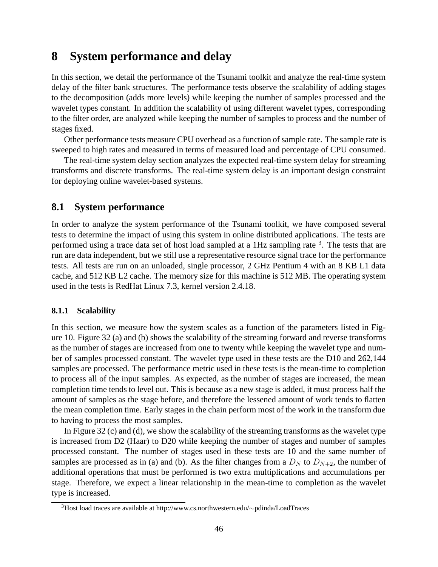# **8 System performance and delay**

In this section, we detail the performance of the Tsunami toolkit and analyze the real-time system delay of the filter bank structures. The performance tests observe the scalability of adding stages to the decomposition (adds more levels) while keeping the number of samples processed and the wavelet types constant. In addition the scalability of using different wavelet types, corresponding to the filter order, are analyzed while keeping the number of samples to process and the number of stages fixed.

Other performance tests measure CPU overhead as a function of sample rate. The sample rate is sweeped to high rates and measured in terms of measured load and percentage of CPU consumed.

The real-time system delay section analyzes the expected real-time system delay for streaming transforms and discrete transforms. The real-time system delay is an important design constraint for deploying online wavelet-based systems.

## **8.1 System performance**

In order to analyze the system performance of the Tsunami toolkit, we have composed several tests to determine the impact of using this system in online distributed applications. The tests are performed using a trace data set of host load sampled at a 1Hz sampling rate <sup>3</sup>. The tests that are run are data independent, but we still use a representative resource signal trace for the performance tests. All tests are run on an unloaded, single processor, 2 GHz Pentium 4 with an 8 KB L1 data cache, and 512 KB L2 cache. The memory size for this machine is 512 MB. The operating system used in the tests is RedHat Linux 7.3, kernel version 2.4.18.

### **8.1.1 Scalability**

In this section, we measure how the system scales as a function of the parameters listed in Figure 10. Figure 32 (a) and (b) shows the scalability of the streaming forward and reverse transforms as the number of stages are increased from one to twenty while keeping the wavelet type and number of samples processed constant. The wavelet type used in these tests are the D10 and 262,144 samples are processed. The performance metric used in these tests is the mean-time to completion to process all of the input samples. As expected, as the number of stages are increased, the mean completion time tends to level out. This is because as a new stage is added, it must process half the amount of samples as the stage before, and therefore the lessened amount of work tends to flatten the mean completion time. Early stages in the chain perform most of the work in the transform due to having to process the most samples.

In Figure 32 (c) and (d), we show the scalability of the streaming transforms as the wavelet type is increased from D2 (Haar) to D20 while keeping the number of stages and number of samples processed constant. The number of stages used in these tests are 10 and the same number of samples are processed as in (a) and (b). As the filter changes from a  $D<sub>N</sub>$  to  $D<sub>N+2</sub>$ , the number of additional operations that must be performed is two extra multiplications and accumulations per stage. Therefore, we expect a linear relationship in the mean-time to completion as the wavelet type is increased.

<sup>3</sup>Host load traces are available at http://www.cs.northwestern.edu/∼pdinda/LoadTraces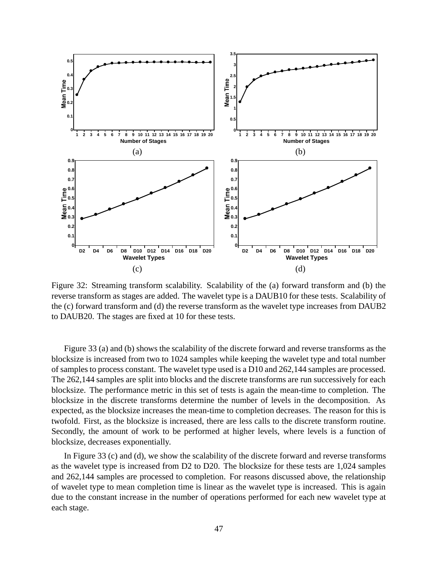

Figure 32: Streaming transform scalability. Scalability of the (a) forward transform and (b) the reverse transform as stages are added. The wavelet type is a DAUB10 for these tests. Scalability of the (c) forward transform and (d) the reverse transform as the wavelet type increases from DAUB2 to DAUB20. The stages are fixed at 10 for these tests.

Figure 33 (a) and (b) shows the scalability of the discrete forward and reverse transforms as the blocksize is increased from two to 1024 samples while keeping the wavelet type and total number of samples to process constant. The wavelet type used is a D10 and 262,144 samples are processed. The 262,144 samples are split into blocks and the discrete transforms are run successively for each blocksize. The performance metric in this set of tests is again the mean-time to completion. The blocksize in the discrete transforms determine the number of levels in the decomposition. As expected, as the blocksize increases the mean-time to completion decreases. The reason for this is twofold. First, as the blocksize is increased, there are less calls to the discrete transform routine. Secondly, the amount of work to be performed at higher levels, where levels is a function of blocksize, decreases exponentially.

In Figure 33 (c) and (d), we show the scalability of the discrete forward and reverse transforms as the wavelet type is increased from D2 to D20. The blocksize for these tests are 1,024 samples and 262,144 samples are processed to completion. For reasons discussed above, the relationship of wavelet type to mean completion time is linear as the wavelet type is increased. This is again due to the constant increase in the number of operations performed for each new wavelet type at each stage.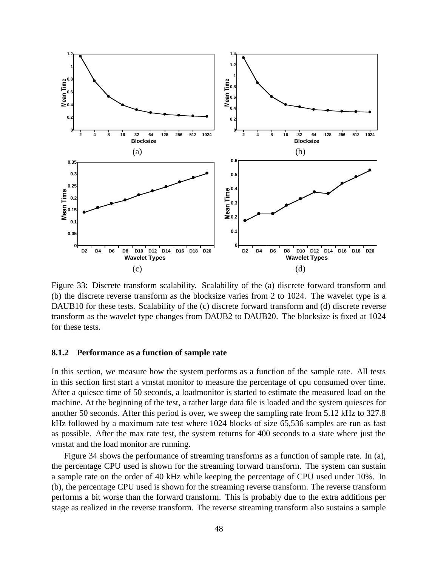

Figure 33: Discrete transform scalability. Scalability of the (a) discrete forward transform and (b) the discrete reverse transform as the blocksize varies from 2 to 1024. The wavelet type is a DAUB10 for these tests. Scalability of the (c) discrete forward transform and (d) discrete reverse transform as the wavelet type changes from DAUB2 to DAUB20. The blocksize is fixed at 1024 for these tests.

### **8.1.2 Performance as a function of sample rate**

In this section, we measure how the system performs as a function of the sample rate. All tests in this section first start a vmstat monitor to measure the percentage of cpu consumed over time. After a quiesce time of 50 seconds, a loadmonitor is started to estimate the measured load on the machine. At the beginning of the test, a rather large data file is loaded and the system quiesces for another 50 seconds. After this period is over, we sweep the sampling rate from 5.12 kHz to 327.8 kHz followed by a maximum rate test where 1024 blocks of size 65,536 samples are run as fast as possible. After the max rate test, the system returns for 400 seconds to a state where just the vmstat and the load monitor are running.

Figure 34 shows the performance of streaming transforms as a function of sample rate. In (a), the percentage CPU used is shown for the streaming forward transform. The system can sustain a sample rate on the order of 40 kHz while keeping the percentage of CPU used under 10%. In (b), the percentage CPU used is shown for the streaming reverse transform. The reverse transform performs a bit worse than the forward transform. This is probably due to the extra additions per stage as realized in the reverse transform. The reverse streaming transform also sustains a sample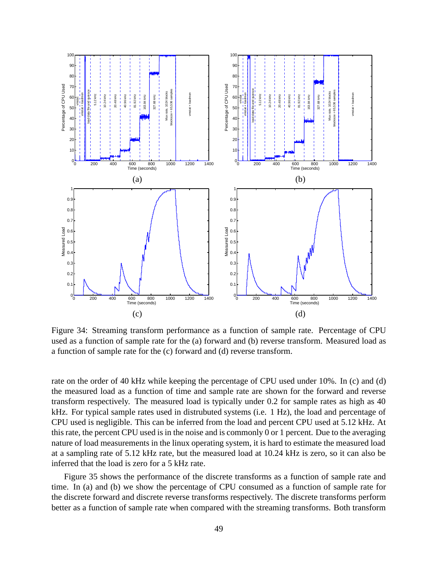

Figure 34: Streaming transform performance as a function of sample rate. Percentage of CPU used as a function of sample rate for the (a) forward and (b) reverse transform. Measured load as a function of sample rate for the (c) forward and (d) reverse transform.

rate on the order of 40 kHz while keeping the percentage of CPU used under 10%. In (c) and (d) the measured load as a function of time and sample rate are shown for the forward and reverse transform respectively. The measured load is typically under 0.2 for sample rates as high as 40 kHz. For typical sample rates used in distrubuted systems (i.e. 1 Hz), the load and percentage of CPU used is negligible. This can be inferred from the load and percent CPU used at 5.12 kHz. At this rate, the percent CPU used is in the noise and is commonly 0 or 1 percent. Due to the averaging nature of load measurements in the linux operating system, it is hard to estimate the measured load at a sampling rate of 5.12 kHz rate, but the measured load at 10.24 kHz is zero, so it can also be inferred that the load is zero for a 5 kHz rate.

Figure 35 shows the performance of the discrete transforms as a function of sample rate and time. In (a) and (b) we show the percentage of CPU consumed as a function of sample rate for the discrete forward and discrete reverse transforms respectively. The discrete transforms perform better as a function of sample rate when compared with the streaming transforms. Both transform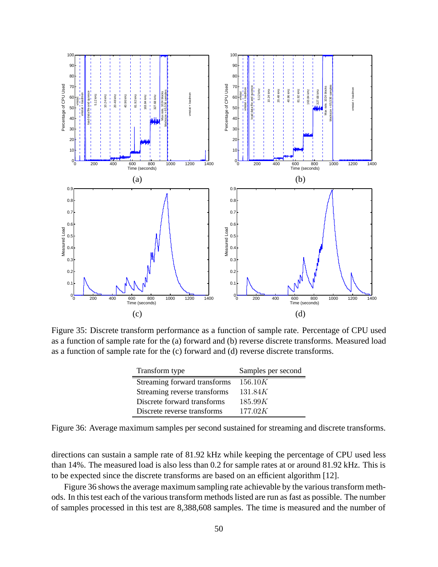

Figure 35: Discrete transform performance as a function of sample rate. Percentage of CPU used as a function of sample rate for the (a) forward and (b) reverse discrete transforms. Measured load as a function of sample rate for the (c) forward and (d) reverse discrete transforms.

| Transform type               | Samples per second |
|------------------------------|--------------------|
| Streaming forward transforms | 156.10K            |
| Streaming reverse transforms | 131.84K            |
| Discrete forward transforms  | 185.99K            |
| Discrete reverse transforms  | 177.02K            |

Figure 36: Average maximum samples per second sustained for streaming and discrete transforms.

directions can sustain a sample rate of 81.92 kHz while keeping the percentage of CPU used less than 14%. The measured load is also less than 0.2 for sample rates at or around 81.92 kHz. This is to be expected since the discrete transforms are based on an efficient algorithm [12].

Figure 36 shows the average maximum sampling rate achievable by the various transform methods. In this test each of the various transform methods listed are run as fast as possible. The number of samples processed in this test are 8,388,608 samples. The time is measured and the number of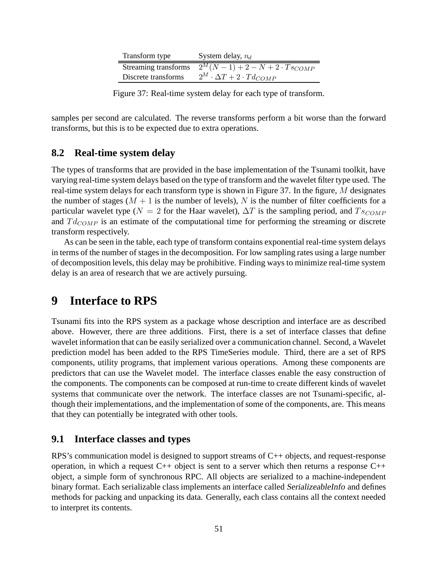| Transform type       | System delay, $n_d$                                               |
|----------------------|-------------------------------------------------------------------|
| Streaming transforms | $\frac{2^M(N-1)+2-N+2\cdot Ts_{COMP}}{2^M(N-1)+2\cdot Ts_{COMP}}$ |
| Discrete transforms  | $2^M \cdot \Delta T + 2 \cdot Td_{COMP}$                          |

Figure 37: Real-time system delay for each type of transform.

samples per second are calculated. The reverse transforms perform a bit worse than the forward transforms, but this is to be expected due to extra operations.

## **8.2 Real-time system delay**

The types of transforms that are provided in the base implementation of the Tsunami toolkit, have varying real-time system delays based on the type of transform and the wavelet filter type used. The real-time system delays for each transform type is shown in Figure 37. In the figure,  $M$  designates the number of stages ( $M + 1$  is the number of levels), N is the number of filter coefficients for a particular wavelet type ( $N = 2$  for the Haar wavelet),  $\Delta T$  is the sampling period, and  $T_{SCOMP}$ and  $Td_{COMP}$  is an estimate of the computational time for performing the streaming or discrete transform respectively.

As can be seen in the table, each type of transform contains exponential real-time system delays in terms of the number of stages in the decomposition. For low sampling rates using a large number of decomposition levels, this delay may be prohibitive. Finding ways to minimize real-time system delay is an area of research that we are actively pursuing.

# **9 Interface to RPS**

Tsunami fits into the RPS system as a package whose description and interface are as described above. However, there are three additions. First, there is a set of interface classes that define wavelet information that can be easily serialized over a communication channel. Second, a Wavelet prediction model has been added to the RPS TimeSeries module. Third, there are a set of RPS components, utility programs, that implement various operations. Among these components are predictors that can use the Wavelet model. The interface classes enable the easy construction of the components. The components can be composed at run-time to create different kinds of wavelet systems that communicate over the network. The interface classes are not Tsunami-specific, although their implementations, and the implementation of some of the components, are. This means that they can potentially be integrated with other tools.

### **9.1 Interface classes and types**

RPS's communication model is designed to support streams of C++ objects, and request-response operation, in which a request  $C_{++}$  object is sent to a server which then returns a response  $C_{++}$ object, a simple form of synchronous RPC. All objects are serialized to a machine-independent binary format. Each serializable class implements an interface called SerializeableInfo and defines methods for packing and unpacking its data. Generally, each class contains all the context needed to interpret its contents.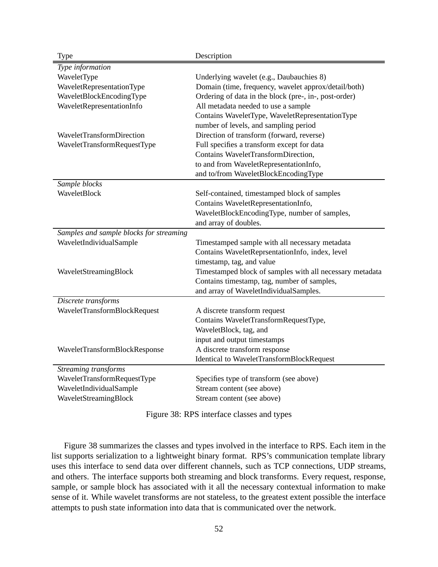| Type                                    | Description                                              |
|-----------------------------------------|----------------------------------------------------------|
| Type information                        |                                                          |
| WaveletType                             | Underlying wavelet (e.g., Daubauchies 8)                 |
| WaveletRepresentationType               | Domain (time, frequency, wavelet approx/detail/both)     |
| WaveletBlockEncodingType                | Ordering of data in the block (pre-, in-, post-order)    |
| WaveletRepresentationInfo               | All metadata needed to use a sample                      |
|                                         | Contains WaveletType, WaveletRepresentationType          |
|                                         | number of levels, and sampling period                    |
| WaveletTransformDirection               | Direction of transform (forward, reverse)                |
| WaveletTransformRequestType             | Full specifies a transform except for data               |
|                                         | Contains WaveletTransformDirection,                      |
|                                         | to and from WaveletRepresentationInfo,                   |
|                                         | and to/from WaveletBlockEncodingType                     |
| Sample blocks                           |                                                          |
| WaveletBlock                            | Self-contained, timestamped block of samples             |
|                                         | Contains WaveletRepresentationInfo,                      |
|                                         | WaveletBlockEncodingType, number of samples,             |
|                                         | and array of doubles.                                    |
| Samples and sample blocks for streaming |                                                          |
| WaveletIndividualSample                 | Timestamped sample with all necessary metadata           |
|                                         | Contains WaveletReprsentationInfo, index, level          |
|                                         | timestamp, tag, and value                                |
| WaveletStreamingBlock                   | Timestamped block of samples with all necessary metadata |
|                                         | Contains timestamp, tag, number of samples,              |
|                                         | and array of WaveletIndividualSamples.                   |
| Discrete transforms                     |                                                          |
| WaveletTransformBlockRequest            | A discrete transform request                             |
|                                         | Contains WaveletTransformRequestType,                    |
|                                         | WaveletBlock, tag, and                                   |
|                                         | input and output timestamps                              |
| WaveletTransformBlockResponse           | A discrete transform response                            |
|                                         | <b>Identical to WaveletTransformBlockRequest</b>         |
| Streaming transforms                    |                                                          |
| WaveletTransformRequestType             | Specifies type of transform (see above)                  |
| WaveletIndividualSample                 | Stream content (see above)                               |
| WaveletStreamingBlock                   | Stream content (see above)                               |

Figure 38: RPS interface classes and types

Figure 38 summarizes the classes and types involved in the interface to RPS. Each item in the list supports serialization to a lightweight binary format. RPS's communication template library uses this interface to send data over different channels, such as TCP connections, UDP streams, and others. The interface supports both streaming and block transforms. Every request, response, sample, or sample block has associated with it all the necessary contextual information to make sense of it. While wavelet transforms are not stateless, to the greatest extent possible the interface attempts to push state information into data that is communicated over the network.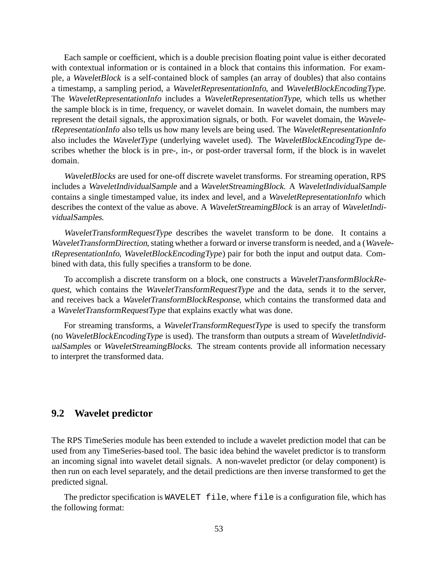Each sample or coefficient, which is a double precision floating point value is either decorated with contextual information or is contained in a block that contains this information. For example, a WaveletBlock is a self-contained block of samples (an array of doubles) that also contains a timestamp, a sampling period, a WaveletRepresentationInfo, and WaveletBlockEncodingType. The WaveletRepresentationInfo includes a WaveletRepresentationType, which tells us whether the sample block is in time, frequency, or wavelet domain. In wavelet domain, the numbers may represent the detail signals, the approximation signals, or both. For wavelet domain, the WaveletRepresentationInfo also tells us how many levels are being used. The WaveletRepresentationInfo also includes the WaveletType (underlying wavelet used). The WaveletBlockEncodingType describes whether the block is in pre-, in-, or post-order traversal form, if the block is in wavelet domain.

WaveletBlocks are used for one-off discrete wavelet transforms. For streaming operation, RPS includes a WaveletIndividualSample and a WaveletStreamingBlock. A WaveletIndividualSample contains a single timestamped value, its index and level, and a WaveletRepresentationInfo which describes the context of the value as above. A WaveletStreamingBlock is an array of WaveletIndividualSamples.

WaveletTransformRequestType describes the wavelet transform to be done. It contains a WaveletTransformDirection, stating whether a forward or inverse transform is needed, and a (WaveletRepresentationInfo, WaveletBlockEncodingType) pair for both the input and output data. Combined with data, this fully specifies a transform to be done.

To accomplish a discrete transform on a block, one constructs a WaveletTransformBlockRequest, which contains the WaveletTransformRequestType and the data, sends it to the server, and receives back a WaveletTransformBlockResponse, which contains the transformed data and a WaveletTransformRequestType that explains exactly what was done.

For streaming transforms, a WaveletTransformRequestType is used to specify the transform (no WaveletBlockEncodingType is used). The transform than outputs a stream of WaveletIndividualSamples or WaveletStreamingBlocks. The stream contents provide all information necessary to interpret the transformed data.

## **9.2 Wavelet predictor**

The RPS TimeSeries module has been extended to include a wavelet prediction model that can be used from any TimeSeries-based tool. The basic idea behind the wavelet predictor is to transform an incoming signal into wavelet detail signals. A non-wavelet predictor (or delay component) is then run on each level separately, and the detail predictions are then inverse transformed to get the predicted signal.

The predictor specification is WAVELET file, where file is a configuration file, which has the following format: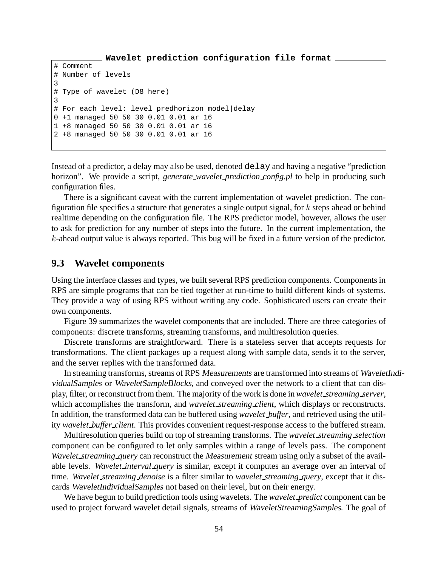```
Wavelet prediction configuration file format
# Comment
# Number of levels
3
# Type of wavelet (D8 here)
3
# For each level: level predhorizon model|delay
0 +1 managed 50 50 30 0.01 0.01 ar 16
1 +8 managed 50 50 30 0.01 0.01 ar 16
2 +8 managed 50 50 30 0.01 0.01 ar 16
```
Instead of a predictor, a delay may also be used, denoted delay and having a negative "prediction horizon". We provide a script, *generate wavelet prediction config.pl* to help in producing such configuration files.

There is a significant caveat with the current implementation of wavelet prediction. The configuration file specifies a structure that generates a single output signal, for  $k$  steps ahead or behind realtime depending on the configuration file. The RPS predictor model, however, allows the user to ask for prediction for any number of steps into the future. In the current implementation, the k-ahead output value is always reported. This bug will be fixed in a future version of the predictor.

### **9.3 Wavelet components**

Using the interface classes and types, we built several RPS prediction components. Components in RPS are simple programs that can be tied together at run-time to build different kinds of systems. They provide a way of using RPS without writing any code. Sophisticated users can create their own components.

Figure 39 summarizes the wavelet components that are included. There are three categories of components: discrete transforms, streaming transforms, and multiresolution queries.

Discrete transforms are straightforward. There is a stateless server that accepts requests for transformations. The client packages up a request along with sample data, sends it to the server, and the server replies with the transformed data.

In streaming transforms, streams of RPS Measurements are transformed into streams of WaveletIndividualSamples or WaveletSampleBlocks, and conveyed over the network to a client that can display, filter, or reconstruct from them. The majority of the work is done in *wavelet streaming server*, which accomplishes the transform, and *wavelet\_streaming\_client*, which displays or reconstructs. In addition, the transformed data can be buffered using *wavelet buffer*, and retrieved using the utility *wavelet buffer client*. This provides convenient request-response access to the buffered stream.

Multiresolution queries build on top of streaming transforms. The *wavelet streaming selection* component can be configured to let only samples within a range of levels pass. The component *Wavelet streaming query* can reconstruct the Measurement stream using only a subset of the available levels. *Wavelet interval query* is similar, except it computes an average over an interval of time. *Wavelet streaming denoise* is a filter similar to *wavelet streaming query*, except that it discards WaveletIndividualSamples not based on their level, but on their energy.

We have begun to build prediction tools using wavelets. The *wavelet predict* component can be used to project forward wavelet detail signals, streams of WaveletStreamingSamples. The goal of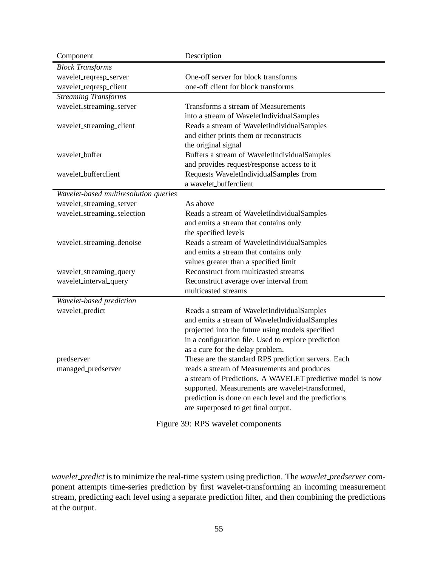| Component                             | Description                                                |  |
|---------------------------------------|------------------------------------------------------------|--|
| <b>Block Transforms</b>               |                                                            |  |
| wavelet_reqresp_server                | One-off server for block transforms                        |  |
| wavelet_reqresp_client                | one-off client for block transforms                        |  |
| <b>Streaming Transforms</b>           |                                                            |  |
| wavelet_streaming_server              | Transforms a stream of Measurements                        |  |
|                                       | into a stream of WaveletIndividualSamples                  |  |
| wavelet_streaming_client              | Reads a stream of WaveletIndividualSamples                 |  |
|                                       | and either prints them or reconstructs                     |  |
|                                       | the original signal                                        |  |
| wavelet_buffer                        | Buffers a stream of WaveletIndividualSamples               |  |
|                                       | and provides request/response access to it                 |  |
| wavelet_bufferclient                  | Requests WaveletIndividualSamples from                     |  |
|                                       | a wavelet_bufferclient                                     |  |
| Wavelet-based multiresolution queries |                                                            |  |
| wavelet_streaming_server              | As above                                                   |  |
| wavelet_streaming_selection           | Reads a stream of WaveletIndividualSamples                 |  |
|                                       | and emits a stream that contains only                      |  |
|                                       | the specified levels                                       |  |
| wavelet_streaming_denoise             | Reads a stream of WaveletIndividualSamples                 |  |
|                                       | and emits a stream that contains only                      |  |
|                                       | values greater than a specified limit                      |  |
| wavelet_streaming_query               | Reconstruct from multicasted streams                       |  |
| wavelet_interval_query                | Reconstruct average over interval from                     |  |
|                                       | multicasted streams                                        |  |
| Wavelet-based prediction              |                                                            |  |
| wavelet_predict                       | Reads a stream of WaveletIndividualSamples                 |  |
|                                       | and emits a stream of WaveletIndividualSamples             |  |
|                                       | projected into the future using models specified           |  |
|                                       | in a configuration file. Used to explore prediction        |  |
|                                       | as a cure for the delay problem.                           |  |
| predserver                            | These are the standard RPS prediction servers. Each        |  |
| managed_predserver                    | reads a stream of Measurements and produces                |  |
|                                       | a stream of Predictions. A WAVELET predictive model is now |  |
|                                       | supported. Measurements are wavelet-transformed,           |  |
|                                       | prediction is done on each level and the predictions       |  |
|                                       | are superposed to get final output.                        |  |
| Figure 39: RPS wavelet components     |                                                            |  |

*wavelet predict* is to minimize the real-time system using prediction. The *wavelet predserver* component attempts time-series prediction by first wavelet-transforming an incoming measurement stream, predicting each level using a separate prediction filter, and then combining the predictions at the output.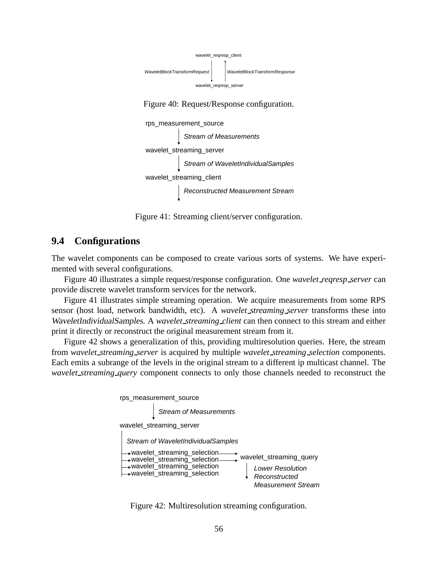

Figure 40: Request/Response configuration.



Figure 41: Streaming client/server configuration.

## **9.4 Configurations**

The wavelet components can be composed to create various sorts of systems. We have experimented with several configurations.

Figure 40 illustrates a simple request/response configuration. One *wavelet reqresp server* can provide discrete wavelet transform services for the network.

Figure 41 illustrates simple streaming operation. We acquire measurements from some RPS sensor (host load, network bandwidth, etc). A *wavelet streaming server* transforms these into WaveletIndividualSamples. A *wavelet streaming client* can then connect to this stream and either print it directly or reconstruct the original measurement stream from it.

Figure 42 shows a generalization of this, providing multiresolution queries. Here, the stream from *wavelet streaming server* is acquired by multiple *wavelet streaming selection* components. Each emits a subrange of the levels in the original stream to a different ip multicast channel. The *wavelet streaming query* component connects to only those channels needed to reconstruct the



Figure 42: Multiresolution streaming configuration.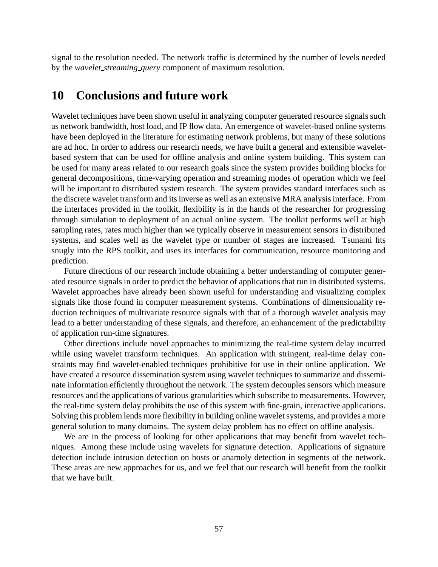signal to the resolution needed. The network traffic is determined by the number of levels needed by the *wavelet streaming query* component of maximum resolution.

## **10 Conclusions and future work**

Wavelet techniques have been shown useful in analyzing computer generated resource signals such as network bandwidth, host load, and IP flow data. An emergence of wavelet-based online systems have been deployed in the literature for estimating network problems, but many of these solutions are ad hoc. In order to address our research needs, we have built a general and extensible waveletbased system that can be used for offline analysis and online system building. This system can be used for many areas related to our research goals since the system provides building blocks for general decompositions, time-varying operation and streaming modes of operation which we feel will be important to distributed system research. The system provides standard interfaces such as the discrete wavelet transform and its inverse as well as an extensive MRA analysis interface. From the interfaces provided in the toolkit, flexibility is in the hands of the researcher for progressing through simulation to deployment of an actual online system. The toolkit performs well at high sampling rates, rates much higher than we typically observe in measurement sensors in distributed systems, and scales well as the wavelet type or number of stages are increased. Tsunami fits snugly into the RPS toolkit, and uses its interfaces for communication, resource monitoring and prediction.

Future directions of our research include obtaining a better understanding of computer generated resource signals in order to predict the behavior of applications that run in distributed systems. Wavelet approaches have already been shown useful for understanding and visualizing complex signals like those found in computer measurement systems. Combinations of dimensionality reduction techniques of multivariate resource signals with that of a thorough wavelet analysis may lead to a better understanding of these signals, and therefore, an enhancement of the predictability of application run-time signatures.

Other directions include novel approaches to minimizing the real-time system delay incurred while using wavelet transform techniques. An application with stringent, real-time delay constraints may find wavelet-enabled techniques prohibitive for use in their online application. We have created a resource dissemination system using wavelet techniques to summarize and disseminate information efficiently throughout the network. The system decouples sensors which measure resources and the applications of various granularities which subscribe to measurements. However, the real-time system delay prohibits the use of this system with fine-grain, interactive applications. Solving this problem lends more flexibility in building online wavelet systems, and provides a more general solution to many domains. The system delay problem has no effect on offline analysis.

We are in the process of looking for other applications that may benefit from wavelet techniques. Among these include using wavelets for signature detection. Applications of signature detection include intrusion detection on hosts or anamoly detection in segments of the network. These areas are new approaches for us, and we feel that our research will benefit from the toolkit that we have built.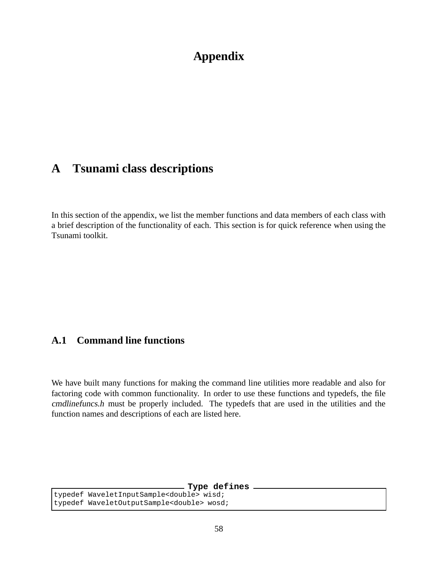# **Appendix**

# **A Tsunami class descriptions**

In this section of the appendix, we list the member functions and data members of each class with a brief description of the functionality of each. This section is for quick reference when using the Tsunami toolkit.

# **A.1 Command line functions**

We have built many functions for making the command line utilities more readable and also for factoring code with common functionality. In order to use these functions and typedefs, the file cmdlinefuncs.h must be properly included. The typedefs that are used in the utilities and the function names and descriptions of each are listed here.

**Type defines**

typedef WaveletInputSample<double> wisd; typedef WaveletOutputSample<double> wosd;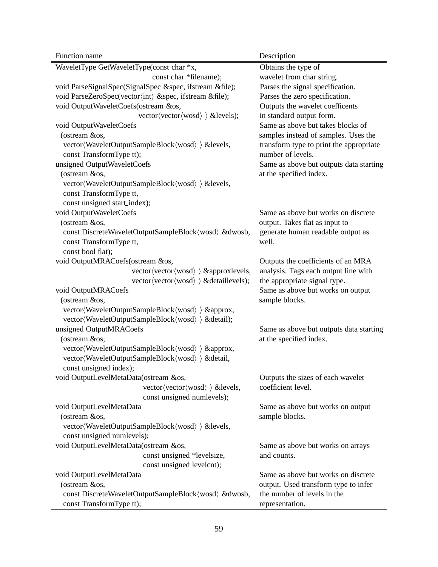| Function name                                                              | Description                             |
|----------------------------------------------------------------------------|-----------------------------------------|
| WaveletType GetWaveletType(const char *x,                                  | Obtains the type of                     |
| const char *filename);                                                     | wavelet from char string.               |
| void ParseSignalSpec(SignalSpec &spec, ifstream &file);                    | Parses the signal specification.        |
| void ParseZeroSpec(vector(int) &spec, ifstream &file);                     | Parses the zero specification.          |
| void OutputWaveletCoefs(ostream &os,                                       | Outputs the wavelet coefficents         |
| vector $\langle vector \langle words \rangle \rangle$ & levels);           | in standard output form.                |
| void OutputWaveletCoefs                                                    | Same as above but takes blocks of       |
| (ostream &os,                                                              | samples instead of samples. Uses the    |
| vector(WaveletOutputSampleBlock(wosd)) &levels,                            | transform type to print the appropriate |
| const TransformType tt);                                                   | number of levels.                       |
| unsigned OutputWaveletCoefs                                                | Same as above but outputs data starting |
| (ostream &os,                                                              | at the specified index.                 |
| vector (WaveletOutputSampleBlock (wosd) ) & levels,                        |                                         |
| const TransformType tt,                                                    |                                         |
| const unsigned start_index);                                               |                                         |
| void OutputWaveletCoefs                                                    | Same as above but works on discrete     |
| (ostream &os,                                                              | output. Takes flat as input to          |
| const DiscreteWaveletOutputSampleBlock(wosd) &dwosb,                       | generate human readable output as       |
| const TransformType tt,                                                    | well.                                   |
| const bool flat);                                                          |                                         |
| void OutputMRACoefs(ostream &os,                                           | Outputs the coefficients of an MRA      |
| vector $\langle$ vector $\langle$ wosd $\rangle$ $\rangle$ & approxievels, | analysis. Tags each output line with    |
| vector $\langle vector \langle wood \rangle \rangle \& detaillevels);$     | the appropriate signal type.            |
| void OutputMRACoefs                                                        | Same as above but works on output       |
| (ostream &os,                                                              | sample blocks.                          |
| vector (WaveletOutputSampleBlock (wosd) ) & approx,                        |                                         |
| vector(WaveletOutputSampleBlock(wosd) ) & detail);                         |                                         |
| unsigned OutputMRACoefs                                                    | Same as above but outputs data starting |
| (ostream &os,                                                              | at the specified index.                 |
| vector (WaveletOutputSampleBlock (wosd) ) & approx,                        |                                         |
| vector(WaveletOutputSampleBlock(wosd) ) & detail,                          |                                         |
| const unsigned index);                                                     |                                         |
| void OutputLevelMetaData(ostream &os,                                      | Outputs the sizes of each wavelet       |
| vector $\langle vector \langle wood \rangle \rangle$ & levels,             | coefficient level.                      |
| const unsigned numlevels);                                                 |                                         |
| void OutputLevelMetaData                                                   | Same as above but works on output       |
| (ostream &os,                                                              | sample blocks.                          |
| vector(WaveletOutputSampleBlock(wosd) ) & levels,                          |                                         |
| const unsigned numlevels);                                                 |                                         |
| void OutputLevelMetaData(ostream &os,                                      | Same as above but works on arrays       |
| const unsigned *levelsize,                                                 | and counts.                             |
| const unsigned levelcnt);                                                  |                                         |
| void OutputLevelMetaData                                                   | Same as above but works on discrete     |
| (ostream &os,                                                              | output. Used transform type to infer    |
| const DiscreteWaveletOutputSampleBlock(wosd) &dwosb,                       | the number of levels in the             |
| const TransformType tt);                                                   | representation.                         |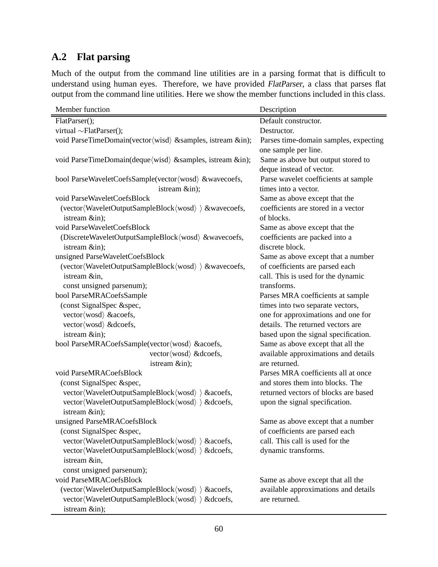# **A.2 Flat parsing**

Much of the output from the command line utilities are in a parsing format that is difficult to understand using human eyes. Therefore, we have provided FlatParser, a class that parses flat output from the command line utilities. Here we show the member functions included in this class.

| Member function                                                                      | Description                           |
|--------------------------------------------------------------------------------------|---------------------------------------|
| FlatParser();                                                                        | Default constructor.                  |
| virtual $\sim$ FlatParser();                                                         | Destructor.                           |
| void ParseTimeDomain(vector(wisd) & samples, istream ∈);                             | Parses time-domain samples, expecting |
|                                                                                      | one sample per line.                  |
| void ParseTimeDomain(deque/wisd) & samples, istream ∈);                              | Same as above but output stored to    |
|                                                                                      | deque instead of vector.              |
| bool ParseWaveletCoefsSample(vector(wosd) &wavecoefs,                                | Parse wavelet coefficients at sample  |
| istream ∈);                                                                          | times into a vector.                  |
| void ParseWaveletCoefsBlock                                                          | Same as above except that the         |
| (vector $\langle WaveletOutputSampleBlock \langle wood \rangle \rangle$ & wavecoefs, | coefficients are stored in a vector   |
| istream ∈);                                                                          | of blocks.                            |
| void ParseWaveletCoefsBlock                                                          | Same as above except that the         |
| (DiscreteWaveletOutputSampleBlock/wosd) &wavecoefs,                                  | coefficients are packed into a        |
| istream ∈);                                                                          | discrete block.                       |
| unsigned ParseWaveletCoefsBlock                                                      | Same as above except that a number    |
| (vector $\langle WaveletOutputSampleBlock \langle wood \rangle \rangle$ & wavecoefs, | of coefficients are parsed each       |
| istream ∈,                                                                           | call. This is used for the dynamic    |
| const unsigned parsenum);                                                            | transforms.                           |
| bool ParseMRACoefsSample                                                             | Parses MRA coefficients at sample     |
| (const SignalSpec &spec,                                                             | times into two separate vectors,      |
| vector $\langle$ wosd $\rangle$ & acoefs,                                            | one for approximations and one for    |
| vector (wosd) & dcoefs,                                                              | details. The returned vectors are     |
| istream ∈);                                                                          | based upon the signal specification.  |
| bool ParseMRACoefsSample(vector/wosd) &acoefs,                                       | Same as above except that all the     |
| vector $\langle$ wosd $\rangle$ & dcoefs,                                            | available approximations and details  |
| istream ∈);                                                                          | are returned.                         |
| void ParseMRACoefsBlock                                                              | Parses MRA coefficients all at once   |
| (const SignalSpec &spec,                                                             | and stores them into blocks. The      |
| vector (WaveletOutputSampleBlock (wosd) ) & acoefs,                                  | returned vectors of blocks are based  |
| vector(WaveletOutputSampleBlock(wosd)) & dcoefs,                                     | upon the signal specification.        |
| istream ∈);                                                                          |                                       |
| unsigned ParseMRACoefsBlock                                                          | Same as above except that a number    |
| (const SignalSpec &spec,                                                             | of coefficients are parsed each       |
| vector (WaveletOutputSampleBlock (wosd) ) & acoefs,                                  | call. This call is used for the       |
| vector(WaveletOutputSampleBlock(wosd)) & dcoefs,                                     | dynamic transforms.                   |
| istream ∈,                                                                           |                                       |
| const unsigned parsenum);                                                            |                                       |
| void ParseMRACoefsBlock                                                              | Same as above except that all the     |
| (vector(WaveletOutputSampleBlock(wosd)) & acoefs,                                    | available approximations and details  |
| vector(WaveletOutputSampleBlock(wosd)) & dcoefs,                                     | are returned.                         |
| istream ∈);                                                                          |                                       |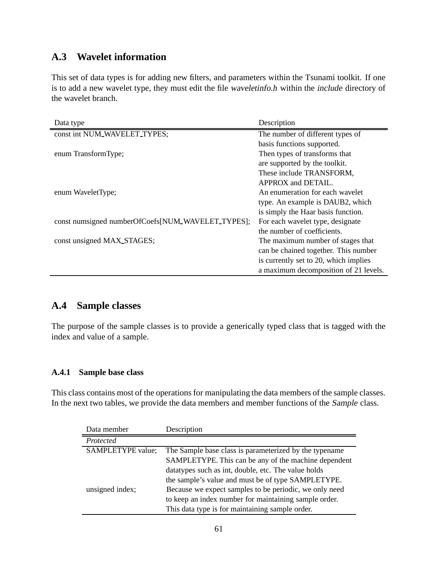## **A.3 Wavelet information**

This set of data types is for adding new filters, and parameters within the Tsunami toolkit. If one is to add a new wavelet type, they must edit the file waveletinfo.h within the include directory of the wavelet branch.

| Data type                                         | Description                           |
|---------------------------------------------------|---------------------------------------|
| const int NUM_WAVELET_TYPES;                      | The number of different types of      |
|                                                   | basis functions supported.            |
| enum TransformType;                               | Then types of transforms that         |
|                                                   | are supported by the toolkit.         |
|                                                   | These include TRANSFORM,              |
|                                                   | APPROX and DETAIL.                    |
| enum WaveletType;                                 | An enumeration for each wavelet       |
|                                                   | type. An example is DAUB2, which      |
|                                                   | is simply the Haar basis function.    |
| const numsigned numberOfCoefs[NUM_WAVELET_TYPES]; | For each wavelet type, designate      |
|                                                   | the number of coefficients.           |
| const unsigned MAX_STAGES;                        | The maximum number of stages that     |
|                                                   | can be chained together. This number  |
|                                                   | is currently set to 20, which implies |
|                                                   | a maximum decomposition of 21 levels. |

## **A.4 Sample classes**

The purpose of the sample classes is to provide a generically typed class that is tagged with the index and value of a sample.

## **A.4.1 Sample base class**

This class contains most of the operations for manipulating the data members of the sample classes. In the next two tables, we provide the data members and member functions of the Sample class.

| Data member              | Description                                            |
|--------------------------|--------------------------------------------------------|
| Protected                |                                                        |
| <b>SAMPLETYPE</b> value; | The Sample base class is parameterized by the typename |
|                          | SAMPLETYPE. This can be any of the machine dependent   |
|                          | datatypes such as int, double, etc. The value holds    |
|                          | the sample's value and must be of type SAMPLETYPE.     |
| unsigned index;          | Because we expect samples to be periodic, we only need |
|                          | to keep an index number for maintaining sample order.  |
|                          | This data type is for maintaining sample order.        |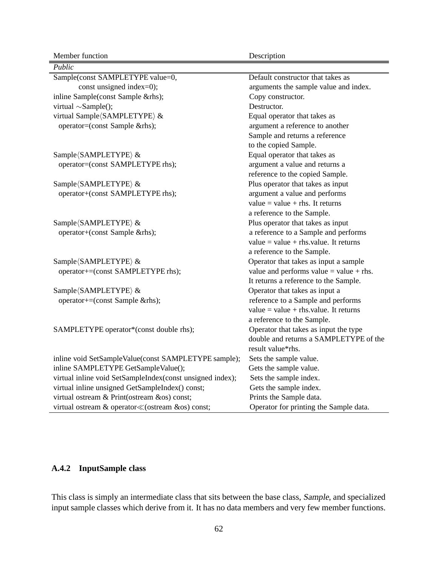Member function Description

| Public                                                    |                                         |
|-----------------------------------------------------------|-----------------------------------------|
| Sample(const SAMPLETYPE value=0,                          | Default constructor that takes as       |
| const unsigned index=0);                                  | arguments the sample value and index.   |
| inline Sample(const Sample &rhs);                         | Copy constructor.                       |
| virtual $\sim$ Sample();                                  | Destructor.                             |
| virtual Sample (SAMPLETYPE) &                             | Equal operator that takes as            |
| operator=(const Sample &rhs);                             | argument a reference to another         |
|                                                           | Sample and returns a reference          |
|                                                           | to the copied Sample.                   |
| Sample (SAMPLETYPE) &                                     | Equal operator that takes as            |
| operator=(const SAMPLETYPE rhs);                          | argument a value and returns a          |
|                                                           | reference to the copied Sample.         |
| Sample (SAMPLETYPE) &                                     | Plus operator that takes as input       |
| operator+(const SAMPLETYPE rhs);                          | argument a value and performs           |
|                                                           | value = value + rhs. It returns         |
|                                                           | a reference to the Sample.              |
| Sample (SAMPLETYPE) &                                     | Plus operator that takes as input       |
| operator+(const Sample &rhs);                             | a reference to a Sample and performs    |
|                                                           | value = value + rhs.value. It returns   |
|                                                           | a reference to the Sample.              |
| Sample (SAMPLETYPE) &                                     | Operator that takes as input a sample   |
| operator+=(const SAMPLETYPE rhs);                         | value and performs value = value + rhs. |
|                                                           | It returns a reference to the Sample.   |
| Sample (SAMPLETYPE) &                                     | Operator that takes as input a          |
| operator+=(const Sample &rhs);                            | reference to a Sample and performs      |
|                                                           | value = value + rhs.value. It returns   |
|                                                           | a reference to the Sample.              |
| SAMPLETYPE operator*(const double rhs);                   | Operator that takes as input the type   |
|                                                           | double and returns a SAMPLETYPE of the  |
|                                                           | result value*rhs.                       |
| inline void SetSampleValue(const SAMPLETYPE sample);      | Sets the sample value.                  |
| inline SAMPLETYPE GetSampleValue();                       | Gets the sample value.                  |
| virtual inline void SetSampleIndex(const unsigned index); | Sets the sample index.                  |
| virtual inline unsigned GetSampleIndex() const;           | Gets the sample index.                  |
| virtual ostream & Print(ostream &os) const;               | Prints the Sample data.                 |
|                                                           | Operator for printing the Sample data.  |

## **A.4.2 InputSample class**

This class is simply an intermediate class that sits between the base class, Sample, and specialized input sample classes which derive from it. It has no data members and very few member functions.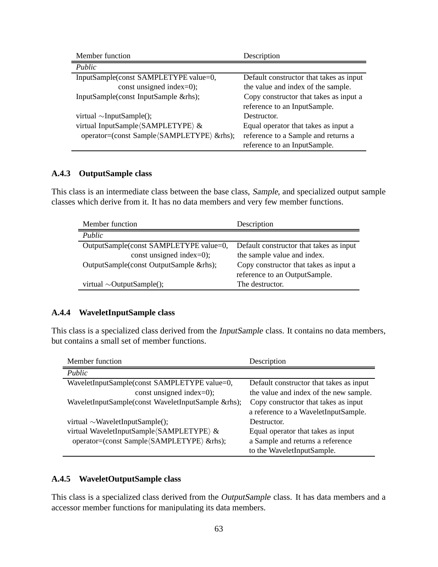| Member function                            | Description                             |
|--------------------------------------------|-----------------------------------------|
| Public                                     |                                         |
| InputSample(const SAMPLETYPE value=0,      | Default constructor that takes as input |
| const unsigned index=0);                   | the value and index of the sample.      |
| InputSample(const InputSample &rhs);       | Copy constructor that takes as input a  |
|                                            | reference to an InputSample.            |
| virtual $\sim$ InputSample();              | Destructor.                             |
| virtual InputSample (SAMPLETYPE) &         | Equal operator that takes as input a    |
| operator=(const Sample (SAMPLETYPE) &rhs); | reference to a Sample and returns a     |
|                                            | reference to an InputSample.            |

### **A.4.3 OutputSample class**

This class is an intermediate class between the base class, Sample, and specialized output sample classes which derive from it. It has no data members and very few member functions.

| Member function                         | Description                             |
|-----------------------------------------|-----------------------------------------|
| Public                                  |                                         |
| OutputSample(const SAMPLETYPE value=0,  | Default constructor that takes as input |
| const unsigned index=0);                | the sample value and index.             |
| OutputSample(const OutputSample & rhs); | Copy constructor that takes as input a  |
|                                         | reference to an OutputSample.           |
| virtual $\sim$ OutputSample();          | The destructor.                         |

### **A.4.4 WaveletInputSample class**

This class is a specialized class derived from the InputSample class. It contains no data members, but contains a small set of member functions.

| Member function                                    | Description                             |
|----------------------------------------------------|-----------------------------------------|
| Public                                             |                                         |
| WaveletInputSample(const SAMPLETYPE value=0,       | Default constructor that takes as input |
| const unsigned index=0);                           | the value and index of the new sample.  |
| WaveletInputSample(const WaveletInputSample &rhs); | Copy constructor that takes as input    |
|                                                    | a reference to a WaveletInputSample.    |
| virtual $\sim$ WaveletInputSample();               | Destructor.                             |
| virtual WaveletInputSample(SAMPLETYPE) &           | Equal operator that takes as input      |
| operator=(const Sample/SAMPLETYPE) &rhs);          | a Sample and returns a reference        |
|                                                    | to the WaveletInputSample.              |

### **A.4.5 WaveletOutputSample class**

This class is a specialized class derived from the OutputSample class. It has data members and a accessor member functions for manipulating its data members.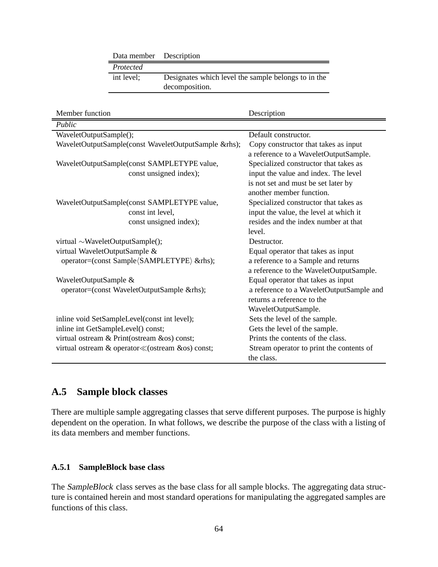|                                              | Data member                                                       | Description                                          |                                          |  |
|----------------------------------------------|-------------------------------------------------------------------|------------------------------------------------------|------------------------------------------|--|
|                                              | Protected                                                         |                                                      |                                          |  |
|                                              | int level;<br>Designates which level the sample belongs to in the |                                                      |                                          |  |
|                                              |                                                                   | decomposition.                                       |                                          |  |
|                                              |                                                                   |                                                      |                                          |  |
|                                              |                                                                   |                                                      |                                          |  |
| Member function                              |                                                                   |                                                      | Description                              |  |
| Public                                       |                                                                   |                                                      |                                          |  |
| WaveletOutputSample();                       |                                                                   |                                                      | Default constructor.                     |  |
|                                              |                                                                   | WaveletOutputSample(const WaveletOutputSample &rhs); | Copy constructor that takes as input     |  |
|                                              |                                                                   |                                                      | a reference to a WaveletOutputSample.    |  |
|                                              |                                                                   | WaveletOutputSample(const SAMPLETYPE value,          | Specialized constructor that takes as    |  |
|                                              |                                                                   | const unsigned index);                               | input the value and index. The level     |  |
|                                              |                                                                   |                                                      | is not set and must be set later by      |  |
|                                              |                                                                   |                                                      | another member function.                 |  |
|                                              |                                                                   | WaveletOutputSample(const SAMPLETYPE value,          | Specialized constructor that takes as    |  |
|                                              | const int level,                                                  |                                                      | input the value, the level at which it   |  |
|                                              |                                                                   | const unsigned index);                               | resides and the index number at that     |  |
|                                              |                                                                   |                                                      | level.                                   |  |
| virtual $\sim$ WaveletOutputSample();        |                                                                   |                                                      | Destructor.                              |  |
| virtual WaveletOutputSample &                |                                                                   |                                                      | Equal operator that takes as input       |  |
| operator=(const Sample/SAMPLETYPE) &rhs);    |                                                                   |                                                      | a reference to a Sample and returns      |  |
|                                              |                                                                   |                                                      | a reference to the WaveletOutputSample.  |  |
| WaveletOutputSample &                        |                                                                   |                                                      | Equal operator that takes as input       |  |
|                                              |                                                                   | operator=(const WaveletOutputSample &rhs);           | a reference to a WaveletOutputSample and |  |
|                                              |                                                                   |                                                      | returns a reference to the               |  |
|                                              |                                                                   |                                                      | WaveletOutputSample.                     |  |
| inline void SetSampleLevel(const int level); |                                                                   |                                                      | Sets the level of the sample.            |  |
| inline int GetSampleLevel() const;           |                                                                   |                                                      | Gets the level of the sample.            |  |
| virtual ostream & Print(ostream &os) const;  |                                                                   |                                                      | Prints the contents of the class.        |  |
|                                              |                                                                   | virtual ostream & operator < (ostream &os) const;    | Stream operator to print the contents of |  |
|                                              |                                                                   |                                                      | the class.                               |  |

## **A.5 Sample block classes**

There are multiple sample aggregating classes that serve different purposes. The purpose is highly dependent on the operation. In what follows, we describe the purpose of the class with a listing of its data members and member functions.

### **A.5.1 SampleBlock base class**

The SampleBlock class serves as the base class for all sample blocks. The aggregating data structure is contained herein and most standard operations for manipulating the aggregated samples are functions of this class.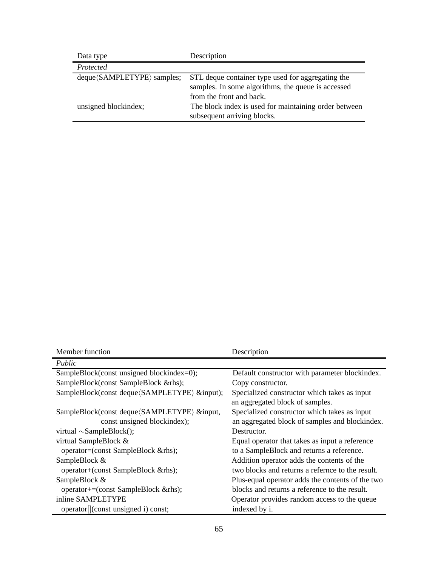| Data type                                   | Description                                           |
|---------------------------------------------|-------------------------------------------------------|
| Protected                                   |                                                       |
| $deque \langle SAMPLETYPE \rangle$ samples; | STL deque container type used for aggregating the     |
|                                             | samples. In some algorithms, the queue is accessed    |
|                                             | from the front and back.                              |
| unsigned blockindex;                        | The block index is used for maintaining order between |
|                                             | subsequent arriving blocks.                           |

| Member function                                  | Description                                      |
|--------------------------------------------------|--------------------------------------------------|
| Public                                           |                                                  |
| SampleBlock(const unsigned blockindex=0);        | Default constructor with parameter blockindex.   |
| SampleBlock(const SampleBlock &rhs);             | Copy constructor.                                |
| SampleBlock(const deque/SAMPLETYPE) &input);     | Specialized constructor which takes as input     |
|                                                  | an aggregated block of samples.                  |
| SampleBlock(const deque/SAMPLETYPE) &input,      | Specialized constructor which takes as input     |
| const unsigned blockindex);                      | an aggregated block of samples and blockindex.   |
| virtual $\sim$ SampleBlock();                    | Destructor.                                      |
| virtual SampleBlock &                            | Equal operator that takes as input a reference   |
| operator=(const SampleBlock &rhs);               | to a SampleBlock and returns a reference.        |
| SampleBlock &                                    | Addition operator adds the contents of the       |
| operator+(const SampleBlock &rhs);               | two blocks and returns a refernce to the result. |
| SampleBlock &                                    | Plus-equal operator adds the contents of the two |
| operator+=(const SampleBlock &rhs);              | blocks and returns a reference to the result.    |
| inline SAMPLETYPE                                | Operator provides random access to the queue     |
| operator <sup>[</sup> ](const unsigned i) const; | indexed by i.                                    |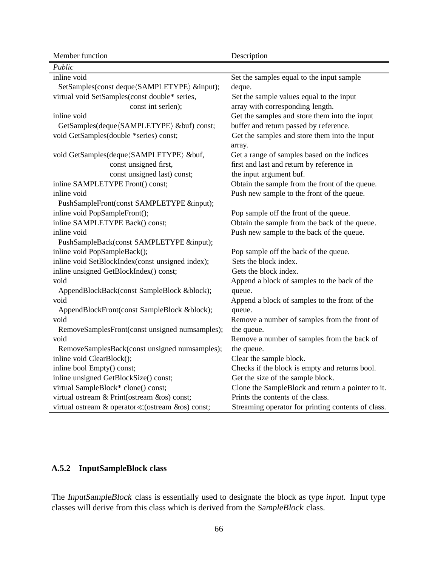| Member function                                  | Description                                             |
|--------------------------------------------------|---------------------------------------------------------|
| Public                                           |                                                         |
| inline void                                      | Set the samples equal to the input sample               |
| SetSamples(const deque/SAMPLETYPE) &input);      | deque.                                                  |
| virtual void SetSamples(const double* series,    | Set the sample values equal to the input                |
| const int serlen);                               | array with corresponding length.                        |
| inline void                                      | Get the samples and store them into the input           |
| GetSamples(deque (SAMPLETYPE) &buf) const;       | buffer and return passed by reference.                  |
| void GetSamples(double *series) const;           | Get the samples and store them into the input<br>array. |
| void GetSamples(deque (SAMPLETYPE) &buf,         | Get a range of samples based on the indices             |
| const unsigned first,                            | first and last and return by reference in               |
| const unsigned last) const;                      | the input argument buf.                                 |
| inline SAMPLETYPE Front() const;                 | Obtain the sample from the front of the queue.          |
| inline void                                      | Push new sample to the front of the queue.              |
| PushSampleFront(const SAMPLETYPE &input);        |                                                         |
| inline void PopSampleFront();                    | Pop sample off the front of the queue.                  |
| inline SAMPLETYPE Back() const;                  | Obtain the sample from the back of the queue.           |
| inline void                                      | Push new sample to the back of the queue.               |
| PushSampleBack(const SAMPLETYPE &input);         |                                                         |
| inline void PopSampleBack();                     | Pop sample off the back of the queue.                   |
| inline void SetBlockIndex(const unsigned index); | Sets the block index.                                   |
| inline unsigned GetBlockIndex() const;           | Gets the block index.                                   |
| void                                             | Append a block of samples to the back of the            |
| AppendBlockBack(const SampleBlock █);            | queue.                                                  |
| void                                             | Append a block of samples to the front of the           |
| AppendBlockFront(const SampleBlock █);           | queue.                                                  |
| void                                             | Remove a number of samples from the front of            |
| RemoveSamplesFront(const unsigned numsamples);   | the queue.                                              |
| void                                             | Remove a number of samples from the back of             |
| RemoveSamplesBack(const unsigned numsamples);    | the queue.                                              |
| inline void ClearBlock();                        | Clear the sample block.                                 |
| inline bool Empty() const;                       | Checks if the block is empty and returns bool.          |
| inline unsigned GetBlockSize() const;            | Get the size of the sample block.                       |
| virtual SampleBlock* clone() const;              | Clone the SampleBlock and return a pointer to it.       |
| virtual ostream & Print(ostream &os) const;      | Prints the contents of the class.                       |
| virtual ostream & operator≪(ostream &os) const;  | Streaming operator for printing contents of class.      |

## **A.5.2 InputSampleBlock class**

The InputSampleBlock class is essentially used to designate the block as type *input*. Input type classes will derive from this class which is derived from the SampleBlock class.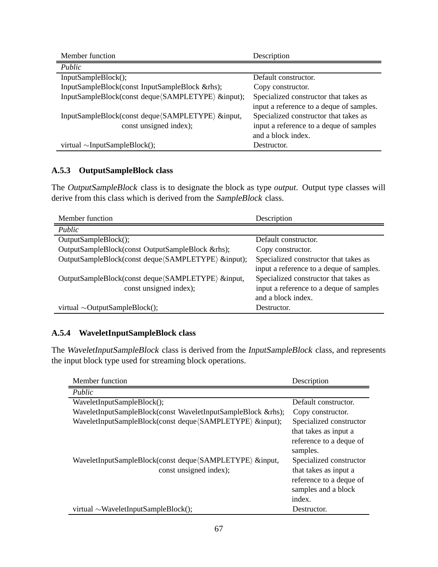| Member function                                    | Description                              |
|----------------------------------------------------|------------------------------------------|
| Public                                             |                                          |
| InputSampleBlock();                                | Default constructor.                     |
| InputSampleBlock(const InputSampleBlock &rhs);     | Copy constructor.                        |
| InputSampleBlock(const deque (SAMPLETYPE) &input); | Specialized constructor that takes as    |
|                                                    | input a reference to a deque of samples. |
| InputSampleBlock(const deque/SAMPLETYPE) &input,   | Specialized constructor that takes as    |
| const unsigned index);                             | input a reference to a deque of samples  |
|                                                    | and a block index.                       |
| virtual $\sim$ InputSampleBlock();                 | Destructor.                              |

## **A.5.3 OutputSampleBlock class**

The OutputSampleBlock class is to designate the block as type *output*. Output type classes will derive from this class which is derived from the SampleBlock class.

| Member function                                     | Description                              |
|-----------------------------------------------------|------------------------------------------|
| Public                                              |                                          |
| OutputSampleBlock();                                | Default constructor.                     |
| OutputSampleBlock(const OutputSampleBlock &rhs);    | Copy constructor.                        |
| OutputSampleBlock(const deque (SAMPLETYPE) &input); | Specialized constructor that takes as    |
|                                                     | input a reference to a deque of samples. |
| OutputSampleBlock(const deque/SAMPLETYPE) &input,   | Specialized constructor that takes as    |
| const unsigned index);                              | input a reference to a deque of samples  |
|                                                     | and a block index.                       |
| virtual $\sim$ OutputSampleBlock();                 | Destructor.                              |

## **A.5.4 WaveletInputSampleBlock class**

The WaveletInputSampleBlock class is derived from the InputSampleBlock class, and represents the input block type used for streaming block operations.

| Member function                                              | Description             |  |
|--------------------------------------------------------------|-------------------------|--|
| Public                                                       |                         |  |
| WaveletInputSampleBlock();                                   | Default constructor.    |  |
| WaveletInputSampleBlock(const WaveletInputSampleBlock &rhs); | Copy constructor.       |  |
| WaveletInputSampleBlock(const deque (SAMPLETYPE) &input);    | Specialized constructor |  |
|                                                              | that takes as input a   |  |
|                                                              | reference to a deque of |  |
|                                                              | samples.                |  |
| WaveletInputSampleBlock(const deque (SAMPLETYPE) & input,    | Specialized constructor |  |
| const unsigned index);                                       | that takes as input a   |  |
|                                                              | reference to a deque of |  |
|                                                              | samples and a block     |  |
|                                                              | index.                  |  |
| virtual $\sim$ WaveletInputSampleBlock();                    | Destructor.             |  |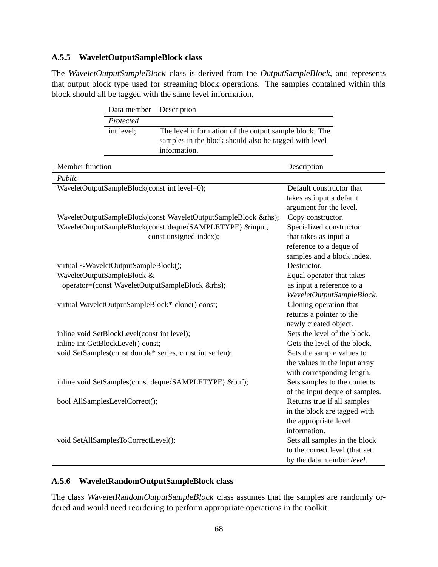### **A.5.5 WaveletOutputSampleBlock class**

The WaveletOutputSampleBlock class is derived from the OutputSampleBlock, and represents that output block type used for streaming block operations. The samples contained within this block should all be tagged with the same level information.

|                 | Data member                                                         | Description                                                    |                                |
|-----------------|---------------------------------------------------------------------|----------------------------------------------------------------|--------------------------------|
|                 | Protected                                                           |                                                                |                                |
|                 | int level;<br>The level information of the output sample block. The |                                                                |                                |
|                 |                                                                     | samples in the block should also be tagged with level          |                                |
|                 |                                                                     | information.                                                   |                                |
|                 |                                                                     |                                                                |                                |
| Member function |                                                                     |                                                                | Description                    |
| Public          |                                                                     |                                                                |                                |
|                 | WaveletOutputSampleBlock(const int level=0);                        |                                                                | Default constructor that       |
|                 |                                                                     |                                                                | takes as input a default       |
|                 |                                                                     |                                                                | argument for the level.        |
|                 |                                                                     | WaveletOutputSampleBlock(const WaveletOutputSampleBlock &rhs); | Copy constructor.              |
|                 |                                                                     | WaveletOutputSampleBlock(const deque (SAMPLETYPE) &input,      | Specialized constructor        |
|                 |                                                                     | const unsigned index);                                         | that takes as input a          |
|                 |                                                                     |                                                                | reference to a deque of        |
|                 |                                                                     |                                                                | samples and a block index.     |
|                 | virtual ~WaveletOutputSampleBlock();                                |                                                                | Destructor.                    |
|                 | WaveletOutputSampleBlock &                                          |                                                                | Equal operator that takes      |
|                 |                                                                     | operator=(const WaveletOutputSampleBlock &rhs);                | as input a reference to a      |
|                 |                                                                     |                                                                | WaveletOutputSampleBlock.      |
|                 |                                                                     | virtual WaveletOutputSampleBlock* clone() const;               | Cloning operation that         |
|                 |                                                                     |                                                                | returns a pointer to the       |
|                 |                                                                     |                                                                | newly created object.          |
|                 | inline void SetBlockLevel(const int level);                         |                                                                | Sets the level of the block.   |
|                 | inline int GetBlockLevel() const;                                   |                                                                | Gets the level of the block.   |
|                 |                                                                     | void SetSamples(const double* series, const int serlen);       | Sets the sample values to      |
|                 |                                                                     |                                                                | the values in the input array  |
|                 |                                                                     |                                                                | with corresponding length.     |
|                 |                                                                     | inline void SetSamples(const deque (SAMPLETYPE) &buf);         | Sets samples to the contents   |
|                 |                                                                     |                                                                | of the input deque of samples. |
|                 | bool AllSamplesLevelCorrect();                                      |                                                                | Returns true if all samples    |
|                 |                                                                     |                                                                | in the block are tagged with   |
|                 |                                                                     |                                                                | the appropriate level          |
|                 |                                                                     |                                                                | information.                   |
|                 | void SetAllSamplesToCorrectLevel();                                 |                                                                | Sets all samples in the block  |
|                 |                                                                     | to the correct level (that set                                 |                                |
|                 |                                                                     | by the data member level.                                      |                                |

## **A.5.6 WaveletRandomOutputSampleBlock class**

The class WaveletRandomOutputSampleBlock class assumes that the samples are randomly ordered and would need reordering to perform appropriate operations in the toolkit.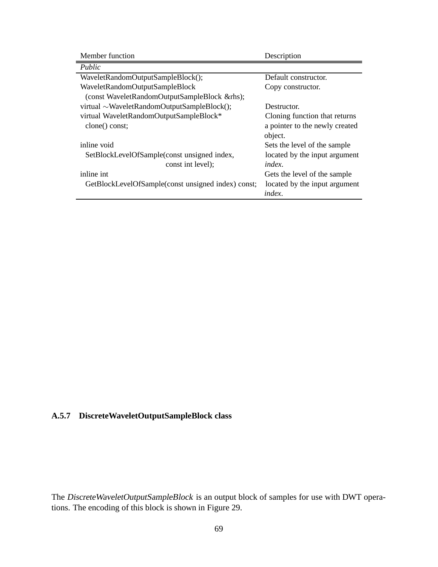| Member function                                    | Description                    |
|----------------------------------------------------|--------------------------------|
| Public                                             |                                |
| WaveletRandomOutputSampleBlock();                  | Default constructor.           |
| WaveletRandomOutputSampleBlock                     | Copy constructor.              |
| (const WaveletRandomOutputSampleBlock &rhs);       |                                |
| virtual $\sim$ WaveletRandomOutputSampleBlock();   | Destructor.                    |
| virtual WaveletRandomOutputSampleBlock*            | Cloning function that returns  |
| clone() const;                                     | a pointer to the newly created |
|                                                    | object.                        |
| inline void                                        | Sets the level of the sample   |
| SetBlockLevelOfSample(const unsigned index,        | located by the input argument  |
| const int level);                                  | index.                         |
| inline int                                         | Gets the level of the sample   |
| GetBlockLevelOfSample(const unsigned index) const; | located by the input argument  |
|                                                    | index.                         |

## **A.5.7 DiscreteWaveletOutputSampleBlock class**

The Discrete Wavelet Output Sample Block is an output block of samples for use with DWT operations. The encoding of this block is shown in Figure 29.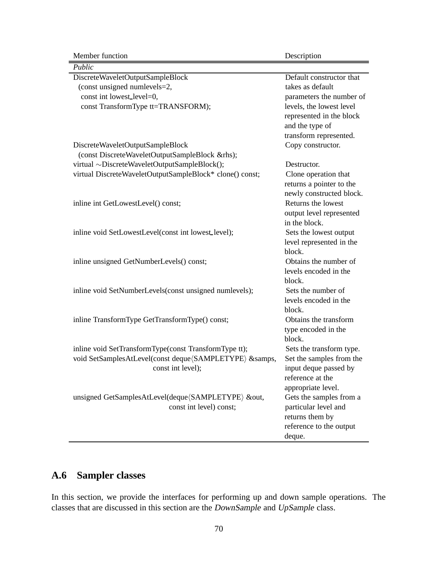Member function Description

| Public                                                   |                          |
|----------------------------------------------------------|--------------------------|
| DiscreteWaveletOutputSampleBlock                         | Default constructor that |
| (const unsigned numlevels=2,                             | takes as default         |
| const int lowest_level=0,                                | parameters the number of |
| const TransformType tt=TRANSFORM);                       | levels, the lowest level |
|                                                          | represented in the block |
|                                                          | and the type of          |
|                                                          | transform represented.   |
| DiscreteWaveletOutputSampleBlock                         | Copy constructor.        |
| (const DiscreteWaveletOutputSampleBlock &rhs);           |                          |
| virtual ~DiscreteWaveletOutputSampleBlock();             | Destructor.              |
| virtual DiscreteWaveletOutputSampleBlock* clone() const; | Clone operation that     |
|                                                          | returns a pointer to the |
|                                                          | newly constructed block. |
| inline int GetLowestLevel() const;                       | Returns the lowest       |
|                                                          | output level represented |
|                                                          | in the block.            |
| inline void SetLowestLevel(const int lowest_level);      | Sets the lowest output   |
|                                                          | level represented in the |
|                                                          | block.                   |
| inline unsigned GetNumberLevels() const;                 | Obtains the number of    |
|                                                          | levels encoded in the    |
|                                                          | block.                   |
| inline void SetNumberLevels(const unsigned numlevels);   | Sets the number of       |
|                                                          | levels encoded in the    |
|                                                          | block.                   |
| inline TransformType GetTransformType() const;           | Obtains the transform    |
|                                                          | type encoded in the      |
|                                                          | block.                   |
| inline void SetTransformType(const TransformType tt);    | Sets the transform type. |
| void SetSamplesAtLevel(const deque/SAMPLETYPE) &samps,   | Set the samples from the |
| const int level);                                        | input deque passed by    |
|                                                          | reference at the         |
|                                                          | appropriate level.       |
| unsigned GetSamplesAtLevel(deque (SAMPLETYPE) &out,      | Gets the samples from a  |
| const int level) const;                                  | particular level and     |
|                                                          | returns them by          |
|                                                          | reference to the output  |
|                                                          | deque.                   |

# **A.6 Sampler classes**

In this section, we provide the interfaces for performing up and down sample operations. The classes that are discussed in this section are the DownSample and UpSample class.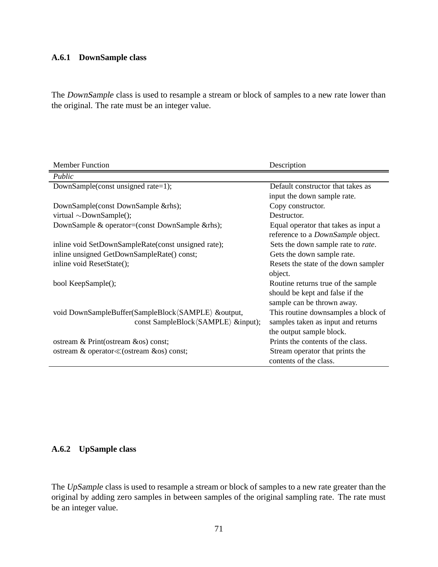#### **A.6.1 DownSample class**

The DownSample class is used to resample a stream or block of samples to a new rate lower than the original. The rate must be an integer value.

| <b>Member Function</b>                              | Description                          |
|-----------------------------------------------------|--------------------------------------|
| Public                                              |                                      |
| DownSample(const unsigned rate=1);                  | Default constructor that takes as    |
|                                                     | input the down sample rate.          |
| DownSample(const DownSample &rhs);                  | Copy constructor.                    |
| virtual $\sim$ DownSample();                        | Destructor.                          |
| DownSample & operator=(const DownSample & rhs);     | Equal operator that takes as input a |
|                                                     | reference to a DownSample object.    |
| inline void SetDownSampleRate(const unsigned rate); | Sets the down sample rate to rate.   |
| inline unsigned GetDownSampleRate() const;          | Gets the down sample rate.           |
| inline void ResetState();                           | Resets the state of the down sampler |
|                                                     | object.                              |
| bool KeepSample();                                  | Routine returns true of the sample   |
|                                                     | should be kept and false if the      |
|                                                     | sample can be thrown away.           |
| void DownSampleBuffer(SampleBlock(SAMPLE) &output,  | This routine downsamples a block of  |
| const SampleBlock (SAMPLE) &input);                 | samples taken as input and returns   |
|                                                     | the output sample block.             |
| ostream & Print(ostream &os) const;                 | Prints the contents of the class.    |
| ostream & operator≪(ostream &os) const;             | Stream operator that prints the      |
|                                                     | contents of the class.               |

### **A.6.2 UpSample class**

The UpSample class is used to resample a stream or block of samples to a new rate greater than the original by adding zero samples in between samples of the original sampling rate. The rate must be an integer value.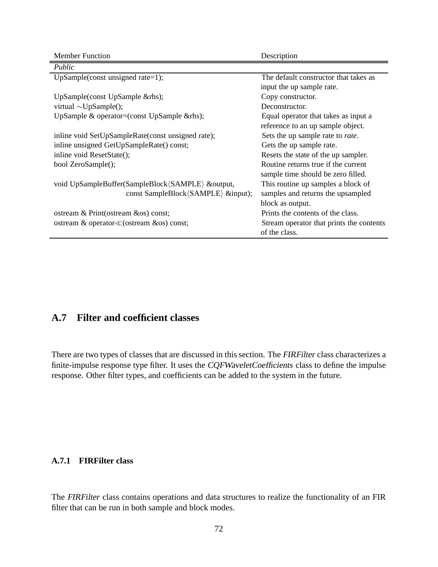| <b>Member Function</b>                            | Description                              |
|---------------------------------------------------|------------------------------------------|
| Public                                            |                                          |
| UpSample(const unsigned rate=1);                  | The default constructor that takes as    |
|                                                   | input the up sample rate.                |
| UpSample(const UpSample & rhs);                   | Copy constructor.                        |
| virtual $\sim$ UpSample();                        | Deconstructor.                           |
| UpSample & operator=(const UpSample & rhs);       | Equal operator that takes as input a     |
|                                                   | reference to an up sample object.        |
| inline void SetUpSampleRate(const unsigned rate); | Sets the up sample rate to rate.         |
| inline unsigned GetUpSampleRate() const;          | Gets the up sample rate.                 |
| inline void ResetState();                         | Resets the state of the up sampler.      |
| bool ZeroSample();                                | Routine returns true if the current      |
|                                                   | sample time should be zero filled.       |
| void UpSampleBuffer(SampleBlock/SAMPLE) &output,  | This routine up samples a block of       |
| const SampleBlock (SAMPLE) &input);               | samples and returns the upsampled        |
|                                                   | block as output.                         |
| ostream & Print(ostream & os) const;              | Prints the contents of the class.        |
| ostream & operator≪(ostream &os) const;           | Stream operator that prints the contents |
|                                                   | of the class.                            |

## **A.7 Filter and coefficient classes**

There are two types of classes that are discussed in this section. The FIRFilter class characterizes a finite-impulse response type filter. It uses the CQFWaveletCoefficients class to define the impulse response. Other filter types, and coefficients can be added to the system in the future.

#### **A.7.1 FIRFilter class**

The FIRFilter class contains operations and data structures to realize the functionality of an FIR filter that can be run in both sample and block modes.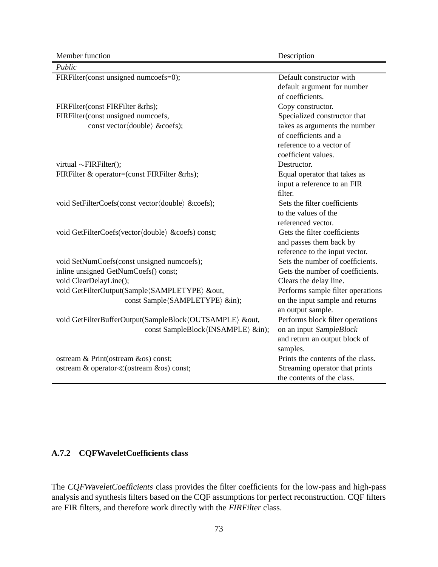Member function Description

| Public                                                  |                                   |
|---------------------------------------------------------|-----------------------------------|
| FIRFilter(const unsigned numcoefs=0);                   | Default constructor with          |
|                                                         | default argument for number       |
|                                                         | of coefficients.                  |
| FIRFilter(const FIRFilter &rhs);                        | Copy constructor.                 |
| FIRFilter(const unsigned numcoefs,                      | Specialized constructor that      |
| const vector (double) &coefs);                          | takes as arguments the number     |
|                                                         | of coefficients and a             |
|                                                         | reference to a vector of          |
|                                                         | coefficient values.               |
| virtual $\sim$ FIRFilter();                             | Destructor.                       |
| FIRFilter & operator=(const FIRFilter &rhs);            | Equal operator that takes as      |
|                                                         | input a reference to an FIR       |
|                                                         | filter.                           |
| void SetFilterCoefs(const vector(double) &coefs);       | Sets the filter coefficients      |
|                                                         | to the values of the              |
|                                                         | referenced vector.                |
| void GetFilterCoefs(vector(double) &coefs) const;       | Gets the filter coefficients      |
|                                                         | and passes them back by           |
|                                                         | reference to the input vector.    |
| void SetNumCoefs(const unsigned numcoefs);              | Sets the number of coefficients.  |
| inline unsigned GetNumCoefs() const;                    | Gets the number of coefficients.  |
| void ClearDelayLine();                                  | Clears the delay line.            |
| void GetFilterOutput(Sample/SAMPLETYPE) &out,           | Performs sample filter operations |
| const Sample (SAMPLETYPE) ∈);                           | on the input sample and returns   |
|                                                         | an output sample.                 |
| void GetFilterBufferOutput(SampleBlock/OUTSAMPLE) &out, | Performs block filter operations  |
| const SampleBlock (INSAMPLE) ∈);                        | on an input SampleBlock           |
|                                                         | and return an output block of     |
|                                                         | samples.                          |
| ostream & Print(ostream &os) const;                     | Prints the contents of the class. |
| ostream & operator≪(ostream &os) const;                 | Streaming operator that prints    |
|                                                         | the contents of the class.        |

#### **A.7.2 CQFWaveletCoefficients class**

The CQFWaveletCoefficients class provides the filter coefficients for the low-pass and high-pass analysis and synthesis filters based on the CQF assumptions for perfect reconstruction. CQF filters are FIR filters, and therefore work directly with the FIRFilter class.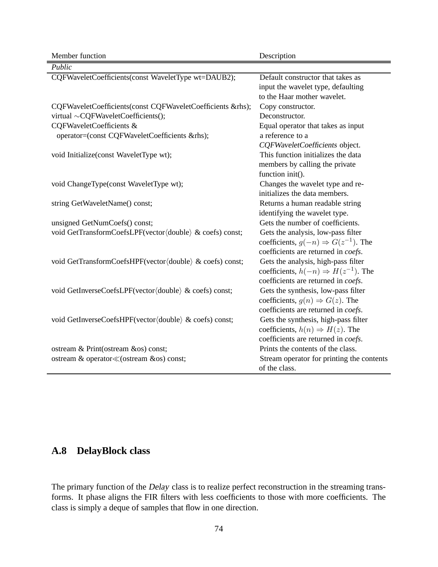| Member function                                                                                                                    | Description                                                                                                                     |
|------------------------------------------------------------------------------------------------------------------------------------|---------------------------------------------------------------------------------------------------------------------------------|
| Public                                                                                                                             |                                                                                                                                 |
| CQFWaveletCoefficients(const WaveletType wt=DAUB2);                                                                                | Default constructor that takes as<br>input the wavelet type, defaulting<br>to the Haar mother wavelet.                          |
| CQFWaveletCoefficients(const CQFWaveletCoefficients &rhs);<br>virtual $\sim$ CQFWaveletCoefficients();<br>CQFWaveletCoefficients & | Copy constructor.<br>Deconstructor.<br>Equal operator that takes as input                                                       |
| operator=(const CQFWaveletCoefficients &rhs);                                                                                      | a reference to a<br>CQFWaveletCoefficients object.                                                                              |
| void Initialize(const WaveletType wt);                                                                                             | This function initializes the data<br>members by calling the private<br>function init().                                        |
| void ChangeType(const WaveletType wt);                                                                                             | Changes the wavelet type and re-<br>initializes the data members.                                                               |
| string GetWaveletName() const;                                                                                                     | Returns a human readable string<br>identifying the wavelet type.                                                                |
| unsigned GetNumCoefs() const;                                                                                                      | Gets the number of coefficients.                                                                                                |
| void GetTransformCoefsLPF(vector(double) & coefs) const;                                                                           | Gets the analysis, low-pass filter<br>coefficients, $g(-n) \Rightarrow G(z^{-1})$ . The<br>coefficients are returned in coefs.  |
| void GetTransformCoefsHPF(vector(double) & coefs) const;                                                                           | Gets the analysis, high-pass filter<br>coefficients, $h(-n) \Rightarrow H(z^{-1})$ . The<br>coefficients are returned in coefs. |
| void GetInverseCoefsLPF(vector(double) & coefs) const;                                                                             | Gets the synthesis, low-pass filter<br>coefficients, $g(n) \Rightarrow G(z)$ . The<br>coefficients are returned in coefs.       |
| void GetInverseCoefsHPF(vector(double) & coefs) const;                                                                             | Gets the synthesis, high-pass filter<br>coefficients, $h(n) \Rightarrow H(z)$ . The<br>coefficients are returned in coefs.      |
| ostream & Print(ostream &os) const;                                                                                                | Prints the contents of the class.                                                                                               |
| ostream & operator≪(ostream &os) const;                                                                                            | Stream operator for printing the contents<br>of the class.                                                                      |

# **A.8 DelayBlock class**

The primary function of the Delay class is to realize perfect reconstruction in the streaming transforms. It phase aligns the FIR filters with less coefficients to those with more coefficients. The class is simply a deque of samples that flow in one direction.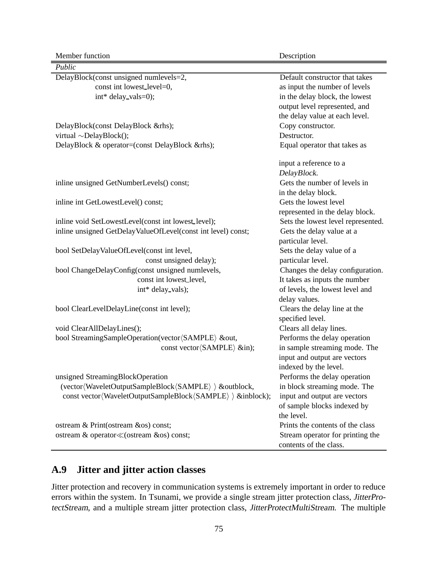Member function Description

Ĭ.

| Public                                                       |                                    |
|--------------------------------------------------------------|------------------------------------|
| DelayBlock(const unsigned numlevels=2,                       | Default constructor that takes     |
| const int lowest_level=0,                                    | as input the number of levels      |
| int* delay_vals=0);                                          | in the delay block, the lowest     |
|                                                              | output level represented, and      |
|                                                              | the delay value at each level.     |
| DelayBlock(const DelayBlock &rhs);                           | Copy constructor.                  |
| virtual $\sim$ DelayBlock();                                 | Destructor.                        |
| DelayBlock & operator=(const DelayBlock &rhs);               | Equal operator that takes as       |
|                                                              | input a reference to a             |
|                                                              | DelayBlock.                        |
| inline unsigned GetNumberLevels() const;                     | Gets the number of levels in       |
|                                                              | in the delay block.                |
| inline int GetLowestLevel() const;                           | Gets the lowest level              |
|                                                              | represented in the delay block.    |
| inline void SetLowestLevel(const int lowest_level);          | Sets the lowest level represented. |
| inline unsigned GetDelayValueOfLevel(const int level) const; | Gets the delay value at a          |
|                                                              | particular level.                  |
| bool SetDelayValueOfLevel(const int level,                   | Sets the delay value of a          |
| const unsigned delay);                                       | particular level.                  |
| bool ChangeDelayConfig(const unsigned numlevels,             | Changes the delay configuration.   |
| const int lowest_level,                                      | It takes as inputs the number      |
| int* delay_vals);                                            | of levels, the lowest level and    |
|                                                              | delay values.                      |
| bool ClearLevelDelayLine(const int level);                   | Clears the delay line at the       |
|                                                              | specified level.                   |
| void ClearAllDelayLines();                                   | Clears all delay lines.            |
| bool StreamingSampleOperation(vector(SAMPLE) &out,           | Performs the delay operation       |
| const vector (SAMPLE) ∈);                                    | in sample streaming mode. The      |
|                                                              | input and output are vectors       |
|                                                              | indexed by the level.              |
| unsigned StreamingBlockOperation                             | Performs the delay operation       |
| (vector (WaveletOutputSampleBlock (SAMPLE) ) &outblock,      | in block streaming mode. The       |
| const vector(WaveletOutputSampleBlock(SAMPLE) ) &inblock);   | input and output are vectors       |
|                                                              | of sample blocks indexed by        |
|                                                              | the level.                         |
| ostream & Print(ostream &os) const;                          | Prints the contents of the class   |
| ostream & operator≪(ostream &os) const;                      | Stream operator for printing the   |
|                                                              | contents of the class.             |

## **A.9 Jitter and jitter action classes**

Jitter protection and recovery in communication systems is extremely important in order to reduce errors within the system. In Tsunami, we provide a single stream jitter protection class, JitterProtectStream, and a multiple stream jitter protection class, JitterProtectMultiStream. The multiple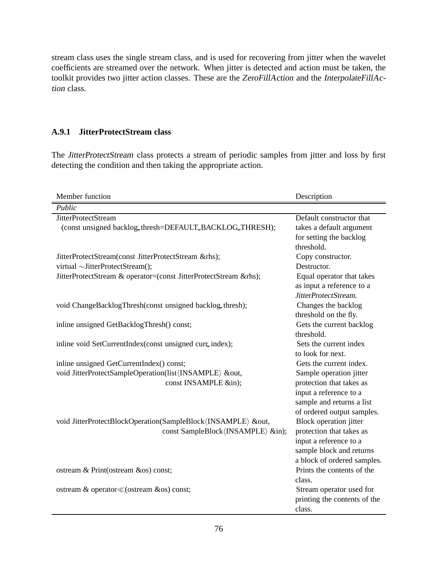stream class uses the single stream class, and is used for recovering from jitter when the wavelet coefficients are streamed over the network. When jitter is detected and action must be taken, the toolkit provides two jitter action classes. These are the ZeroFillAction and the InterpolateFillAction class.

#### **A.9.1 JitterProtectStream class**

The JitterProtectStream class protects a stream of periodic samples from jitter and loss by first detecting the condition and then taking the appropriate action.

| Member function                                                                                                                                             | Description                                                                                                                                                                                        |
|-------------------------------------------------------------------------------------------------------------------------------------------------------------|----------------------------------------------------------------------------------------------------------------------------------------------------------------------------------------------------|
| Public                                                                                                                                                      |                                                                                                                                                                                                    |
| <b>JitterProtectStream</b><br>(const unsigned backlog_thresh=DEFAULT_BACKLOG_THRESH);                                                                       | Default constructor that<br>takes a default argument<br>for setting the backlog                                                                                                                    |
| JitterProtectStream(const JitterProtectStream &rhs);<br>virtual ~JitterProtectStream();<br>JitterProtectStream & operator=(const JitterProtectStream &rhs); | threshold.<br>Copy constructor.<br>Destructor.<br>Equal operator that takes                                                                                                                        |
| void ChangeBacklogThresh(const unsigned backlog_thresh);                                                                                                    | as input a reference to a<br>JitterProtectStream.<br>Changes the backlog<br>threshold on the fly.                                                                                                  |
| inline unsigned GetBacklogThresh() const;<br>inline void SetCurrentIndex(const unsigned curr_index);                                                        | Gets the current backlog<br>threshold.<br>Sets the current index                                                                                                                                   |
| inline unsigned GetCurrentIndex() const;<br>void JitterProtectSampleOperation(list(INSAMPLE) &out,<br>const INSAMPLE ∈);                                    | to look for next.<br>Gets the current index.<br>Sample operation jitter<br>protection that takes as<br>input a reference to a                                                                      |
| void JitterProtectBlockOperation(SampleBlock/INSAMPLE) &out,<br>const SampleBlock/INSAMPLE) ∈);                                                             | sample and returns a list<br>of ordered output samples.<br>Block operation jitter<br>protection that takes as<br>input a reference to a<br>sample block and returns<br>a block of ordered samples. |
| ostream & Print(ostream &os) const;                                                                                                                         | Prints the contents of the<br>class.                                                                                                                                                               |
| ostream & operator≪(ostream &os) const;                                                                                                                     | Stream operator used for<br>printing the contents of the<br>class.                                                                                                                                 |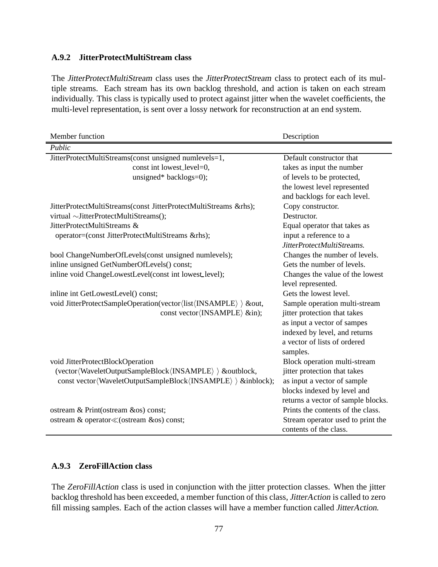#### **A.9.2 JitterProtectMultiStream class**

The JitterProtectMultiStream class uses the JitterProtectStream class to protect each of its multiple streams. Each stream has its own backlog threshold, and action is taken on each stream individually. This class is typically used to protect against jitter when the wavelet coefficients, the multi-level representation, is sent over a lossy network for reconstruction at an end system.

| Member function                                                  | Description                        |
|------------------------------------------------------------------|------------------------------------|
| Public                                                           |                                    |
| JitterProtectMultiStreams(const unsigned numlevels=1,            | Default constructor that           |
| const int lowest_level=0,                                        | takes as input the number          |
| unsigned* backlogs=0);                                           | of levels to be protected,         |
|                                                                  | the lowest level represented       |
|                                                                  | and backlogs for each level.       |
| JitterProtectMultiStreams(const JitterProtectMultiStreams &rhs); | Copy constructor.                  |
| virtual ~JitterProtectMultiStreams();                            | Destructor.                        |
| JitterProtectMultiStreams &                                      | Equal operator that takes as       |
| operator=(const JitterProtectMultiStreams &rhs);                 | input a reference to a             |
|                                                                  | JitterProtectMultiStreams.         |
| bool ChangeNumberOfLevels(const unsigned numlevels);             | Changes the number of levels.      |
| inline unsigned GetNumberOfLevels() const;                       | Gets the number of levels.         |
| inline void ChangeLowestLevel(const int lowest_level);           | Changes the value of the lowest    |
|                                                                  | level represented.                 |
| inline int GetLowestLevel() const;                               | Gets the lowest level.             |
| void JitterProtectSampleOperation(vector\list\/INSAMPLE) ) &out, | Sample operation multi-stream      |
| const vector (INSAMPLE) ∈);                                      | jitter protection that takes       |
|                                                                  | as input a vector of sampes        |
|                                                                  | indexed by level, and returns      |
|                                                                  | a vector of lists of ordered       |
|                                                                  | samples.                           |
| void JitterProtectBlockOperation                                 | Block operation multi-stream       |
| (vector(WaveletOutputSampleBlock(INSAMPLE) ) &outblock,          | jitter protection that takes       |
| const vector(WaveletOutputSampleBlock(INSAMPLE) ) &inblock);     | as input a vector of sample        |
|                                                                  | blocks indexed by level and        |
|                                                                  | returns a vector of sample blocks. |
| ostream & Print(ostream &os) const;                              | Prints the contents of the class.  |
| ostream & operator≪(ostream &os) const;                          | Stream operator used to print the  |
|                                                                  | contents of the class.             |

#### **A.9.3 ZeroFillAction class**

The ZeroFillAction class is used in conjunction with the jitter protection classes. When the jitter backlog threshold has been exceeded, a member function of this class, JitterAction is called to zero fill missing samples. Each of the action classes will have a member function called JitterAction.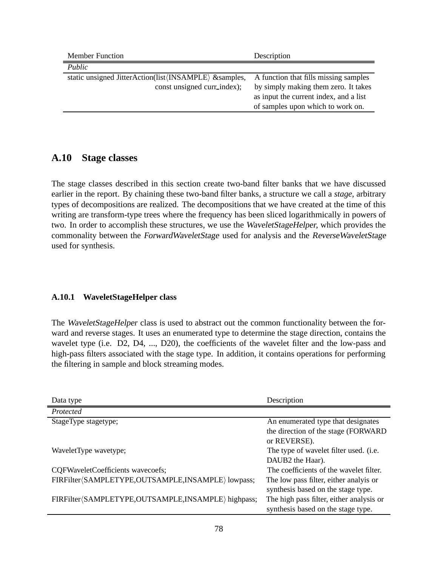| <b>Member Function</b>                                                    | Description                            |
|---------------------------------------------------------------------------|----------------------------------------|
| Public                                                                    |                                        |
| static unsigned JitterAction(list $\langle$ INSAMPLE $\rangle$ & samples, | A function that fills missing samples  |
| const unsigned curr_index);                                               | by simply making them zero. It takes   |
|                                                                           | as input the current index, and a list |
|                                                                           | of samples upon which to work on.      |

## **A.10 Stage classes**

The stage classes described in this section create two-band filter banks that we have discussed earlier in the report. By chaining these two-band filter banks, a structure we call a *stage*, arbitrary types of decompositions are realized. The decompositions that we have created at the time of this writing are transform-type trees where the frequency has been sliced logarithmically in powers of two. In order to accomplish these structures, we use the WaveletStageHelper, which provides the commonality between the ForwardWaveletStage used for analysis and the ReverseWaveletStage used for synthesis.

### **A.10.1 WaveletStageHelper class**

The WaveletStageHelper class is used to abstract out the common functionality between the forward and reverse stages. It uses an enumerated type to determine the stage direction, contains the wavelet type (i.e. D2, D4, ..., D20), the coefficients of the wavelet filter and the low-pass and high-pass filters associated with the stage type. In addition, it contains operations for performing the filtering in sample and block streaming modes.

| Data type                                          | Description                              |
|----------------------------------------------------|------------------------------------------|
| Protected                                          |                                          |
| StageType stagetype;                               | An enumerated type that designates       |
|                                                    | the direction of the stage (FORWARD)     |
|                                                    | or REVERSE).                             |
| WaveletType wavetype;                              | The type of wavelet filter used. (i.e.   |
|                                                    | DAUB <sub>2</sub> the Haar).             |
| CQFWaveletCoefficients wavecoefs;                  | The coefficients of the wavelet filter.  |
| FIRFilter(SAMPLETYPE,OUTSAMPLE,INSAMPLE) lowpass;  | The low pass filter, either analyis or   |
|                                                    | synthesis based on the stage type.       |
| FIRFilter(SAMPLETYPE,OUTSAMPLE,INSAMPLE) highpass; | The high pass filter, either analysis or |
|                                                    | synthesis based on the stage type.       |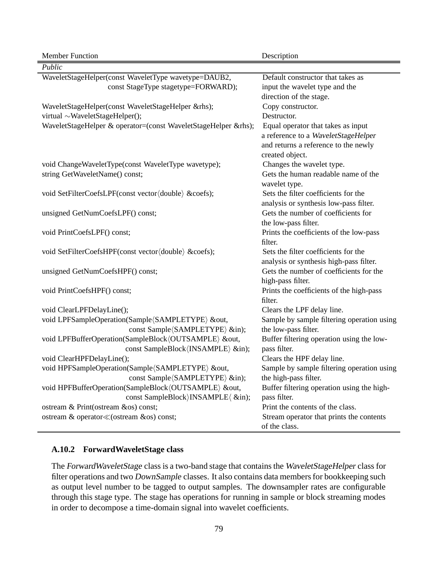| Member Function                                                | Description                                |
|----------------------------------------------------------------|--------------------------------------------|
| Public                                                         |                                            |
| WaveletStageHelper(const WaveletType wavetype=DAUB2,           | Default constructor that takes as          |
| const StageType stagetype=FORWARD);                            | input the wavelet type and the             |
|                                                                | direction of the stage.                    |
| WaveletStageHelper(const WaveletStageHelper &rhs);             | Copy constructor.                          |
| virtual ~WaveletStageHelper();                                 | Destructor.                                |
| WaveletStageHelper & operator=(const WaveletStageHelper &rhs); | Equal operator that takes as input         |
|                                                                | a reference to a WaveletStageHelper        |
|                                                                | and returns a reference to the newly       |
|                                                                | created object.                            |
| void ChangeWaveletType(const WaveletType wavetype);            | Changes the wavelet type.                  |
| string GetWaveletName() const;                                 | Gets the human readable name of the        |
|                                                                | wavelet type.                              |
| void SetFilterCoefsLPF(const vector(double) &coefs);           | Sets the filter coefficients for the       |
|                                                                | analysis or synthesis low-pass filter.     |
| unsigned GetNumCoefsLPF() const;                               | Gets the number of coefficients for        |
|                                                                | the low-pass filter.                       |
| void PrintCoefsLPF() const;                                    | Prints the coefficients of the low-pass    |
|                                                                | filter.                                    |
| void SetFilterCoefsHPF(const vector(double) &coefs);           | Sets the filter coefficients for the       |
|                                                                | analysis or synthesis high-pass filter.    |
| unsigned GetNumCoefsHPF() const;                               | Gets the number of coefficients for the    |
|                                                                | high-pass filter.                          |
| void PrintCoefsHPF() const;                                    | Prints the coefficients of the high-pass   |
|                                                                | filter.                                    |
| void ClearLPFDelayLine();                                      | Clears the LPF delay line.                 |
| void LPFSampleOperation(Sample/SAMPLETYPE) &out,               | Sample by sample filtering operation using |
| const Sample (SAMPLETYPE) ∈);                                  | the low-pass filter.                       |
| void LPFBufferOperation(SampleBlock(OUTSAMPLE) &out,           | Buffer filtering operation using the low-  |
| const SampleBlock (INSAMPLE) ∈);                               | pass filter.                               |
| void ClearHPFDelayLine();                                      | Clears the HPF delay line.                 |
| void HPFSampleOperation(Sample/SAMPLETYPE) &out,               | Sample by sample filtering operation using |
| const Sample (SAMPLETYPE) ∈);                                  | the high-pass filter.                      |
| void HPFBufferOperation(SampleBlock(OUTSAMPLE) &out,           | Buffer filtering operation using the high- |
| const SampleBlock)INSAMPLE( ∈);                                | pass filter.                               |
| ostream & Print(ostream &os) const;                            | Print the contents of the class.           |
| ostream & operator≪(ostream &os) const;                        | Stream operator that prints the contents   |
|                                                                | of the class.                              |

### **A.10.2 ForwardWaveletStage class**

The ForwardWaveletStage class is a two-band stage that contains the WaveletStageHelper class for filter operations and two DownSample classes. It also contains data members for bookkeeping such as output level number to be tagged to output samples. The downsampler rates are configurable through this stage type. The stage has operations for running in sample or block streaming modes in order to decompose a time-domain signal into wavelet coefficients.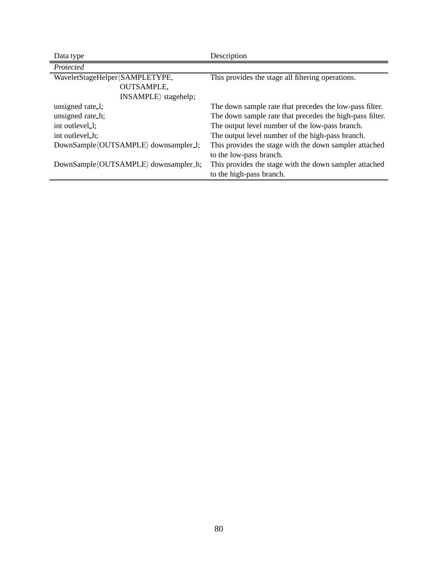| Data type                            | Description                                              |
|--------------------------------------|----------------------------------------------------------|
| Protected                            |                                                          |
| WaveletStageHelper (SAMPLETYPE,      | This provides the stage all filtering operations.        |
| <b>OUTSAMPLE,</b>                    |                                                          |
| $INSAMPLE\$ stagehelp;               |                                                          |
| unsigned rate_1;                     | The down sample rate that precedes the low-pass filter.  |
| unsigned rate_h;                     | The down sample rate that precedes the high-pass filter. |
| int outlevel                         | The output level number of the low-pass branch.          |
| int outlevel h;                      | The output level number of the high-pass branch.         |
| DownSample(OUTSAMPLE) downsampler_1; | This provides the stage with the down sampler attached   |
|                                      | to the low-pass branch.                                  |
| DownSample(OUTSAMPLE) downsampler_h; | This provides the stage with the down sampler attached   |
|                                      | to the high-pass branch.                                 |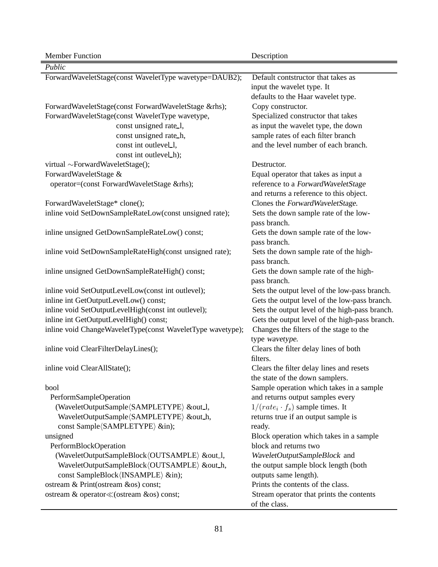| <b>Member Function</b>                                     | Description                                                                                            |
|------------------------------------------------------------|--------------------------------------------------------------------------------------------------------|
| Public                                                     |                                                                                                        |
| ForwardWaveletStage(const WaveletType wavetype=DAUB2);     | Default contstructor that takes as<br>input the wavelet type. It<br>defaults to the Haar wavelet type. |
| ForwardWaveletStage(const ForwardWaveletStage &rhs);       | Copy constructor.                                                                                      |
| ForwardWaveletStage(const WaveletType wavetype,            | Specialized constructor that takes                                                                     |
| const unsigned rate_1,                                     | as input the wavelet type, the down                                                                    |
| const unsigned rate_h,                                     | sample rates of each filter branch                                                                     |
| const int outlevel_1,                                      | and the level number of each branch.                                                                   |
| const int outlevel_h);                                     |                                                                                                        |
| virtual ~ForwardWaveletStage();                            | Destructor.                                                                                            |
| ForwardWaveletStage &                                      | Equal operator that takes as input a                                                                   |
| operator=(const ForwardWaveletStage &rhs);                 | reference to a ForwardWaveletStage                                                                     |
|                                                            | and returns a reference to this object.                                                                |
| ForwardWaveletStage* clone();                              | Clones the ForwardWaveletStage.                                                                        |
| inline void SetDownSampleRateLow(const unsigned rate);     | Sets the down sample rate of the low-<br>pass branch.                                                  |
| inline unsigned GetDownSampleRateLow() const;              | Gets the down sample rate of the low-                                                                  |
|                                                            | pass branch.                                                                                           |
| inline void SetDownSampleRateHigh(const unsigned rate);    | Sets the down sample rate of the high-                                                                 |
|                                                            | pass branch.                                                                                           |
| inline unsigned GetDownSampleRateHigh() const;             | Gets the down sample rate of the high-                                                                 |
|                                                            | pass branch.                                                                                           |
| inline void SetOutputLevelLow(const int outlevel);         | Sets the output level of the low-pass branch.                                                          |
| inline int GetOutputLevelLow() const;                      | Gets the output level of the low-pass branch.                                                          |
| inline void SetOutputLevelHigh(const int outlevel);        | Sets the output level of the high-pass branch.                                                         |
| inline int GetOutputLevelHigh() const;                     | Gets the output level of the high-pass branch.                                                         |
| inline void ChangeWaveletType(const WaveletType wavetype); | Changes the filters of the stage to the                                                                |
|                                                            | type wavetype.                                                                                         |
| inline void ClearFilterDelayLines();                       | Clears the filter delay lines of both                                                                  |
|                                                            | filters.                                                                                               |
| inline void ClearAllState();                               | Clears the filter delay lines and resets                                                               |
|                                                            | the state of the down samplers.                                                                        |
| bool                                                       | Sample operation which takes in a sample                                                               |
| PerformSampleOperation                                     | and returns output samples every                                                                       |
| (WaveletOutputSample(SAMPLETYPE) &out_l,                   | $1/(rate_i \cdot f_s)$ sample times. It                                                                |
| WaveletOutputSample(SAMPLETYPE) &out_h,                    | returns true if an output sample is                                                                    |
| const Sample (SAMPLETYPE) ∈);                              | ready.                                                                                                 |
| unsigned                                                   | Block operation which takes in a sample                                                                |
| PerformBlockOperation                                      | block and returns two                                                                                  |
| (WaveletOutputSampleBlock/OUTSAMPLE) &out_l,               | WaveletOutputSampleBlock and                                                                           |
| WaveletOutputSampleBlock(OUTSAMPLE) &out_h,                | the output sample block length (both                                                                   |
| const SampleBlock (INSAMPLE) ∈);                           | outputs same length).                                                                                  |
| ostream & Print(ostream &os) const;                        | Prints the contents of the class.                                                                      |
| ostream & operator «(ostream &os) const;                   | Stream operator that prints the contents                                                               |
|                                                            | of the class.                                                                                          |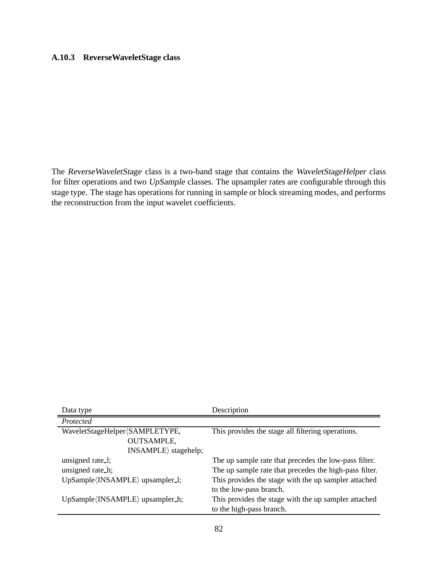### **A.10.3 ReverseWaveletStage class**

The ReverseWaveletStage class is a two-band stage that contains the WaveletStageHelper class for filter operations and two UpSample classes. The upsampler rates are configurable through this stage type. The stage has operations for running in sample or block streaming modes, and performs the reconstruction from the input wavelet coefficients.

| Data type                                      | Description                                            |
|------------------------------------------------|--------------------------------------------------------|
| Protected                                      |                                                        |
| WaveletStageHelper〈SAMPLETYPE,                 | This provides the stage all filtering operations.      |
| <b>OUTSAMPLE,</b>                              |                                                        |
| $INSAMPLE$ stagehelp;                          |                                                        |
| unsigned rate_1;                               | The up sample rate that precedes the low-pass filter.  |
| unsigned rate h;                               | The up sample rate that precedes the high-pass filter. |
| UpSample (INSAMPLE) upsampler_1;               | This provides the stage with the up sampler attached   |
|                                                | to the low-pass branch.                                |
| $UpSample\langle INSAMPLE\rangle$ upsampler_h; | This provides the stage with the up sampler attached   |
|                                                | to the high-pass branch.                               |
|                                                |                                                        |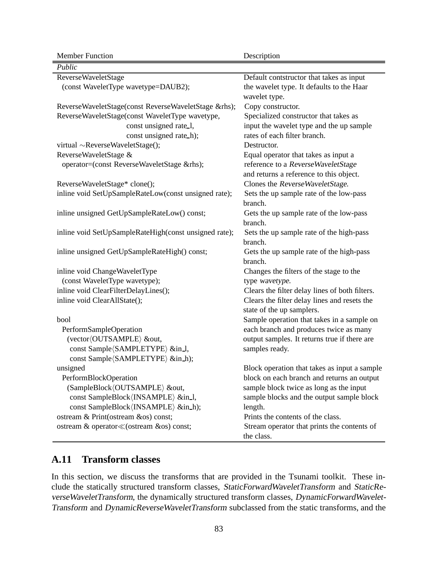| <b>Member Function</b>                                | Description                                    |
|-------------------------------------------------------|------------------------------------------------|
| Public                                                |                                                |
| ReverseWaveletStage                                   | Default contstructor that takes as input       |
| (const WaveletType wavetype=DAUB2);                   | the wavelet type. It defaults to the Haar      |
|                                                       | wavelet type.                                  |
| ReverseWaveletStage(const ReverseWaveletStage &rhs);  | Copy constructor.                              |
| ReverseWaveletStage(const WaveletType wavetype,       | Specialized constructor that takes as          |
| const unsigned rate_1,                                | input the wavelet type and the up sample       |
| const unsigned rate_h);                               | rates of each filter branch.                   |
| virtual ~ReverseWaveletStage();                       | Destructor.                                    |
| ReverseWaveletStage &                                 | Equal operator that takes as input a           |
| operator=(const ReverseWaveletStage &rhs);            | reference to a ReverseWaveletStage             |
|                                                       | and returns a reference to this object.        |
| ReverseWaveletStage* clone();                         | Clones the ReverseWaveletStage.                |
| inline void SetUpSampleRateLow(const unsigned rate);  | Sets the up sample rate of the low-pass        |
|                                                       | branch.                                        |
| inline unsigned GetUpSampleRateLow() const;           | Gets the up sample rate of the low-pass        |
|                                                       | branch.                                        |
| inline void SetUpSampleRateHigh(const unsigned rate); | Sets the up sample rate of the high-pass       |
|                                                       | branch.                                        |
| inline unsigned GetUpSampleRateHigh() const;          | Gets the up sample rate of the high-pass       |
|                                                       | branch.                                        |
| inline void ChangeWaveletType                         | Changes the filters of the stage to the        |
| (const WaveletType wavetype);                         | type wavetype.                                 |
| inline void ClearFilterDelayLines();                  | Clears the filter delay lines of both filters. |
| inline void ClearAllState();                          | Clears the filter delay lines and resets the   |
|                                                       | state of the up samplers.                      |
| bool                                                  | Sample operation that takes in a sample on     |
| PerformSampleOperation                                | each branch and produces twice as many         |
| (vector (OUTSAMPLE) &out,                             | output samples. It returns true if there are   |
| const Sample (SAMPLETYPE) ∈_l,                        | samples ready.                                 |
| const Sample (SAMPLETYPE) ∈_h);                       |                                                |
| unsigned                                              | Block operation that takes as input a sample   |
| PerformBlockOperation                                 | block on each branch and returns an output     |
| (SampleBlock/OUTSAMPLE) &out,                         | sample block twice as long as the input        |
| const SampleBlock (INSAMPLE) ∈_l,                     | sample blocks and the output sample block      |
| const SampleBlock (INSAMPLE) ∈_h);                    | length.                                        |
| ostream & Print(ostream &os) const;                   | Prints the contents of the class.              |
| ostream & operator≪(ostream &os) const;               | Stream operator that prints the contents of    |
|                                                       | the class.                                     |

## **A.11 Transform classes**

In this section, we discuss the transforms that are provided in the Tsunami toolkit. These include the statically structured transform classes, StaticForwardWaveletTransform and StaticReverseWaveletTransform, the dynamically structured transform classes, DynamicForwardWavelet-Transform and DynamicReverseWaveletTransform subclassed from the static transforms, and the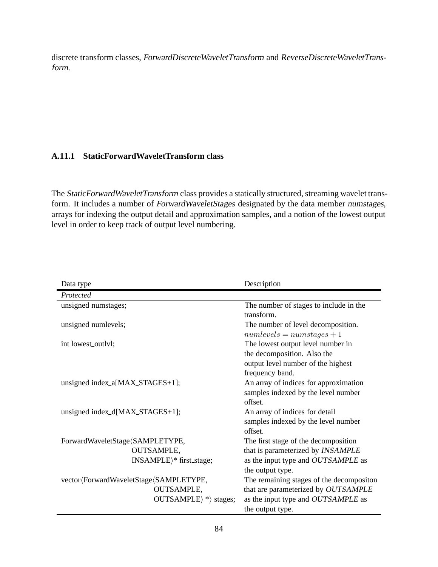discrete transform classes, ForwardDiscreteWaveletTransform and ReverseDiscreteWaveletTransform.

#### **A.11.1 StaticForwardWaveletTransform class**

The StaticForwardWaveletTransform class provides a statically structured, streaming wavelet transform. It includes a number of ForwardWaveletStages designated by the data member numstages, arrays for indexing the output detail and approximation samples, and a notion of the lowest output level in order to keep track of output level numbering.

| Data type                                  | Description                              |
|--------------------------------------------|------------------------------------------|
| Protected                                  |                                          |
| unsigned numstages;                        | The number of stages to include in the   |
|                                            | transform.                               |
| unsigned numlevels;                        | The number of level decomposition.       |
|                                            | $numlevels = num stages + 1$             |
| int lowest_outlyl;                         | The lowest output level number in        |
|                                            | the decomposition. Also the              |
|                                            | output level number of the highest       |
|                                            | frequency band.                          |
| unsigned index_a[MAX_STAGES+1];            | An array of indices for approximation    |
|                                            | samples indexed by the level number      |
|                                            | offset.                                  |
| unsigned index_d[MAX_STAGES+1];            | An array of indices for detail           |
|                                            | samples indexed by the level number      |
|                                            | offset.                                  |
| ForwardWaveletStage (SAMPLETYPE,           | The first stage of the decomposition     |
| <b>OUTSAMPLE,</b>                          | that is parameterized by INSAMPLE        |
| INSAMPLE)* first_stage;                    | as the input type and OUTSAMPLE as       |
|                                            | the output type.                         |
| vector (Forward Wavelet Stage (SAMPLETYPE, | The remaining stages of the decompositon |
| <b>OUTSAMPLE,</b>                          | that are parameterized by OUTSAMPLE      |
| $OUTSAMPLE$ * stages;                      | as the input type and OUTSAMPLE as       |
|                                            | the output type.                         |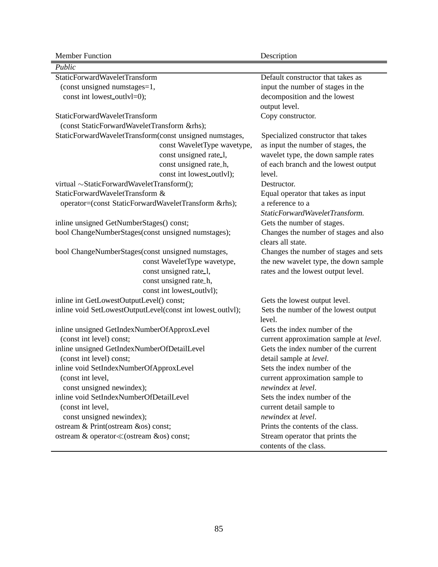Member Function Description

| Public                                                     |                                        |
|------------------------------------------------------------|----------------------------------------|
| <b>StaticForwardWaveletTransform</b>                       | Default constructor that takes as      |
| (const unsigned numstages=1,                               | input the number of stages in the      |
| const int lowest_outlyl=0);                                | decomposition and the lowest           |
|                                                            | output level.                          |
| StaticForwardWaveletTransform                              | Copy constructor.                      |
| (const StaticForwardWaveletTransform &rhs);                |                                        |
| StaticForwardWaveletTransform(const unsigned numstages,    | Specialized constructor that takes     |
| const WaveletType wavetype,                                | as input the number of stages, the     |
| const unsigned rate_1,                                     | wavelet type, the down sample rates    |
| const unsigned rate_h,                                     | of each branch and the lowest output   |
| const int lowest_outlvl);                                  | level.                                 |
| virtual ~StaticForwardWaveletTransform();                  | Destructor.                            |
| StaticForwardWaveletTransform &                            | Equal operator that takes as input     |
| operator=(const StaticForwardWaveletTransform &rhs);       | a reference to a                       |
|                                                            | StaticForwardWaveletTransform.         |
| inline unsigned GetNumberStages() const;                   | Gets the number of stages.             |
| bool ChangeNumberStages(const unsigned numstages);         | Changes the number of stages and also  |
|                                                            | clears all state.                      |
| bool ChangeNumberStages(const unsigned numstages,          | Changes the number of stages and sets  |
| const WaveletType wavetype,                                | the new wavelet type, the down sample  |
| const unsigned rate_1,                                     | rates and the lowest output level.     |
| const unsigned rate_h,                                     |                                        |
| const int lowest_outlvl);                                  |                                        |
| inline int GetLowestOutputLevel() const;                   | Gets the lowest output level.          |
| inline void SetLowestOutputLevel(const int lowest_outlvl); | Sets the number of the lowest output   |
|                                                            | level.                                 |
| inline unsigned GetIndexNumberOfApproxLevel                | Gets the index number of the           |
| (const int level) const;                                   | current approximation sample at level. |
| inline unsigned GetIndexNumberOfDetailLevel                | Gets the index number of the current   |
| (const int level) const;                                   | detail sample at <i>level</i> .        |
| inline void SetIndexNumberOfApproxLevel                    | Sets the index number of the           |
| (const int level,                                          | current approximation sample to        |
| const unsigned newindex);                                  | newindex at level.                     |
| inline void SetIndexNumberOfDetailLevel                    | Sets the index number of the           |
| (const int level,                                          | current detail sample to               |
| const unsigned newindex);                                  | newindex at level.                     |
| ostream & Print(ostream &os) const;                        | Prints the contents of the class.      |
|                                                            | Stream operator that prints the        |
|                                                            | contents of the class.                 |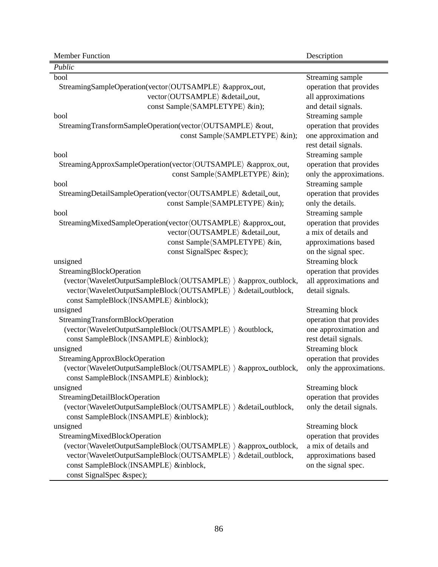| Public                                                            |                          |
|-------------------------------------------------------------------|--------------------------|
| bool                                                              | Streaming sample         |
| StreamingSampleOperation(vector/OUTSAMPLE) ≈_out,                 | operation that provides  |
| vector (OUTSAMPLE) & detail_out,                                  | all approximations       |
| const Sample (SAMPLETYPE) ∈);                                     | and detail signals.      |
| bool                                                              | Streaming sample         |
| StreamingTransformSampleOperation(vector(OUTSAMPLE) &out,         | operation that provides  |
| const Sample (SAMPLETYPE) ∈);                                     | one approximation and    |
|                                                                   | rest detail signals.     |
| bool                                                              | Streaming sample         |
| StreamingApproxSampleOperation(vector(OUTSAMPLE) ≈_out,           | operation that provides  |
| const Sample (SAMPLETYPE) ∈);                                     | only the approximations. |
| bool                                                              | Streaming sample         |
| StreamingDetailSampleOperation(vector(OUTSAMPLE) &detail_out,     | operation that provides  |
| const Sample (SAMPLETYPE) ∈);                                     | only the details.        |
| bool                                                              | Streaming sample         |
| StreamingMixedSampleOperation(vector(OUTSAMPLE) ≈_out,            | operation that provides  |
| vector (OUTSAMPLE) & detail_out,                                  | a mix of details and     |
| const Sample (SAMPLETYPE) ∈,                                      | approximations based     |
| const SignalSpec &spec);                                          | on the signal spec.      |
| unsigned                                                          | <b>Streaming block</b>   |
| StreamingBlockOperation                                           | operation that provides  |
| (vector(WaveletOutputSampleBlock(OUTSAMPLE) ) & approx_outblock,  | all approximations and   |
| vector(WaveletOutputSampleBlock(OUTSAMPLE) > & detail_outblock,   | detail signals.          |
| const SampleBlock (INSAMPLE) &inblock);                           |                          |
| unsigned                                                          | Streaming block          |
| StreamingTransformBlockOperation                                  | operation that provides  |
| (vector(WaveletOutputSampleBlock(OUTSAMPLE) > &outblock,          | one approximation and    |
| const SampleBlock (INSAMPLE) &inblock);                           | rest detail signals.     |
| unsigned                                                          | Streaming block          |
| StreamingApproxBlockOperation                                     | operation that provides  |
| (vector(WaveletOutputSampleBlock(OUTSAMPLE) ) ≈_outblock,         | only the approximations. |
| const SampleBlock (INSAMPLE) &inblock);                           |                          |
| unsigned                                                          | <b>Streaming block</b>   |
| StreamingDetailBlockOperation                                     | operation that provides  |
| (vector(WaveletOutputSampleBlock(OUTSAMPLE) ) & detail_outblock,  | only the detail signals. |
| const SampleBlock (INSAMPLE) &inblock);                           |                          |
| unsigned                                                          | Streaming block          |
| StreamingMixedBlockOperation                                      | operation that provides  |
| (vector(WaveletOutputSampleBlock(OUTSAMPLE) ) & approx_outblock,  | a mix of details and     |
| vector (WaveletOutputSampleBlock (OUTSAMPLE) ) & detail_outblock, | approximations based     |
| const SampleBlock (INSAMPLE) &inblock,                            | on the signal spec.      |
| const SignalSpec &spec);                                          |                          |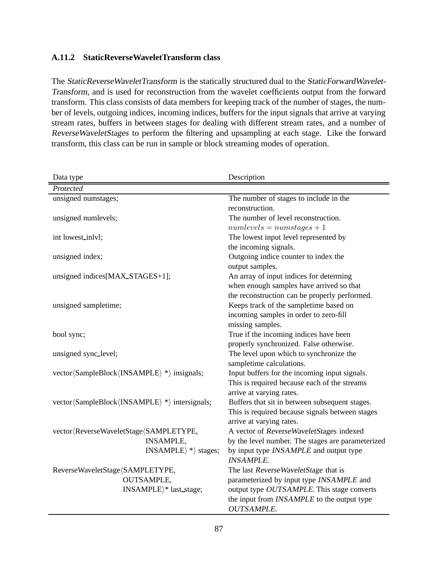### **A.11.2 StaticReverseWaveletTransform class**

The StaticReverseWaveletTransform is the statically structured dual to the StaticForwardWavelet-Transform, and is used for reconstruction from the wavelet coefficients output from the forward transform. This class consists of data members for keeping track of the number of stages, the number of levels, outgoing indices, incoming indices, buffers for the input signals that arrive at varying stream rates, buffers in between stages for dealing with different stream rates, and a number of ReverseWaveletStages to perform the filtering and upsampling at each stage. Like the forward transform, this class can be run in sample or block streaming modes of operation.

| Data type                                       | Description                                       |
|-------------------------------------------------|---------------------------------------------------|
| Protected                                       |                                                   |
| unsigned numstages;                             | The number of stages to include in the            |
|                                                 | reconstruction.                                   |
| unsigned numlevels;                             | The number of level reconstruction.               |
|                                                 | $numlevels = num stages + 1$                      |
| int lowest_inlvl;                               | The lowest input level represented by             |
|                                                 | the incoming signals.                             |
| unsigned index;                                 | Outgoing indice counter to index the              |
|                                                 | output samples.                                   |
| unsigned indices[MAX_STAGES+1];                 | An array of input indices for determing           |
|                                                 | when enough samples have arrived so that          |
|                                                 | the reconstruction can be properly performed.     |
| unsigned sampletime;                            | Keeps track of the sampletime based on            |
|                                                 | incoming samples in order to zero-fill            |
|                                                 | missing samples.                                  |
| bool sync;                                      | True if the incoming indices have been            |
|                                                 | properly synchronized. False otherwise.           |
| unsigned sync_level;                            | The level upon which to synchronize the           |
|                                                 | sampletime calculations.                          |
| vector (SampleBlock (INSAMPLE) *) insignals;    | Input buffers for the incoming input signals.     |
|                                                 | This is required because each of the streams      |
|                                                 | arrive at varying rates.                          |
| vector (SampleBlock (INSAMPLE) *) intersignals; | Buffers that sit in between subsequent stages.    |
|                                                 | This is required because signals between stages   |
|                                                 | arrive at varying rates.                          |
| vector (ReverseWaveletStage (SAMPLETYPE,        | A vector of ReverseWaveletStages indexed          |
| <b>INSAMPLE,</b>                                | by the level number. The stages are parameterized |
| $INSAMPLE$ * stages;                            | by input type INSAMPLE and output type            |
|                                                 | <b>INSAMPLE.</b>                                  |
| ReverseWaveletStage/SAMPLETYPE,                 | The last ReverseWaveletStage that is              |
| <b>OUTSAMPLE,</b>                               | parameterized by input type INSAMPLE and          |
| INSAMPLE $\rangle^*$ last_stage;                | output type OUTSAMPLE. This stage converts        |
|                                                 | the input from INSAMPLE to the output type        |
|                                                 | <b>OUTSAMPLE.</b>                                 |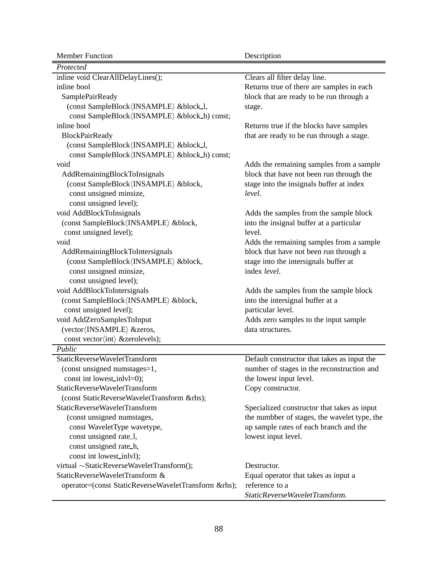| <b>Member Function</b>                               | Description                                  |
|------------------------------------------------------|----------------------------------------------|
| Protected                                            |                                              |
| inline void ClearAllDelayLines();                    | Clears all filter delay line.                |
| inline bool                                          | Returns true of there are samples in each    |
| SamplePairReady                                      | block that are ready to be run through a     |
| (const SampleBlock/INSAMPLE) █_l,                    | stage.                                       |
| const SampleBlock (INSAMPLE) & block_h) const;       |                                              |
| inline bool                                          | Returns true if the blocks have samples      |
| <b>BlockPairReady</b>                                | that are ready to be run through a stage.    |
| (const SampleBlock (INSAMPLE) & block_l,             |                                              |
| const SampleBlock (INSAMPLE) & block_h) const;       |                                              |
| void                                                 | Adds the remaining samples from a sample     |
| AddRemainingBlockToInsignals                         | block that have not been run through the     |
| (const SampleBlock (INSAMPLE) █,                     | stage into the insignals buffer at index     |
| const unsigned minsize,                              | level.                                       |
| const unsigned level);                               |                                              |
| void AddBlockToInsignals                             | Adds the samples from the sample block       |
| (const SampleBlock/INSAMPLE) █,                      | into the insignal buffer at a particular     |
| const unsigned level);                               | level.                                       |
| void                                                 | Adds the remaining samples from a sample     |
| AddRemainingBlockToIntersignals                      | block that have not been run through a       |
| (const SampleBlock (INSAMPLE) █,                     | stage into the intersignals buffer at        |
| const unsigned minsize,                              | index level.                                 |
| const unsigned level);                               |                                              |
| void AddBlockToIntersignals                          | Adds the samples from the sample block       |
| (const SampleBlock/INSAMPLE) █,                      | into the intersignal buffer at a             |
| const unsigned level);                               | particular level.                            |
| void AddZeroSamplesToInput                           | Adds zero samples to the input sample        |
| (vector (INSAMPLE) & zeros,                          | data structures.                             |
| const vector(int) &zerolevels);                      |                                              |
| Public                                               |                                              |
| StaticReverseWaveletTransform                        | Default constructor that takes as input the  |
| (const unsigned numstages=1,                         | number of stages in the reconstruction and   |
| const int lowest_inlvl=0);                           | the lowest input level.                      |
| StaticReverseWaveletTransform                        | Copy constructor.                            |
| (const StaticReverseWaveletTransform &rhs);          |                                              |
| StaticReverseWaveletTransform                        | Specialized constructor that takes as input  |
| (const unsigned numstages,                           | the numbber of stages, the wavelet type, the |
| const WaveletType wavetype,                          | up sample rates of each branch and the       |
| const unsigned rate_1,                               | lowest input level.                          |
| const unsigned rate h,                               |                                              |
| const int lowest_inlvl);                             |                                              |
| virtual ~StaticReverseWaveletTransform();            | Destructor.                                  |
| StaticReverseWaveletTransform &                      | Equal operator that takes as input a         |
| operator=(const StaticReverseWaveletTransform &rhs); | reference to a                               |
|                                                      | StaticReverseWaveletTransform.               |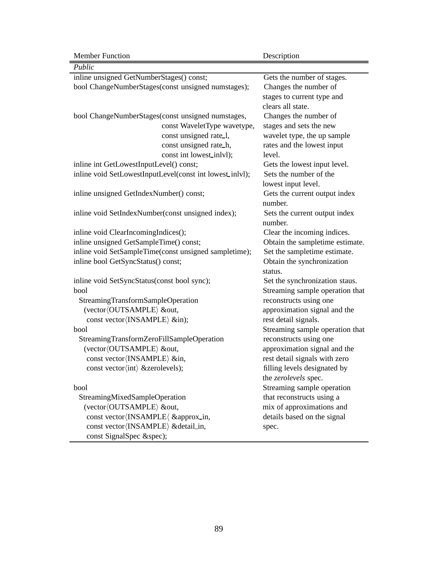J

| Public                                                   |                                 |
|----------------------------------------------------------|---------------------------------|
| inline unsigned GetNumberStages() const;                 | Gets the number of stages.      |
| bool ChangeNumberStages(const unsigned numstages);       | Changes the number of           |
|                                                          | stages to current type and      |
|                                                          | clears all state.               |
| bool ChangeNumberStages(const unsigned numstages,        | Changes the number of           |
| const WaveletType wavetype,                              | stages and sets the new         |
| const unsigned rate_1,                                   | wavelet type, the up sample     |
| const unsigned rate_h,                                   | rates and the lowest input      |
| const int lowest_inlvl);                                 | level.                          |
| inline int GetLowestInputLevel() const;                  | Gets the lowest input level.    |
| inline void SetLowestInputLevel(const int lowest_inlvl); | Sets the number of the          |
|                                                          | lowest input level.             |
| inline unsigned GetIndexNumber() const;                  | Gets the current output index   |
|                                                          | number.                         |
| inline void SetIndexNumber(const unsigned index);        | Sets the current output index   |
|                                                          | number.                         |
| inline void ClearIncomingIndices();                      | Clear the incoming indices.     |
| inline unsigned GetSampleTime() const;                   | Obtain the sampletime estimate. |
| inline void SetSampleTime(const unsigned sampletime);    | Set the sampletime estimate.    |
| inline bool GetSyncStatus() const;                       | Obtain the synchronization      |
|                                                          | status.                         |
| inline void SetSyncStatus(const bool sync);              | Set the synchronization staus.  |
| bool                                                     | Streaming sample operation that |
| StreamingTransformSampleOperation                        | reconstructs using one          |
| (vector (OUTSAMPLE) &out,                                | approximation signal and the    |
| const vector (INSAMPLE) ∈);                              | rest detail signals.            |
| bool                                                     | Streaming sample operation that |
| StreamingTransformZeroFillSampleOperation                | reconstructs using one          |
| (vector (OUTSAMPLE) &out,                                | approximation signal and the    |
| const vector (INSAMPLE) ∈,                               | rest detail signals with zero   |
| const vector (int) & zerolevels);                        | filling levels designated by    |
|                                                          | the zerolevels spec.            |
| bool                                                     | Streaming sample operation      |
| StreamingMixedSampleOperation                            | that reconstructs using a       |
| (vector (OUTSAMPLE) &out,                                | mix of approximations and       |
| const vector (INSAMPLE \ ≈_in,                           | details based on the signal     |
| const vector (INSAMPLE) & detail_in,                     | spec.                           |
| const SignalSpec &spec);                                 |                                 |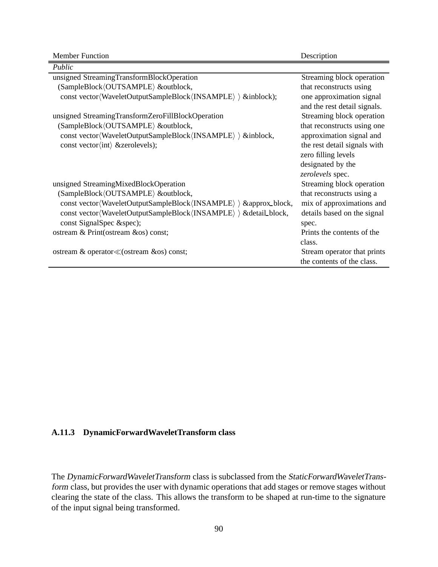| Public                                                              |                              |
|---------------------------------------------------------------------|------------------------------|
| unsigned StreamingTransformBlockOperation                           | Streaming block operation    |
| (SampleBlock/OUTSAMPLE) &outblock,                                  | that reconstructs using      |
| const vector (WaveletOutputSampleBlock (INSAMPLE) { & inblock);     | one approximation signal     |
|                                                                     | and the rest detail signals. |
| unsigned StreamingTransformZeroFillBlockOperation                   | Streaming block operation    |
| (SampleBlock/OUTSAMPLE) &outblock,                                  | that reconstructs using one  |
| const vector(WaveletOutputSampleBlock(INSAMPLE) > &inblock,         | approximation signal and     |
| const vector $\langle \text{int} \rangle$ & zerolevels);            | the rest detail signals with |
|                                                                     | zero filling levels          |
|                                                                     | designated by the            |
|                                                                     | zerolevels spec.             |
| unsigned StreamingMixedBlockOperation                               | Streaming block operation    |
| (SampleBlock/OUTSAMPLE) &outblock,                                  | that reconstructs using a    |
| const vector (WaveletOutputSampleBlock (INSAMPLE) ) & approx_block, | mix of approximations and    |
| const vector(WaveletOutputSampleBlock(INSAMPLE) ) & detail_block,   | details based on the signal  |
| const SignalSpec &spec);                                            | spec.                        |
| ostream & Print(ostream &os) const;                                 | Prints the contents of the   |
|                                                                     | class.                       |
| ostream & operator≪(ostream &os) const;                             | Stream operator that prints  |
|                                                                     | the contents of the class.   |

### **A.11.3 DynamicForwardWaveletTransform class**

The DynamicForwardWaveletTransform class is subclassed from the StaticForwardWaveletTransform class, but provides the user with dynamic operations that add stages or remove stages without clearing the state of the class. This allows the transform to be shaped at run-time to the signature of the input signal being transformed.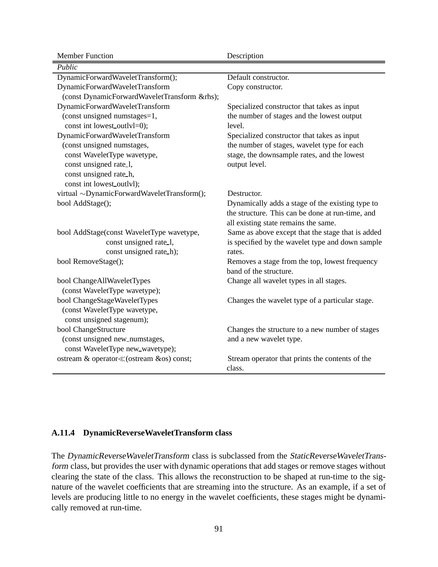| <b>Member Function</b>                       | Description                                       |
|----------------------------------------------|---------------------------------------------------|
| Public                                       |                                                   |
| DynamicForwardWaveletTransform();            | Default constructor.                              |
| DynamicForwardWaveletTransform               | Copy constructor.                                 |
| (const DynamicForwardWaveletTransform &rhs); |                                                   |
| DynamicForwardWaveletTransform               | Specialized constructor that takes as input       |
| (const unsigned numstages=1,                 | the number of stages and the lowest output        |
| const int lowest_outlyl=0);                  | level.                                            |
| DynamicForwardWaveletTransform               | Specialized constructor that takes as input       |
| (const unsigned numstages,                   | the number of stages, wavelet type for each       |
| const WaveletType wavetype,                  | stage, the downsample rates, and the lowest       |
| const unsigned rate 1,                       | output level.                                     |
| const unsigned rate_h,                       |                                                   |
| const int lowest_outlyl);                    |                                                   |
| virtual ~DynamicForwardWaveletTransform();   | Destructor.                                       |
| bool AddStage();                             | Dynamically adds a stage of the existing type to  |
|                                              | the structure. This can be done at run-time, and  |
|                                              | all existing state remains the same.              |
| bool AddStage(const WaveletType wavetype,    | Same as above except that the stage that is added |
| const unsigned rate_1,                       | is specified by the wavelet type and down sample  |
| const unsigned rate_h);                      | rates.                                            |
| bool RemoveStage();                          | Removes a stage from the top, lowest frequency    |
|                                              | band of the structure.                            |
| bool ChangeAllWaveletTypes                   | Change all wavelet types in all stages.           |
| (const WaveletType wavetype);                |                                                   |
| bool ChangeStageWaveletTypes                 | Changes the wavelet type of a particular stage.   |
| (const WaveletType wavetype,                 |                                                   |
| const unsigned stagenum);                    |                                                   |
| bool ChangeStructure                         | Changes the structure to a new number of stages   |
| (const unsigned new_numstages,               | and a new wavelet type.                           |
| const WaveletType new_wavetype);             |                                                   |
| ostream & operator≪(ostream &os) const;      | Stream operator that prints the contents of the   |
|                                              | class.                                            |

#### **A.11.4 DynamicReverseWaveletTransform class**

The DynamicReverseWaveletTransform class is subclassed from the StaticReverseWaveletTransform class, but provides the user with dynamic operations that add stages or remove stages without clearing the state of the class. This allows the reconstruction to be shaped at run-time to the signature of the wavelet coefficients that are streaming into the structure. As an example, if a set of levels are producing little to no energy in the wavelet coefficients, these stages might be dynamically removed at run-time.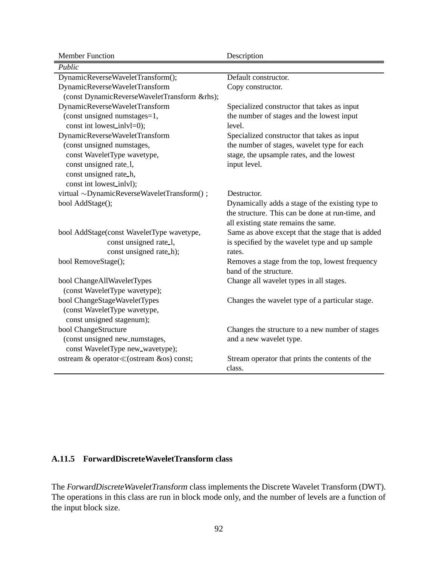| <b>Member Function</b>                       | Description                                       |
|----------------------------------------------|---------------------------------------------------|
| Public                                       |                                                   |
| DynamicReverseWaveletTransform();            | Default constructor.                              |
| DynamicReverseWaveletTransform               | Copy constructor.                                 |
| (const DynamicReverseWaveletTransform &rhs); |                                                   |
| DynamicReverseWaveletTransform               | Specialized constructor that takes as input       |
| (const unsigned numstages=1,                 | the number of stages and the lowest input         |
| const int lowest_inlvl=0);                   | level.                                            |
| DynamicReverseWaveletTransform               | Specialized constructor that takes as input       |
| (const unsigned numstages,                   | the number of stages, wavelet type for each       |
| const WaveletType wavetype,                  | stage, the upsample rates, and the lowest         |
| const unsigned rate_1,                       | input level.                                      |
| const unsigned rate_h,                       |                                                   |
| const int lowest_inlvl);                     |                                                   |
| virtual ~DynamicReverseWaveletTransform();   | Destructor.                                       |
| bool AddStage();                             | Dynamically adds a stage of the existing type to  |
|                                              | the structure. This can be done at run-time, and  |
|                                              | all existing state remains the same.              |
| bool AddStage(const WaveletType wavetype,    | Same as above except that the stage that is added |
| const unsigned rate_1,                       | is specified by the wavelet type and up sample    |
| const unsigned rate_h);                      | rates.                                            |
| bool RemoveStage();                          | Removes a stage from the top, lowest frequency    |
|                                              | band of the structure.                            |
| bool ChangeAllWaveletTypes                   | Change all wavelet types in all stages.           |
| (const WaveletType wavetype);                |                                                   |
| bool ChangeStageWaveletTypes                 | Changes the wavelet type of a particular stage.   |
| (const WaveletType wavetype,                 |                                                   |
| const unsigned stagenum);                    |                                                   |
| bool ChangeStructure                         | Changes the structure to a new number of stages   |
| (const unsigned new_numstages,               | and a new wavelet type.                           |
| const WaveletType new_wavetype);             |                                                   |
| ostream & operator≪(ostream &os) const;      | Stream operator that prints the contents of the   |
|                                              | class.                                            |

## **A.11.5 ForwardDiscreteWaveletTransform class**

The ForwardDiscreteWaveletTransform class implements the Discrete Wavelet Transform (DWT). The operations in this class are run in block mode only, and the number of levels are a function of the input block size.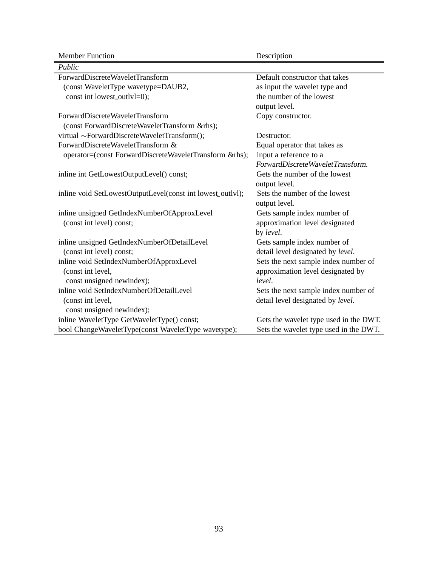Member Function Description

| Public                                                     |                                        |
|------------------------------------------------------------|----------------------------------------|
| ForwardDiscreteWaveletTransform                            | Default constructor that takes         |
| (const WaveletType wavetype=DAUB2,                         | as input the wavelet type and          |
| const int lowest_outlyl=0);                                | the number of the lowest               |
|                                                            | output level.                          |
| ForwardDiscreteWaveletTransform                            | Copy constructor.                      |
| (const ForwardDiscreteWaveletTransform &rhs);              |                                        |
| virtual ~ForwardDiscreteWaveletTransform();                | Destructor.                            |
| ForwardDiscreteWaveletTransform &                          | Equal operator that takes as           |
| operator=(const ForwardDiscreteWaveletTransform &rhs);     | input a reference to a                 |
|                                                            | ForwardDiscreteWaveletTransform.       |
| inline int GetLowestOutputLevel() const;                   | Gets the number of the lowest          |
|                                                            | output level.                          |
| inline void SetLowestOutputLevel(const int lowest_outlvl); | Sets the number of the lowest          |
|                                                            | output level.                          |
| inline unsigned GetIndexNumberOfApproxLevel                | Gets sample index number of            |
| (const int level) const;                                   | approximation level designated         |
|                                                            | by level.                              |
| inline unsigned GetIndexNumberOfDetailLevel                | Gets sample index number of            |
| (const int level) const;                                   | detail level designated by level.      |
| inline void SetIndexNumberOfApproxLevel                    | Sets the next sample index number of   |
| (const int level,                                          | approximation level designated by      |
| const unsigned newindex);                                  | level.                                 |
| inline void SetIndexNumberOfDetailLevel                    | Sets the next sample index number of   |
| (const int level,                                          | detail level designated by level.      |
| const unsigned newindex);                                  |                                        |
| inline WaveletType GetWaveletType() const;                 | Gets the wavelet type used in the DWT. |
| bool ChangeWaveletType(const WaveletType wavetype);        | Sets the wavelet type used in the DWT. |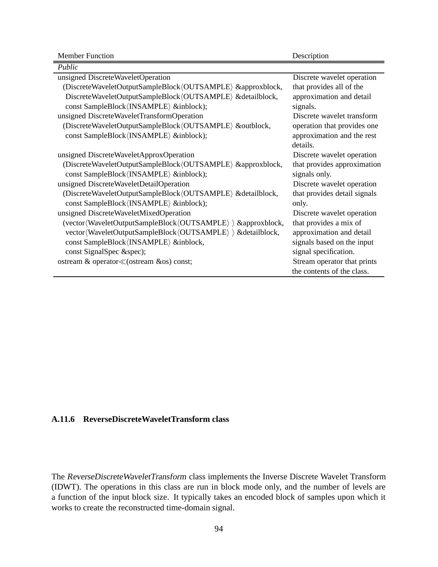| Public                                                       |                              |
|--------------------------------------------------------------|------------------------------|
| unsigned DiscreteWaveletOperation                            | Discrete wavelet operation   |
| (DiscreteWaveletOutputSampleBlock/OUTSAMPLE) &approxblock,   | that provides all of the     |
| DiscreteWaveletOutputSampleBlock/OUTSAMPLE\ &detailblock,    | approximation and detail     |
| const SampleBlock (INSAMPLE) &inblock);                      | signals.                     |
| unsigned DiscreteWaveletTransformOperation                   | Discrete wavelet transform   |
| (DiscreteWaveletOutputSampleBlock/OUTSAMPLE) &outblock,      | operation that provides one  |
| const SampleBlock (INSAMPLE) &inblock);                      | approximation and the rest   |
|                                                              | details.                     |
| unsigned DiscreteWaveletApproxOperation                      | Discrete wavelet operation   |
| (DiscreteWaveletOutputSampleBlock/OUTSAMPLE) &approxblock,   | that provides approximation  |
| const SampleBlock (INSAMPLE) &inblock);                      | signals only.                |
| unsigned DiscreteWaveletDetailOperation                      | Discrete wavelet operation   |
| (DiscreteWaveletOutputSampleBlock/OUTSAMPLE) & detailblock,  | that provides detail signals |
| const SampleBlock (INSAMPLE) &inblock);                      | only.                        |
| unsigned DiscreteWaveletMixedOperation                       | Discrete wavelet operation   |
| (vector(WaveletOutputSampleBlock(OUTSAMPLE) ) & approxblock, | that provides a mix of       |
| vector(WaveletOutputSampleBlock(OUTSAMPLE) ) & detailblock,  | approximation and detail     |
| const SampleBlock (INSAMPLE) &inblock,                       | signals based on the input   |
| const SignalSpec &spec);                                     | signal specification.        |
| ostream & operator≪(ostream &os) const;                      | Stream operator that prints  |
|                                                              | the contents of the class.   |

### **A.11.6 ReverseDiscreteWaveletTransform class**

The ReverseDiscreteWaveletTransform class implements the Inverse Discrete Wavelet Transform (IDWT). The operations in this class are run in block mode only, and the number of levels are a function of the input block size. It typically takes an encoded block of samples upon which it works to create the reconstructed time-domain signal.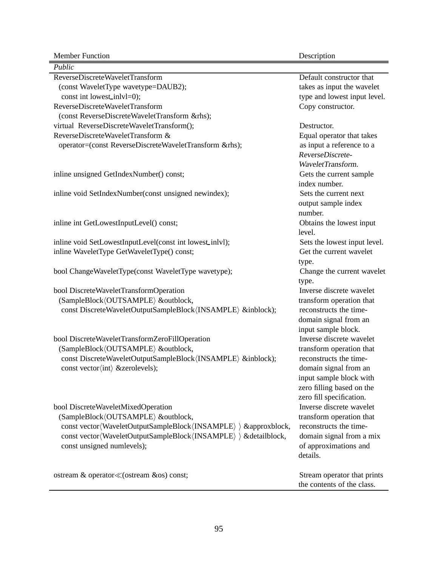| Public                                                           |                              |
|------------------------------------------------------------------|------------------------------|
| ReverseDiscreteWaveletTransform                                  | Default constructor that     |
| (const WaveletType wavetype=DAUB2);                              | takes as input the wavelet   |
| const int lowest_inlvl=0);                                       | type and lowest input level. |
| ReverseDiscreteWaveletTransform                                  | Copy constructor.            |
| (const ReverseDiscreteWaveletTransform &rhs);                    |                              |
| virtual ReverseDiscreteWaveletTransform();                       | Destructor.                  |
| ReverseDiscreteWaveletTransform &                                | Equal operator that takes    |
| operator=(const ReverseDiscreteWaveletTransform &rhs);           | as input a reference to a    |
|                                                                  | ReverseDiscrete-             |
|                                                                  | WaveletTransform.            |
| inline unsigned GetIndexNumber() const;                          | Gets the current sample      |
|                                                                  | index number.                |
| inline void SetIndexNumber(const unsigned newindex);             | Sets the current next        |
|                                                                  | output sample index          |
|                                                                  | number.                      |
| inline int GetLowestInputLevel() const;                          | Obtains the lowest input     |
|                                                                  | level.                       |
| inline void SetLowestInputLevel(const int lowest_inlvl);         | Sets the lowest input level. |
| inline WaveletType GetWaveletType() const;                       | Get the current wavelet      |
|                                                                  | type.                        |
| bool ChangeWaveletType(const WaveletType wavetype);              | Change the current wavelet   |
|                                                                  | type.                        |
| bool DiscreteWaveletTransformOperation                           | Inverse discrete wavelet     |
| (SampleBlock/OUTSAMPLE) &outblock,                               | transform operation that     |
| const DiscreteWaveletOutputSampleBlock/INSAMPLE) &inblock);      | reconstructs the time-       |
|                                                                  | domain signal from an        |
|                                                                  | input sample block.          |
| bool DiscreteWaveletTransformZeroFillOperation                   | Inverse discrete wavelet     |
| (SampleBlock/OUTSAMPLE) &outblock,                               | transform operation that     |
| const DiscreteWaveletOutputSampleBlock(INSAMPLE) &inblock);      | reconstructs the time-       |
| const vector(int) &zerolevels);                                  | domain signal from an        |
|                                                                  | input sample block with      |
|                                                                  | zero filling based on the    |
|                                                                  | zero fill specification.     |
| bool DiscreteWaveletMixedOperation                               | Inverse discrete wavelet     |
| (SampleBlock/OUTSAMPLE) &outblock,                               | transform operation that     |
| const vector(WaveletOutputSampleBlock(INSAMPLE) > &approxblock,  | reconstructs the time-       |
| const vector(WaveletOutputSampleBlock(INSAMPLE) > & detailblock, | domain signal from a mix     |
| const unsigned numlevels);                                       | of approximations and        |
|                                                                  | details.                     |
|                                                                  |                              |
| ostream & operator≪(ostream &os) const;                          | Stream operator that prints  |
|                                                                  | the contents of the class.   |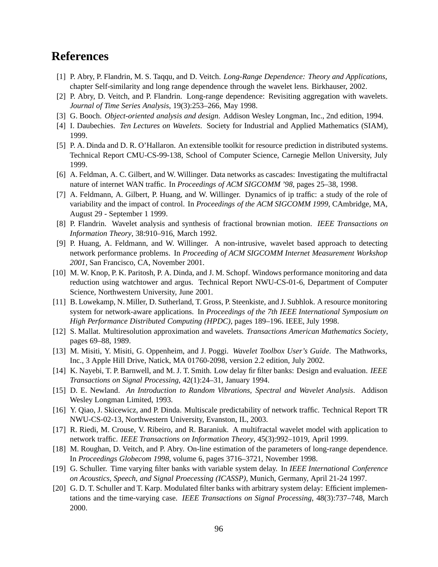## **References**

- [1] P. Abry, P. Flandrin, M. S. Taqqu, and D. Veitch. *Long-Range Dependence: Theory and Applications*, chapter Self-similarity and long range dependence through the wavelet lens. Birkhauser, 2002.
- [2] P. Abry, D. Veitch, and P. Flandrin. Long-range dependence: Revisiting aggregation with wavelets. *Journal of Time Series Analysis*, 19(3):253–266, May 1998.
- [3] G. Booch. *Object-oriented analysis and design*. Addison Wesley Longman, Inc., 2nd edition, 1994.
- [4] I. Daubechies. *Ten Lectures on Wavelets*. Society for Industrial and Applied Mathematics (SIAM), 1999.
- [5] P. A. Dinda and D. R. O'Hallaron. An extensible toolkit for resource prediction in distributed systems. Technical Report CMU-CS-99-138, School of Computer Science, Carnegie Mellon University, July 1999.
- [6] A. Feldman, A. C. Gilbert, and W. Willinger. Data networks as cascades: Investigating the multifractal nature of internet WAN traffic. In *Proceedings of ACM SIGCOMM '98*, pages 25–38, 1998.
- [7] A. Feldmann, A. Gilbert, P. Huang, and W. Willinger. Dynamics of ip traffic: a study of the role of variability and the impact of control. In *Proceedings of the ACM SIGCOMM 1999*, CAmbridge, MA, August 29 - September 1 1999.
- [8] P. Flandrin. Wavelet analysis and synthesis of fractional brownian motion. *IEEE Transactions on Information Theory*, 38:910–916, March 1992.
- [9] P. Huang, A. Feldmann, and W. Willinger. A non-intrusive, wavelet based approach to detecting network performance problems. In *Proceeding of ACM SIGCOMM Internet Measurement Workshop 2001*, San Francisco, CA, November 2001.
- [10] M. W. Knop, P. K. Paritosh, P. A. Dinda, and J. M. Schopf. Windows performance monitoring and data reduction using watchtower and argus. Technical Report NWU-CS-01-6, Department of Computer Science, Northwestern University, June 2001.
- [11] B. Lowekamp, N. Miller, D. Sutherland, T. Gross, P. Steenkiste, and J. Subhlok. A resource monitoring system for network-aware applications. In *Proceedings of the 7th IEEE International Symposium on High Performance Distributed Computing (HPDC)*, pages 189–196. IEEE, July 1998.
- [12] S. Mallat. Multiresolution approximation and wavelets. *Transactions American Mathematics Society*, pages 69–88, 1989.
- [13] M. Misiti, Y. Misiti, G. Oppenheim, and J. Poggi. *Wavelet Toolbox User's Guide*. The Mathworks, Inc., 3 Apple Hill Drive, Natick, MA 01760-2098, version 2.2 edition, July 2002.
- [14] K. Nayebi, T. P. Barnwell, and M. J. T. Smith. Low delay fir filter banks: Design and evaluation. *IEEE Transactions on Signal Processing*, 42(1):24–31, January 1994.
- [15] D. E. Newland. *An Introduction to Random Vibrations, Spectral and Wavelet Analysis*. Addison Wesley Longman Limited, 1993.
- [16] Y. Qiao, J. Skicewicz, and P. Dinda. Multiscale predictability of network traffic. Technical Report TR NWU-CS-02-13, Northwestern University, Evanston, IL, 2003.
- [17] R. Riedi, M. Crouse, V. Ribeiro, and R. Baraniuk. A multifractal wavelet model with application to network traffic. *IEEE Transactions on Information Theory*, 45(3):992–1019, April 1999.
- [18] M. Roughan, D. Veitch, and P. Abry. On-line estimation of the parameters of long-range dependence. In *Proceedings Globecom 1998*, volume 6, pages 3716–3721, November 1998.
- [19] G. Schuller. Time varying filter banks with variable system delay. In *IEEE International Conference on Acoustics, Speech, and Signal Proecessing (ICASSP)*, Munich, Germany, April 21-24 1997.
- [20] G. D. T. Schuller and T. Karp. Modulated filter banks with arbitrary system delay: Efficient implementations and the time-varying case. *IEEE Transactions on Signal Processing*, 48(3):737–748, March 2000.